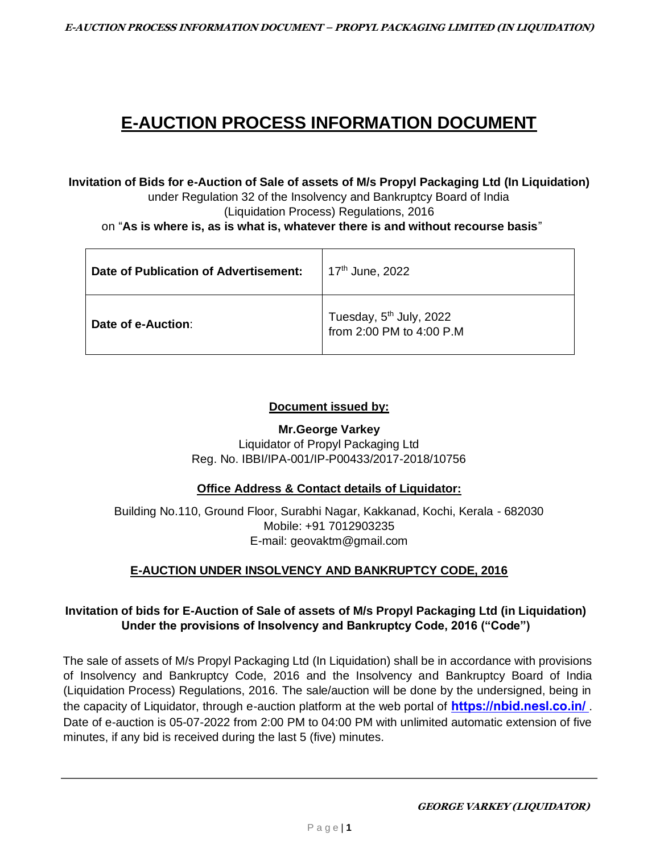# **E-AUCTION PROCESS INFORMATION DOCUMENT**

**Invitation of Bids for e-Auction of Sale of assets of M/s Propyl Packaging Ltd (In Liquidation)** 

under Regulation 32 of the Insolvency and Bankruptcy Board of India (Liquidation Process) Regulations, 2016

on "**As is where is, as is what is, whatever there is and without recourse basis**"

| Date of Publication of Advertisement: | 17 <sup>th</sup> June, 2022                              |
|---------------------------------------|----------------------------------------------------------|
| Date of e-Auction:                    | Tuesday, $5^{th}$ July, 2022<br>from 2:00 PM to 4:00 P.M |

## **Document issued by:**

**Mr.George Varkey** Liquidator of Propyl Packaging Ltd Reg. No. IBBI/IPA-001/IP-P00433/2017-2018/10756

# **Office Address & Contact details of Liquidator:**

Building No.110, Ground Floor, Surabhi Nagar, Kakkanad, Kochi, Kerala - 682030 Mobile: +91 7012903235 E-mail: geovaktm@gmail.com

# **E-AUCTION UNDER INSOLVENCY AND BANKRUPTCY CODE, 2016**

# **Invitation of bids for E-Auction of Sale of assets of M/s Propyl Packaging Ltd (in Liquidation) Under the provisions of Insolvency and Bankruptcy Code, 2016 ("Code")**

The sale of assets of M/s Propyl Packaging Ltd (In Liquidation) shall be in accordance with provisions of Insolvency and Bankruptcy Code, 2016 and the Insolvency and Bankruptcy Board of India (Liquidation Process) Regulations, 2016. The sale/auction will be done by the undersigned, being in the capacity of Liquidator, through e-auction platform at the web portal of **https://nbid.nesl.co.in/**. Date of e-auction is 05-07-2022 from 2:00 PM to 04:00 PM with unlimited automatic extension of five minutes, if any bid is received during the last 5 (five) minutes.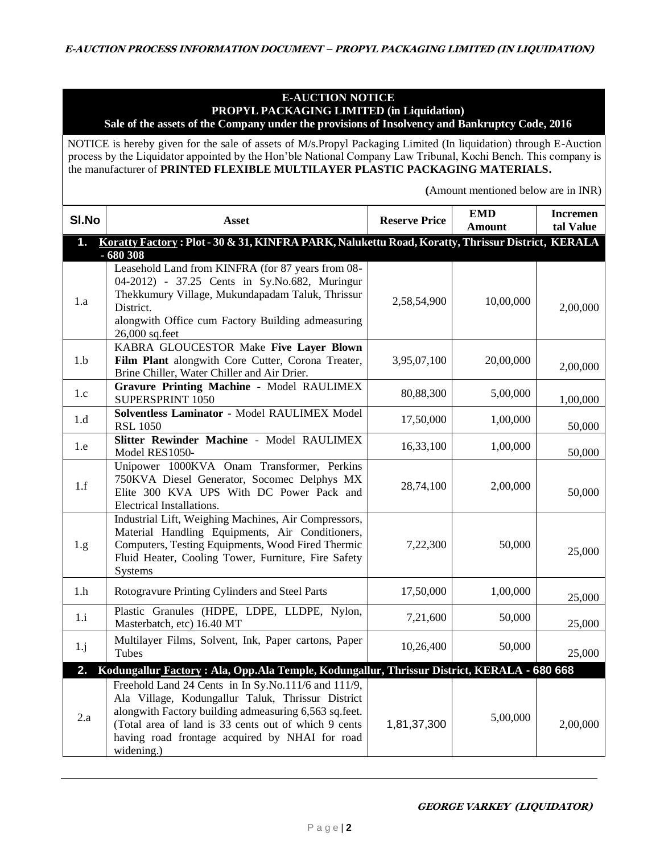#### **E-AUCTION NOTICE PROPYL PACKAGING LIMITED (in Liquidation) Sale of the assets of the Company under the provisions of Insolvency and Bankruptcy Code, 2016**

NOTICE is hereby given for the sale of assets of M/s.Propyl Packaging Limited (In liquidation) through E-Auction process by the Liquidator appointed by the Hon'ble National Company Law Tribunal, Kochi Bench. This company is the manufacturer of **PRINTED FLEXIBLE MULTILAYER PLASTIC PACKAGING MATERIALS.**

 **(**Amount mentioned below are in INR)

| SI.No         | <b>Asset</b>                                                                                                                                                                                                                                                                              | <b>Reserve Price</b> | <b>EMD</b><br><b>Amount</b> | <b>Incremen</b><br>tal Value |
|---------------|-------------------------------------------------------------------------------------------------------------------------------------------------------------------------------------------------------------------------------------------------------------------------------------------|----------------------|-----------------------------|------------------------------|
| $\mathbf 1$ . | Koratty Factory: Plot - 30 & 31, KINFRA PARK, Nalukettu Road, Koratty, Thrissur District, KERALA                                                                                                                                                                                          |                      |                             |                              |
| 1.a           | $-680308$<br>Leasehold Land from KINFRA (for 87 years from 08-<br>04-2012) - 37.25 Cents in Sy.No.682, Muringur<br>Thekkumury Village, Mukundapadam Taluk, Thrissur<br>District.<br>alongwith Office cum Factory Building admeasuring<br>26,000 sq.feet                                   | 2,58,54,900          | 10,00,000                   | 2,00,000                     |
| 1.b           | KABRA GLOUCESTOR Make Five Layer Blown<br>Film Plant alongwith Core Cutter, Corona Treater,<br>Brine Chiller, Water Chiller and Air Drier.                                                                                                                                                | 3,95,07,100          | 20,00,000                   | 2,00,000                     |
| 1.c           | Gravure Printing Machine - Model RAULIMEX<br>SUPERSPRINT 1050                                                                                                                                                                                                                             | 80,88,300            | 5,00,000                    | 1,00,000                     |
| 1.d           | Solventless Laminator - Model RAULIMEX Model<br><b>RSL 1050</b>                                                                                                                                                                                                                           | 17,50,000            | 1,00,000                    | 50,000                       |
| 1.e           | Slitter Rewinder Machine - Model RAULIMEX<br>Model RES1050-                                                                                                                                                                                                                               | 16,33,100            | 1,00,000                    | 50,000                       |
| 1.f           | Unipower 1000KVA Onam Transformer, Perkins<br>750KVA Diesel Generator, Socomec Delphys MX<br>Elite 300 KVA UPS With DC Power Pack and<br>Electrical Installations.                                                                                                                        | 28,74,100            | 2,00,000                    | 50,000                       |
| 1.g.          | Industrial Lift, Weighing Machines, Air Compressors,<br>Material Handling Equipments, Air Conditioners,<br>Computers, Testing Equipments, Wood Fired Thermic<br>Fluid Heater, Cooling Tower, Furniture, Fire Safety<br>Systems                                                            | 7,22,300             | 50,000                      | 25,000                       |
| 1.h           | Rotogravure Printing Cylinders and Steel Parts                                                                                                                                                                                                                                            | 17,50,000            | 1,00,000                    | 25,000                       |
| 1.i           | Plastic Granules (HDPE, LDPE, LLDPE, Nylon,<br>Masterbatch, etc) 16.40 MT                                                                                                                                                                                                                 | 7,21,600             | 50,000                      | 25,000                       |
| $1 \cdot j$   | Multilayer Films, Solvent, Ink, Paper cartons, Paper<br>Tubes                                                                                                                                                                                                                             | 10,26,400            | 50,000                      | 25,000                       |
| 2.            | Kodungallur Factory: Ala, Opp.Ala Temple, Kodungallur, Thrissur District, KERALA - 680 668                                                                                                                                                                                                |                      |                             |                              |
| 2.a           | Freehold Land 24 Cents in In Sy.No.111/6 and 111/9,<br>Ala Village, Kodungallur Taluk, Thrissur District<br>alongwith Factory building admeasuring 6,563 sq.feet.<br>(Total area of land is 33 cents out of which 9 cents<br>having road frontage acquired by NHAI for road<br>widening.) | 1,81,37,300          | 5,00,000                    | 2,00,000                     |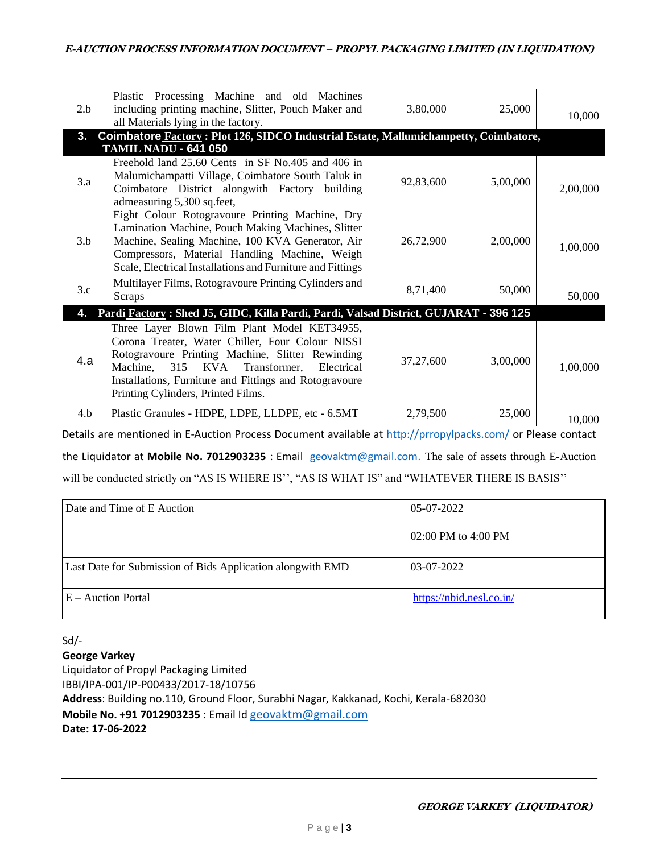| 2.b            | Plastic Processing Machine and old Machines<br>including printing machine, Slitter, Pouch Maker and<br>all Materials lying in the factory.                                                                                                                                                                | 3,80,000  | 25,000   | 10,000   |
|----------------|-----------------------------------------------------------------------------------------------------------------------------------------------------------------------------------------------------------------------------------------------------------------------------------------------------------|-----------|----------|----------|
| 3 <sub>1</sub> | Coimbatore Factory: Plot 126, SIDCO Industrial Estate, Mallumichampetty, Coimbatore,                                                                                                                                                                                                                      |           |          |          |
|                | <b>TAMIL NADU - 641 050</b>                                                                                                                                                                                                                                                                               |           |          |          |
| 3.a            | Freehold land 25.60 Cents in SF No.405 and 406 in<br>Malumichampatti Village, Coimbatore South Taluk in<br>Coimbatore District alongwith Factory building<br>admeasuring 5,300 sq.feet,                                                                                                                   | 92,83,600 | 5,00,000 | 2,00,000 |
| 3.b            | Eight Colour Rotogravoure Printing Machine, Dry<br>Lamination Machine, Pouch Making Machines, Slitter<br>Machine, Sealing Machine, 100 KVA Generator, Air<br>Compressors, Material Handling Machine, Weigh<br>Scale, Electrical Installations and Furniture and Fittings                                  | 26,72,900 | 2,00,000 | 1,00,000 |
| 3.c            | Multilayer Films, Rotogravoure Printing Cylinders and<br>Scraps                                                                                                                                                                                                                                           | 8,71,400  | 50,000   | 50,000   |
| 4.             | Pardi Factory: Shed J5, GIDC, Killa Pardi, Pardi, Valsad District, GUJARAT - 396 125                                                                                                                                                                                                                      |           |          |          |
| 4.a            | Three Layer Blown Film Plant Model KET34955,<br>Corona Treater, Water Chiller, Four Colour NISSI<br>Rotogravoure Printing Machine, Slitter Rewinding<br>315<br>KVA Transformer,<br>Electrical<br>Machine,<br>Installations, Furniture and Fittings and Rotogravoure<br>Printing Cylinders, Printed Films. | 37,27,600 | 3,00,000 | 1,00,000 |
| 4.b            | Plastic Granules - HDPE, LDPE, LLDPE, etc - 6.5MT                                                                                                                                                                                                                                                         | 2,79,500  | 25,000   | 10,000   |

Details are mentioned in E-Auction Process Document available at<http://prropylpacks.com/> or Please contact

the Liquidator at **Mobile No. 7012903235** : Email [geovaktm@gmail.com.](mailto:geovaktm@gmail.com) The sale of assets through E-Auction will be conducted strictly on "AS IS WHERE IS", "AS IS WHAT IS" and "WHATEVER THERE IS BASIS"

| Date and Time of E Auction                                  | 05-07-2022               |
|-------------------------------------------------------------|--------------------------|
|                                                             | $02:00$ PM to 4:00 PM    |
| Last Date for Submission of Bids Application along with EMD | 03-07-2022               |
| $E -$ Auction Portal                                        | https://nbid.nesl.co.in/ |

Sd/-

**George Varkey** 

Liquidator of Propyl Packaging Limited IBBI/IPA-001/IP-P00433/2017-18/10756 **Address**: Building no.110, Ground Floor, Surabhi Nagar, Kakkanad, Kochi, Kerala-682030 **Mobile No. +91 7012903235** : Email Id [geovaktm@gmail.com](mailto:geovaktm@gmail.com) **Date: 17-06-2022**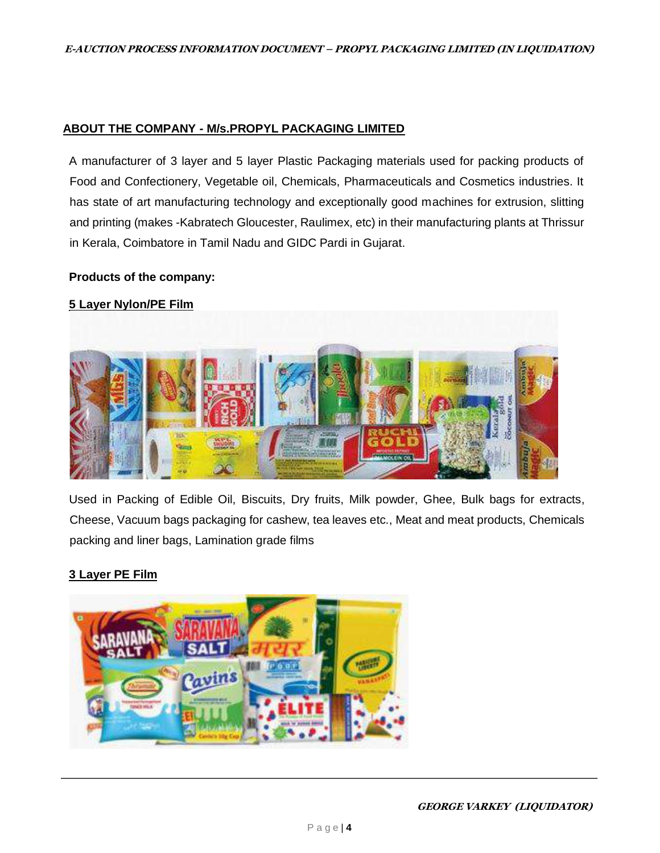## **ABOUT THE COMPANY - M/s.PROPYL PACKAGING LIMITED**

A manufacturer of 3 layer and 5 layer Plastic Packaging materials used for packing products of Food and Confectionery, Vegetable oil, Chemicals, Pharmaceuticals and Cosmetics industries. It has state of art manufacturing technology and exceptionally good machines for extrusion, slitting and printing (makes -Kabratech Gloucester, Raulimex, etc) in their manufacturing plants at Thrissur in Kerala, Coimbatore in Tamil Nadu and GIDC Pardi in Gujarat.

#### **Products of the company:**

## **[5 Layer Nylon/PE Film](https://www.indiamart.com/proddetail/5-layer-nylon-pe-film-21153214862.html)**



Used in Packing of Edible Oil, Biscuits, Dry fruits, Milk powder, Ghee, Bulk bags for extracts, Cheese, Vacuum bags packaging for cashew, tea leaves etc., Meat and meat products, Chemicals packing and liner bags, Lamination grade films

# **[3 Layer PE Film](https://www.indiamart.com/proddetail/3-layer-pe-film-21153222612.html)**

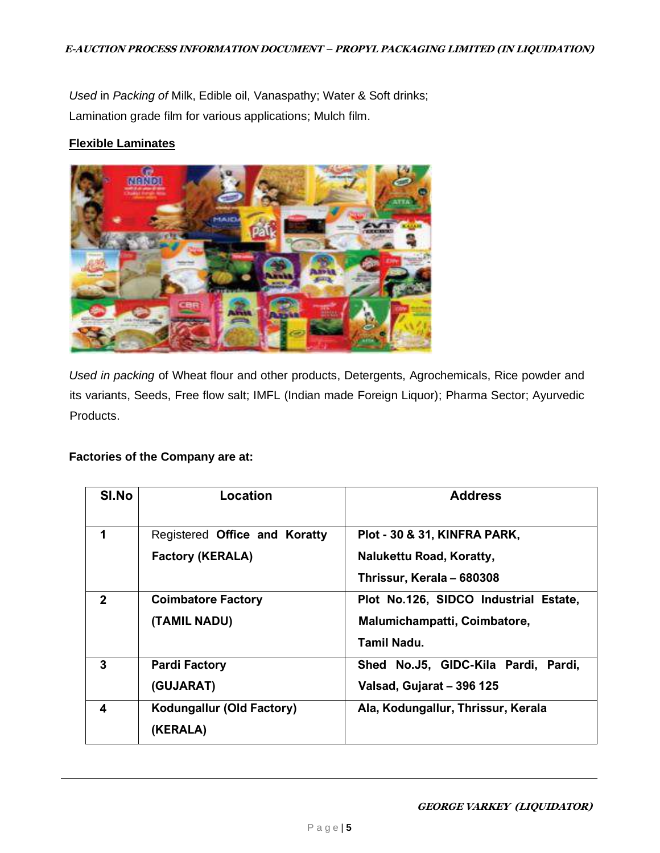*Used* in *Packing of* Milk, Edible oil, Vanaspathy; Water & Soft drinks; Lamination grade film for various applications; Mulch film.

#### **[Flexible Laminates](https://www.indiamart.com/proddetail/flexible-laminates-21153234230.html)**



*Used in packing* of Wheat flour and other products, Detergents, Agrochemicals, Rice powder and its variants, Seeds, Free flow salt; IMFL (Indian made Foreign Liquor); Pharma Sector; Ayurvedic Products.

#### **Factories of the Company are at:**

| SI.No        | Location                      | <b>Address</b>                         |
|--------------|-------------------------------|----------------------------------------|
|              |                               |                                        |
| 1            | Registered Office and Koratty | Plot - 30 & 31, KINFRA PARK,           |
|              | <b>Factory (KERALA)</b>       | Nalukettu Road, Koratty,               |
|              |                               | Thrissur, Kerala - 680308              |
| $\mathbf{2}$ | <b>Coimbatore Factory</b>     | Plot No.126, SIDCO Industrial Estate,  |
|              | (TAMIL NADU)                  | Malumichampatti, Coimbatore,           |
|              |                               | Tamil Nadu.                            |
| 3            | <b>Pardi Factory</b>          | Shed No.J5, GIDC-Kila Pardi,<br>Pardi, |
|              | (GUJARAT)                     | Valsad, Gujarat - 396 125              |
| 4            | Kodungallur (Old Factory)     | Ala, Kodungallur, Thrissur, Kerala     |
|              | (KERALA)                      |                                        |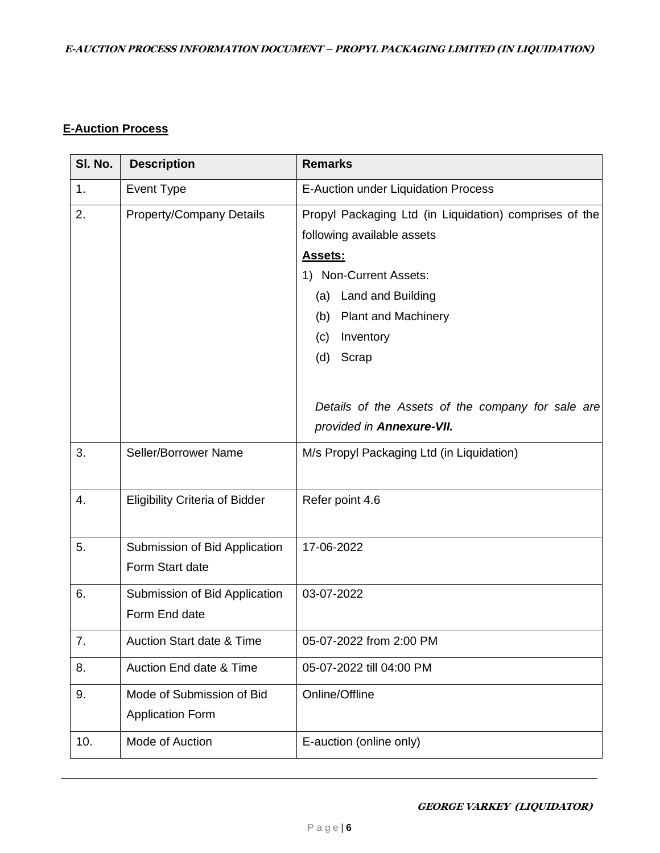# **E-Auction Process**

| SI. No. | <b>Description</b>                    | <b>Remarks</b>                                         |
|---------|---------------------------------------|--------------------------------------------------------|
| 1.      | Event Type                            | E-Auction under Liquidation Process                    |
| 2.      | <b>Property/Company Details</b>       | Propyl Packaging Ltd (in Liquidation) comprises of the |
|         |                                       | following available assets                             |
|         |                                       | <b>Assets:</b>                                         |
|         |                                       | 1) Non-Current Assets:                                 |
|         |                                       | (a) Land and Building                                  |
|         |                                       | (b) Plant and Machinery                                |
|         |                                       | Inventory<br>(c)                                       |
|         |                                       | (d)<br>Scrap                                           |
|         |                                       |                                                        |
|         |                                       | Details of the Assets of the company for sale are      |
|         |                                       | provided in Annexure-VII.                              |
| 3.      | Seller/Borrower Name                  | M/s Propyl Packaging Ltd (in Liquidation)              |
|         |                                       |                                                        |
| 4.      | <b>Eligibility Criteria of Bidder</b> | Refer point 4.6                                        |
|         |                                       |                                                        |
| 5.      | Submission of Bid Application         | 17-06-2022                                             |
|         | Form Start date                       |                                                        |
| 6.      | Submission of Bid Application         | 03-07-2022                                             |
|         | Form End date                         |                                                        |
| 7.      | <b>Auction Start date &amp; Time</b>  | 05-07-2022 from 2:00 PM                                |
|         |                                       |                                                        |
| 8.      | Auction End date & Time               | 05-07-2022 till 04:00 PM                               |
| 9.      | Mode of Submission of Bid             | Online/Offline                                         |
|         | <b>Application Form</b>               |                                                        |
| 10.     | Mode of Auction                       | E-auction (online only)                                |
|         |                                       |                                                        |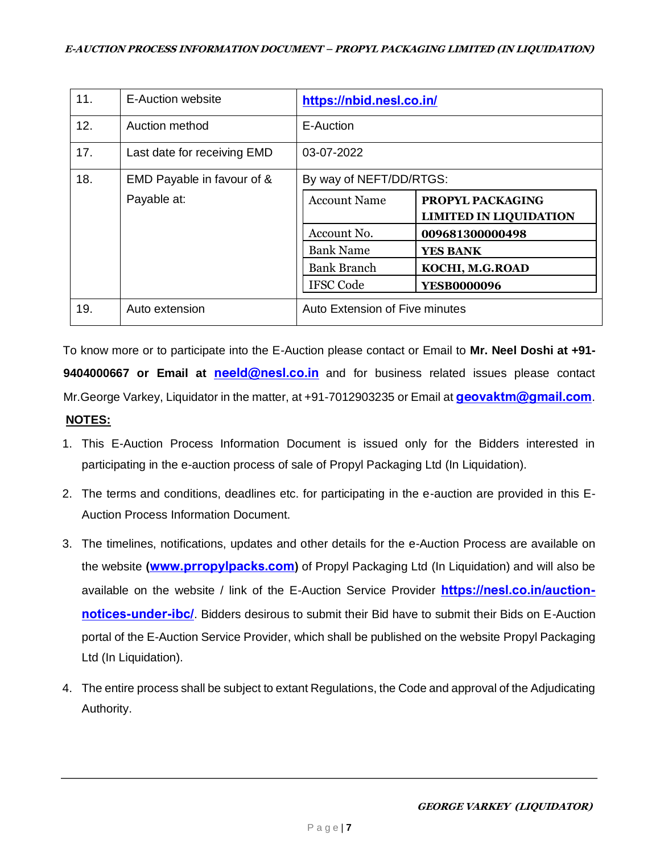| 11. | <b>E-Auction website</b>    | https://nbid.nesl.co.in/       |                                                   |
|-----|-----------------------------|--------------------------------|---------------------------------------------------|
| 12. | Auction method              | E-Auction                      |                                                   |
| 17. | Last date for receiving EMD | 03-07-2022                     |                                                   |
| 18. | EMD Payable in favour of &  | By way of NEFT/DD/RTGS:        |                                                   |
|     | Payable at:                 | <b>Account Name</b>            | PROPYL PACKAGING<br><b>LIMITED IN LIQUIDATION</b> |
|     |                             | Account No.                    | 009681300000498                                   |
|     |                             | <b>Bank Name</b>               | <b>YES BANK</b>                                   |
|     |                             | <b>Bank Branch</b>             | KOCHI, M.G.ROAD                                   |
|     |                             | <b>IFSC Code</b>               | <b>YESB0000096</b>                                |
| 19. | Auto extension              | Auto Extension of Five minutes |                                                   |

To know more or to participate into the E-Auction please contact or Email to **Mr. Neel Doshi at +91- 9404000667 or Email at neeld@nesl.co.in** and for business related issues please contact Mr. George Varkey, Liquidator in the matter, at +91-7012903235 or Email at **geovaktm@gmail.com**. **NOTES:**

- 1. This E-Auction Process Information Document is issued only for the Bidders interested in participating in the e-auction process of sale of Propyl Packaging Ltd (In Liquidation).
- 2. The terms and conditions, deadlines etc. for participating in the e-auction are provided in this E-Auction Process Information Document.
- 3. The timelines, notifications, updates and other details for the e-Auction Process are available on the website ([www.prropylpacks.com](http://www.prropylpacks.com/)[\)](http://www.lancovidarbha.com/) of Propyl Packaging Ltd (In Liquidation) and will also be available on the website / link of the E-Auction Service Provider **https://nesl.co.in/auction**notices-under-ibc/. Bidders desirous to submit their Bid have to submit their Bids on E-Auction portal of the E-Auction Service Provider, which shall be published on the website Propyl Packaging Ltd (In Liquidation).
- 4. The entire process shall be subject to extant Regulations, the Code and approval of the Adjudicating Authority.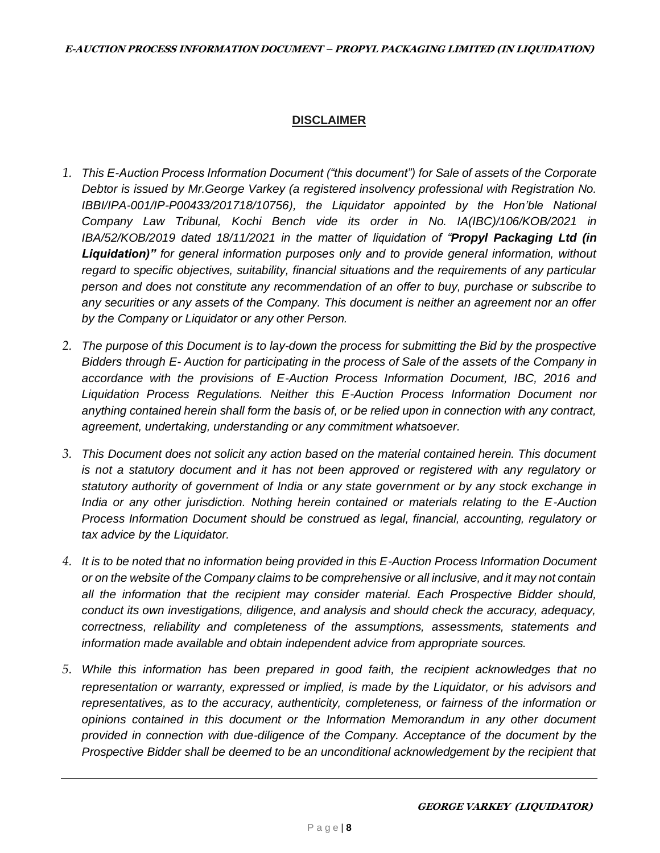# **DISCLAIMER**

- *1. This E-Auction Process Information Document ("this document") for Sale of assets of the Corporate Debtor is issued by Mr.George Varkey (a registered insolvency professional with Registration No. IBBI/IPA-001/IP-P00433/201718/10756), the Liquidator appointed by the Hon'ble National Company Law Tribunal, Kochi Bench vide its order in No. IA(IBC)/106/KOB/2021 in IBA/52/KOB/2019 dated 18/11/2021 in the matter of liquidation of "Propyl Packaging Ltd (in Liquidation)" for general information purposes only and to provide general information, without regard to specific objectives, suitability, financial situations and the requirements of any particular person and does not constitute any recommendation of an offer to buy, purchase or subscribe to any securities or any assets of the Company. This document is neither an agreement nor an offer by the Company or Liquidator or any other Person.*
- *2. The purpose of this Document is to lay-down the process for submitting the Bid by the prospective Bidders through E- Auction for participating in the process of Sale of the assets of the Company in accordance with the provisions of E-Auction Process Information Document, IBC, 2016 and Liquidation Process Regulations. Neither this E-Auction Process Information Document nor anything contained herein shall form the basis of, or be relied upon in connection with any contract, agreement, undertaking, understanding or any commitment whatsoever.*
- *3. This Document does not solicit any action based on the material contained herein. This document is not a statutory document and it has not been approved or registered with any regulatory or statutory authority of government of India or any state government or by any stock exchange in India or any other jurisdiction. Nothing herein contained or materials relating to the E-Auction Process Information Document should be construed as legal, financial, accounting, regulatory or tax advice by the Liquidator.*
- *4. It is to be noted that no information being provided in this E-Auction Process Information Document or on the website of the Company claims to be comprehensive or all inclusive, and it may not contain all the information that the recipient may consider material. Each Prospective Bidder should, conduct its own investigations, diligence, and analysis and should check the accuracy, adequacy, correctness, reliability and completeness of the assumptions, assessments, statements and information made available and obtain independent advice from appropriate sources.*
- *5. While this information has been prepared in good faith, the recipient acknowledges that no representation or warranty, expressed or implied, is made by the Liquidator, or his advisors and representatives, as to the accuracy, authenticity, completeness, or fairness of the information or opinions contained in this document or the Information Memorandum in any other document provided in connection with due-diligence of the Company. Acceptance of the document by the Prospective Bidder shall be deemed to be an unconditional acknowledgement by the recipient that*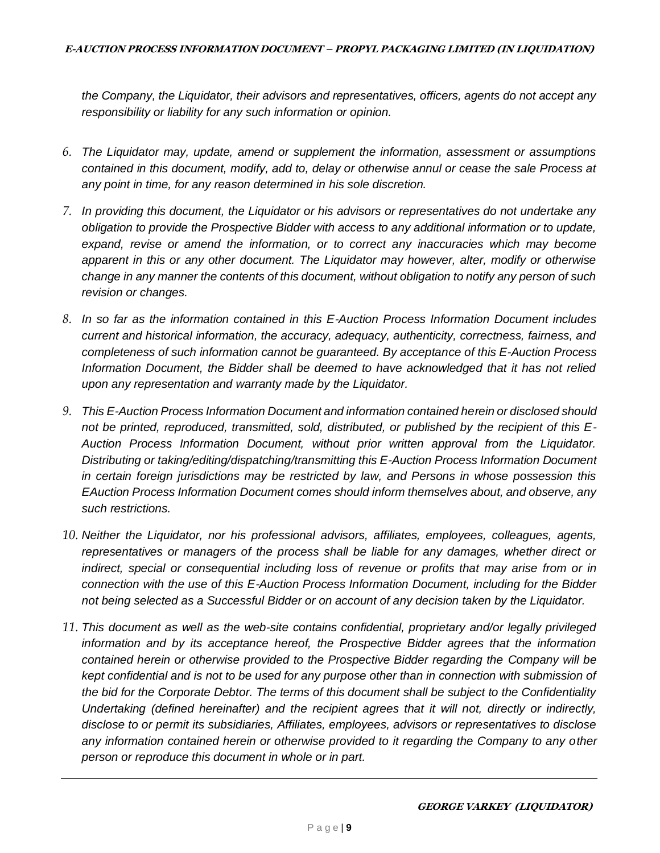*the Company, the Liquidator, their advisors and representatives, officers, agents do not accept any responsibility or liability for any such information or opinion.* 

- *6. The Liquidator may, update, amend or supplement the information, assessment or assumptions contained in this document, modify, add to, delay or otherwise annul or cease the sale Process at any point in time, for any reason determined in his sole discretion.*
- *7. In providing this document, the Liquidator or his advisors or representatives do not undertake any obligation to provide the Prospective Bidder with access to any additional information or to update, expand, revise or amend the information, or to correct any inaccuracies which may become apparent in this or any other document. The Liquidator may however, alter, modify or otherwise change in any manner the contents of this document, without obligation to notify any person of such revision or changes.*
- *8. In so far as the information contained in this E-Auction Process Information Document includes current and historical information, the accuracy, adequacy, authenticity, correctness, fairness, and completeness of such information cannot be guaranteed. By acceptance of this E-Auction Process Information Document, the Bidder shall be deemed to have acknowledged that it has not relied upon any representation and warranty made by the Liquidator.*
- *9. This E-Auction Process Information Document and information contained herein or disclosed should not be printed, reproduced, transmitted, sold, distributed, or published by the recipient of this E-Auction Process Information Document, without prior written approval from the Liquidator. Distributing or taking/editing/dispatching/transmitting this E-Auction Process Information Document in certain foreign jurisdictions may be restricted by law, and Persons in whose possession this EAuction Process Information Document comes should inform themselves about, and observe, any such restrictions.*
- *10. Neither the Liquidator, nor his professional advisors, affiliates, employees, colleagues, agents, representatives or managers of the process shall be liable for any damages, whether direct or indirect, special or consequential including loss of revenue or profits that may arise from or in connection with the use of this E-Auction Process Information Document, including for the Bidder not being selected as a Successful Bidder or on account of any decision taken by the Liquidator.*
- *11. This document as well as the web-site contains confidential, proprietary and/or legally privileged information and by its acceptance hereof, the Prospective Bidder agrees that the information contained herein or otherwise provided to the Prospective Bidder regarding the Company will be kept confidential and is not to be used for any purpose other than in connection with submission of the bid for the Corporate Debtor. The terms of this document shall be subject to the Confidentiality Undertaking (defined hereinafter) and the recipient agrees that it will not, directly or indirectly, disclose to or permit its subsidiaries, Affiliates, employees, advisors or representatives to disclose any information contained herein or otherwise provided to it regarding the Company to any other person or reproduce this document in whole or in part.*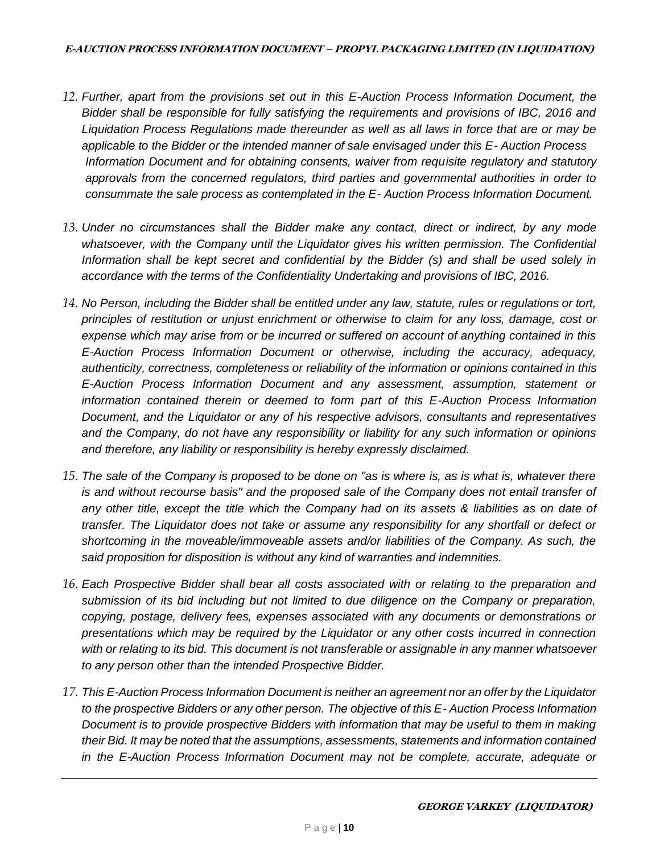- *12. Further, apart from the provisions set out in this E-Auction Process Information Document, the Bidder shall be responsible for fully satisfying the requirements and provisions of IBC, 2016 and Liquidation Process Regulations made thereunder as well as all laws in force that are or may be applicable to the Bidder or the intended manner of sale envisaged under this E- Auction Process Information Document and for obtaining consents, waiver from requisite regulatory and statutory approvals from the concerned regulators, third parties and governmental authorities in order to consummate the sale process as contemplated in the E- Auction Process Information Document.*
- *13. Under no circumstances shall the Bidder make any contact, direct or indirect, by any mode*  whatsoever, with the Company until the Liquidator gives his written permission. The Confidential *Information shall be kept secret and confidential by the Bidder (s) and shall be used solely in accordance with the terms of the Confidentiality Undertaking and provisions of IBC, 2016.*
- *14. No Person, including the Bidder shall be entitled under any law, statute, rules or regulations or tort, principles of restitution or unjust enrichment or otherwise to claim for any loss, damage, cost or expense which may arise from or be incurred or suffered on account of anything contained in this E-Auction Process Information Document or otherwise, including the accuracy, adequacy, authenticity, correctness, completeness or reliability of the information or opinions contained in this E-Auction Process Information Document and any assessment, assumption, statement or information contained therein or deemed to form part of this E-Auction Process Information Document, and the Liquidator or any of his respective advisors, consultants and representatives and the Company, do not have any responsibility or liability for any such information or opinions and therefore, any liability or responsibility is hereby expressly disclaimed.*
- *15. The sale of the Company is proposed to be done on "as is where is, as is what is, whatever there is and without recourse basis" and the proposed sale of the Company does not entail transfer of any other title, except the title which the Company had on its assets & liabilities as on date of transfer. The Liquidator does not take or assume any responsibility for any shortfall or defect or shortcoming in the moveable/immoveable assets and/or liabilities of the Company. As such, the said proposition for disposition is without any kind of warranties and indemnities.*
- *16. Each Prospective Bidder shall bear all costs associated with or relating to the preparation and submission of its bid including but not limited to due diligence on the Company or preparation, copying, postage, delivery fees, expenses associated with any documents or demonstrations or presentations which may be required by the Liquidator or any other costs incurred in connection with or relating to its bid. This document is not transferable or assignable in any manner whatsoever to any person other than the intended Prospective Bidder.*
- *17. This E-Auction Process Information Document is neither an agreement nor an offer by the Liquidator to the prospective Bidders or any other person. The objective of this E- Auction Process Information Document is to provide prospective Bidders with information that may be useful to them in making their Bid. It may be noted that the assumptions, assessments, statements and information contained in the E-Auction Process Information Document may not be complete, accurate, adequate or*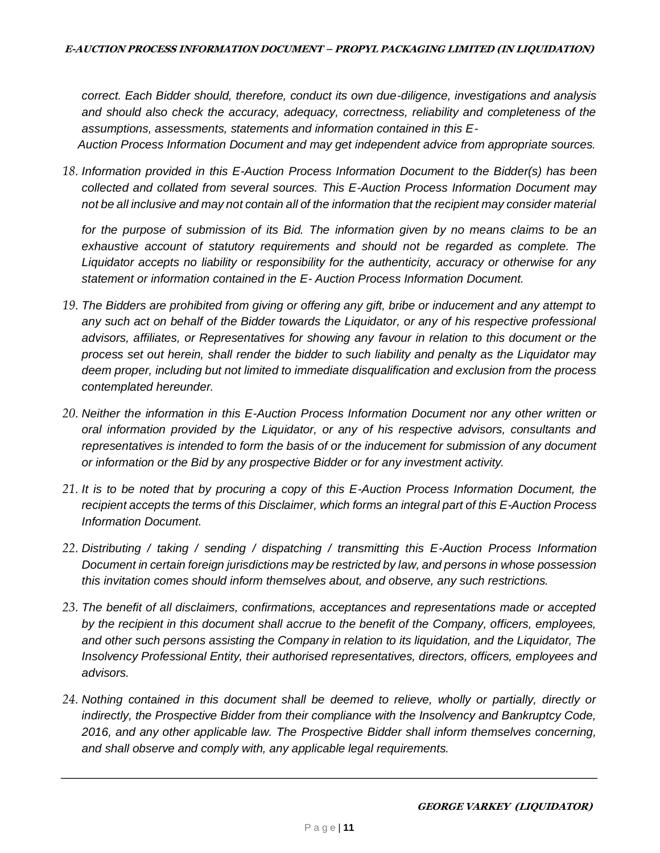*correct. Each Bidder should, therefore, conduct its own due-diligence, investigations and analysis and should also check the accuracy, adequacy, correctness, reliability and completeness of the assumptions, assessments, statements and information contained in this E-*

*Auction Process Information Document and may get independent advice from appropriate sources.* 

*18. Information provided in this E-Auction Process Information Document to the Bidder(s) has been collected and collated from several sources. This E-Auction Process Information Document may not be all inclusive and may not contain all of the information that the recipient may consider material* 

*for the purpose of submission of its Bid. The information given by no means claims to be an exhaustive account of statutory requirements and should not be regarded as complete. The Liquidator accepts no liability or responsibility for the authenticity, accuracy or otherwise for any statement or information contained in the E- Auction Process Information Document.* 

- *19. The Bidders are prohibited from giving or offering any gift, bribe or inducement and any attempt to any such act on behalf of the Bidder towards the Liquidator, or any of his respective professional advisors, affiliates, or Representatives for showing any favour in relation to this document or the process set out herein, shall render the bidder to such liability and penalty as the Liquidator may deem proper, including but not limited to immediate disqualification and exclusion from the process contemplated hereunder.*
- *20. Neither the information in this E-Auction Process Information Document nor any other written or oral information provided by the Liquidator, or any of his respective advisors, consultants and representatives is intended to form the basis of or the inducement for submission of any document or information or the Bid by any prospective Bidder or for any investment activity.*
- *21. It is to be noted that by procuring a copy of this E-Auction Process Information Document, the recipient accepts the terms of this Disclaimer, which forms an integral part of this E-Auction Process Information Document.*
- *22. Distributing / taking / sending / dispatching / transmitting this E-Auction Process Information Document in certain foreign jurisdictions may be restricted by law, and persons in whose possession this invitation comes should inform themselves about, and observe, any such restrictions.*
- *23. The benefit of all disclaimers, confirmations, acceptances and representations made or accepted by the recipient in this document shall accrue to the benefit of the Company, officers, employees, and other such persons assisting the Company in relation to its liquidation, and the Liquidator, The Insolvency Professional Entity, their authorised representatives, directors, officers, employees and advisors.*
- *24. Nothing contained in this document shall be deemed to relieve, wholly or partially, directly or indirectly, the Prospective Bidder from their compliance with the Insolvency and Bankruptcy Code, 2016, and any other applicable law. The Prospective Bidder shall inform themselves concerning, and shall observe and comply with, any applicable legal requirements.*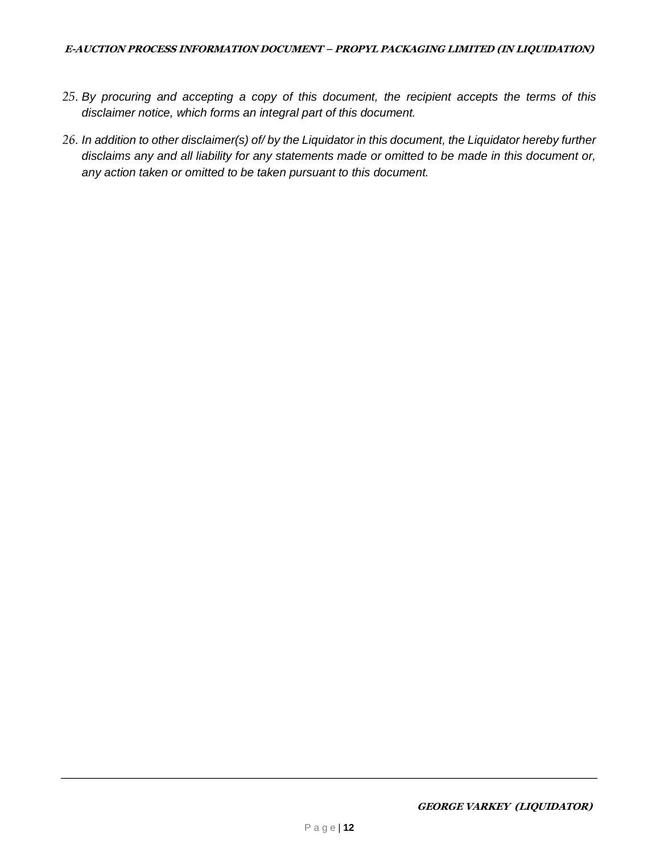#### **E-AUCTION PROCESS INFORMATION DOCUMENT – PROPYL PACKAGING LIMITED (IN LIQUIDATION)**

- *25. By procuring and accepting a copy of this document, the recipient accepts the terms of this disclaimer notice, which forms an integral part of this document.*
- *26. In addition to other disclaimer(s) of/ by the Liquidator in this document, the Liquidator hereby further disclaims any and all liability for any statements made or omitted to be made in this document or, any action taken or omitted to be taken pursuant to this document.*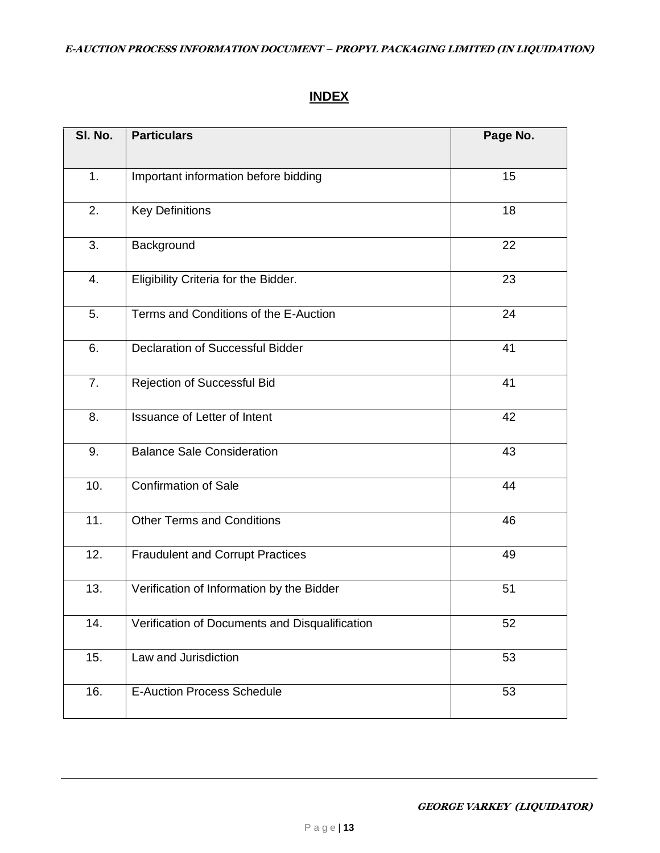# **INDEX**

| SI. No. | <b>Particulars</b>                             | Page No. |
|---------|------------------------------------------------|----------|
|         |                                                |          |
| 1.      | Important information before bidding           | 15       |
| 2.      | <b>Key Definitions</b>                         | 18       |
| 3.      | Background                                     | 22       |
| 4.      | Eligibility Criteria for the Bidder.           | 23       |
| 5.      | Terms and Conditions of the E-Auction          | 24       |
| 6.      | <b>Declaration of Successful Bidder</b>        | 41       |
| 7.      | Rejection of Successful Bid                    | 41       |
| 8.      | Issuance of Letter of Intent                   | 42       |
| 9.      | <b>Balance Sale Consideration</b>              | 43       |
| 10.     | <b>Confirmation of Sale</b>                    | 44       |
| 11.     | <b>Other Terms and Conditions</b>              | 46       |
| 12.     | <b>Fraudulent and Corrupt Practices</b>        | 49       |
| 13.     | Verification of Information by the Bidder      | 51       |
| 14.     | Verification of Documents and Disqualification | 52       |
| 15.     | Law and Jurisdiction                           | 53       |
| 16.     | <b>E-Auction Process Schedule</b>              | 53       |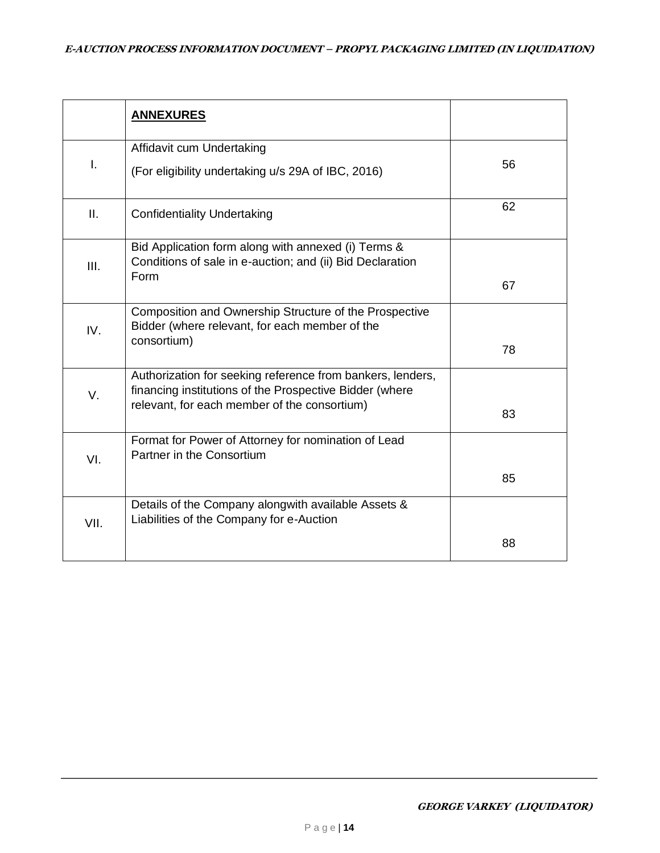|      | <b>ANNEXURES</b>                                                                                                                                                      |    |
|------|-----------------------------------------------------------------------------------------------------------------------------------------------------------------------|----|
| I.   | Affidavit cum Undertaking<br>(For eligibility undertaking u/s 29A of IBC, 2016)                                                                                       | 56 |
| Ш.   | <b>Confidentiality Undertaking</b>                                                                                                                                    | 62 |
| III. | Bid Application form along with annexed (i) Terms &<br>Conditions of sale in e-auction; and (ii) Bid Declaration<br>Form                                              | 67 |
| IV.  | Composition and Ownership Structure of the Prospective<br>Bidder (where relevant, for each member of the<br>consortium)                                               | 78 |
| V.   | Authorization for seeking reference from bankers, lenders,<br>financing institutions of the Prospective Bidder (where<br>relevant, for each member of the consortium) | 83 |
| VI.  | Format for Power of Attorney for nomination of Lead<br>Partner in the Consortium                                                                                      | 85 |
| VII. | Details of the Company alongwith available Assets &<br>Liabilities of the Company for e-Auction                                                                       | 88 |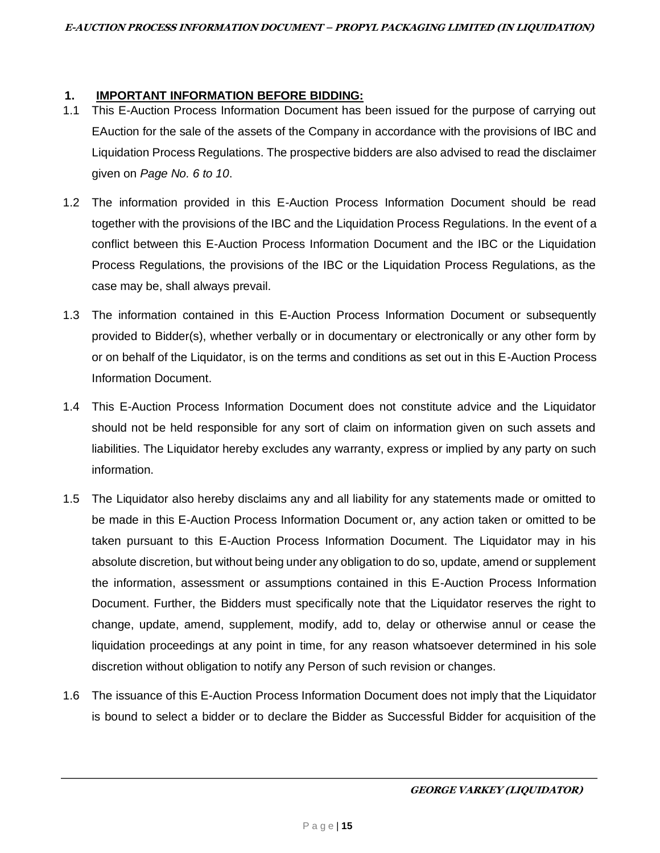#### **1. IMPORTANT INFORMATION BEFORE BIDDING:**

- 1.1 This E-Auction Process Information Document has been issued for the purpose of carrying out EAuction for the sale of the assets of the Company in accordance with the provisions of IBC and Liquidation Process Regulations. The prospective bidders are also advised to read the disclaimer given on *Page No. 6 to 10*.
- 1.2 The information provided in this E-Auction Process Information Document should be read together with the provisions of the IBC and the Liquidation Process Regulations. In the event of a conflict between this E-Auction Process Information Document and the IBC or the Liquidation Process Regulations, the provisions of the IBC or the Liquidation Process Regulations, as the case may be, shall always prevail.
- 1.3 The information contained in this E-Auction Process Information Document or subsequently provided to Bidder(s), whether verbally or in documentary or electronically or any other form by or on behalf of the Liquidator, is on the terms and conditions as set out in this E-Auction Process Information Document.
- 1.4 This E-Auction Process Information Document does not constitute advice and the Liquidator should not be held responsible for any sort of claim on information given on such assets and liabilities. The Liquidator hereby excludes any warranty, express or implied by any party on such information.
- 1.5 The Liquidator also hereby disclaims any and all liability for any statements made or omitted to be made in this E-Auction Process Information Document or, any action taken or omitted to be taken pursuant to this E-Auction Process Information Document. The Liquidator may in his absolute discretion, but without being under any obligation to do so, update, amend or supplement the information, assessment or assumptions contained in this E-Auction Process Information Document. Further, the Bidders must specifically note that the Liquidator reserves the right to change, update, amend, supplement, modify, add to, delay or otherwise annul or cease the liquidation proceedings at any point in time, for any reason whatsoever determined in his sole discretion without obligation to notify any Person of such revision or changes.
- 1.6 The issuance of this E-Auction Process Information Document does not imply that the Liquidator is bound to select a bidder or to declare the Bidder as Successful Bidder for acquisition of the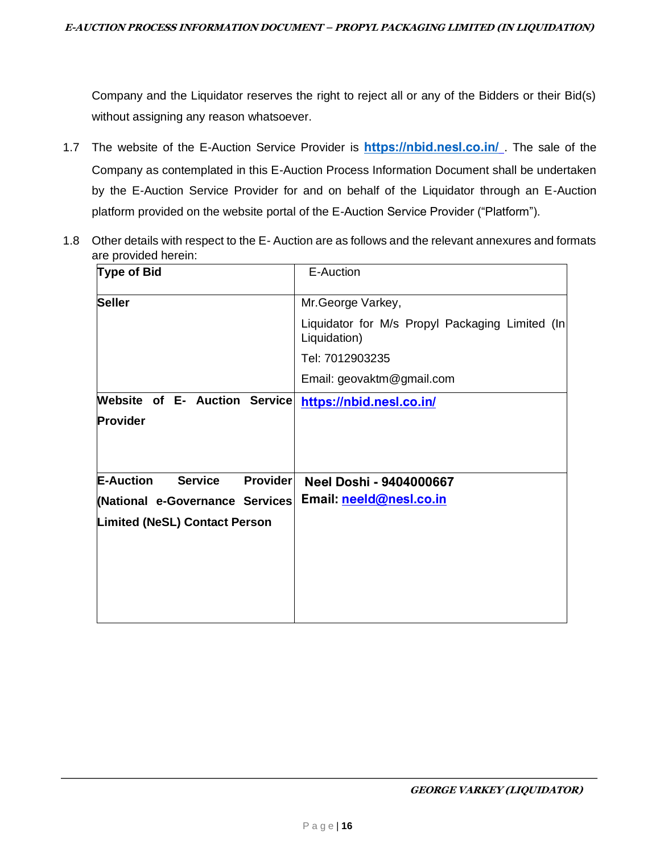Company and the Liquidator reserves the right to reject all or any of the Bidders or their Bid(s) without assigning any reason whatsoever.

- 1.7 The website of the E-Auction Service Provider is **<https://nbid.nesl.co.in/>**. The sale of the Company as contemplated in this E-Auction Process Information Document shall be undertaken by the E-Auction Service Provider for and on behalf of the Liquidator through an E-Auction platform provided on the website portal of the E-Auction Service Provider ("Platform").
- 1.8 Other details with respect to the E- Auction are as follows and the relevant annexures and formats are provided herein:

| <b>Type of Bid</b>                                    | E-Auction                                                       |
|-------------------------------------------------------|-----------------------------------------------------------------|
| <b>Seller</b>                                         | Mr.George Varkey,                                               |
|                                                       | Liquidator for M/s Propyl Packaging Limited (In<br>Liquidation) |
|                                                       | Tel: 7012903235                                                 |
|                                                       | Email: geovaktm@gmail.com                                       |
| Website of E- Auction Service                         | https://nbid.nesl.co.in/                                        |
| Provider                                              |                                                                 |
|                                                       |                                                                 |
|                                                       |                                                                 |
| <b>E-Auction</b><br><b>Service</b><br><b>Provider</b> | <b>Neel Doshi - 9404000667</b>                                  |
| (National e-Governance Services                       | Email: neeld@nesl.co.in                                         |
| <b>Limited (NeSL) Contact Person</b>                  |                                                                 |
|                                                       |                                                                 |
|                                                       |                                                                 |
|                                                       |                                                                 |
|                                                       |                                                                 |
|                                                       |                                                                 |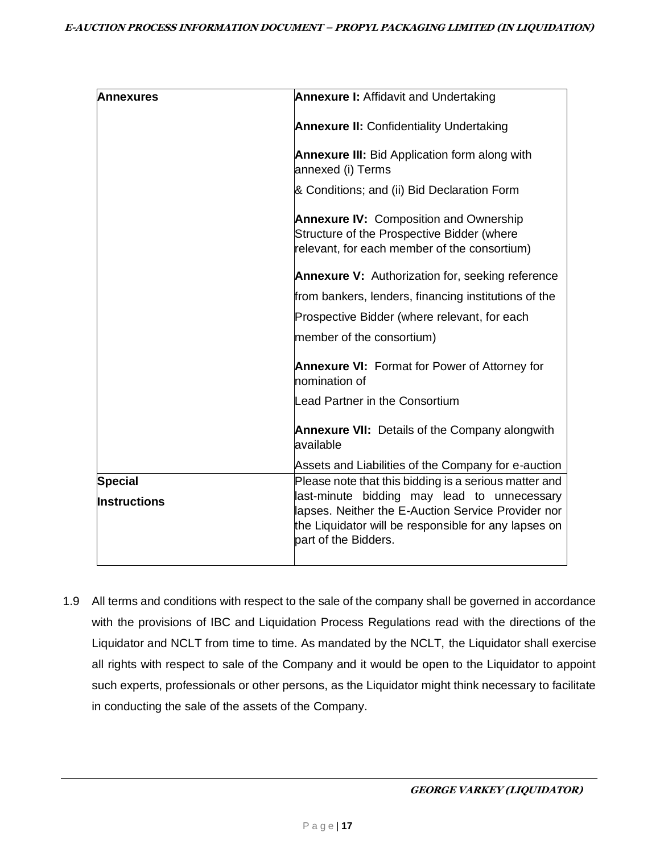| <b>Annexures</b>    | <b>Annexure I: Affidavit and Undertaking</b>                                                                                                |
|---------------------|---------------------------------------------------------------------------------------------------------------------------------------------|
|                     | <b>Annexure II: Confidentiality Undertaking</b>                                                                                             |
|                     | <b>Annexure III:</b> Bid Application form along with<br>annexed (i) Terms                                                                   |
|                     | & Conditions; and (ii) Bid Declaration Form                                                                                                 |
|                     | <b>Annexure IV: Composition and Ownership</b><br>Structure of the Prospective Bidder (where<br>relevant, for each member of the consortium) |
|                     | <b>Annexure V:</b> Authorization for, seeking reference                                                                                     |
|                     | from bankers, lenders, financing institutions of the                                                                                        |
|                     | Prospective Bidder (where relevant, for each                                                                                                |
|                     | member of the consortium)                                                                                                                   |
|                     | <b>Annexure VI:</b> Format for Power of Attorney for<br>nomination of                                                                       |
|                     | Lead Partner in the Consortium                                                                                                              |
|                     | <b>Annexure VII:</b> Details of the Company alongwith<br>available                                                                          |
|                     | Assets and Liabilities of the Company for e-auction                                                                                         |
| <b>Special</b>      | Please note that this bidding is a serious matter and<br>last-minute bidding may lead to unnecessary                                        |
| <b>Instructions</b> | lapses. Neither the E-Auction Service Provider nor<br>the Liquidator will be responsible for any lapses on<br>part of the Bidders.          |
|                     |                                                                                                                                             |

1.9 All terms and conditions with respect to the sale of the company shall be governed in accordance with the provisions of IBC and Liquidation Process Regulations read with the directions of the Liquidator and NCLT from time to time. As mandated by the NCLT, the Liquidator shall exercise all rights with respect to sale of the Company and it would be open to the Liquidator to appoint such experts, professionals or other persons, as the Liquidator might think necessary to facilitate in conducting the sale of the assets of the Company.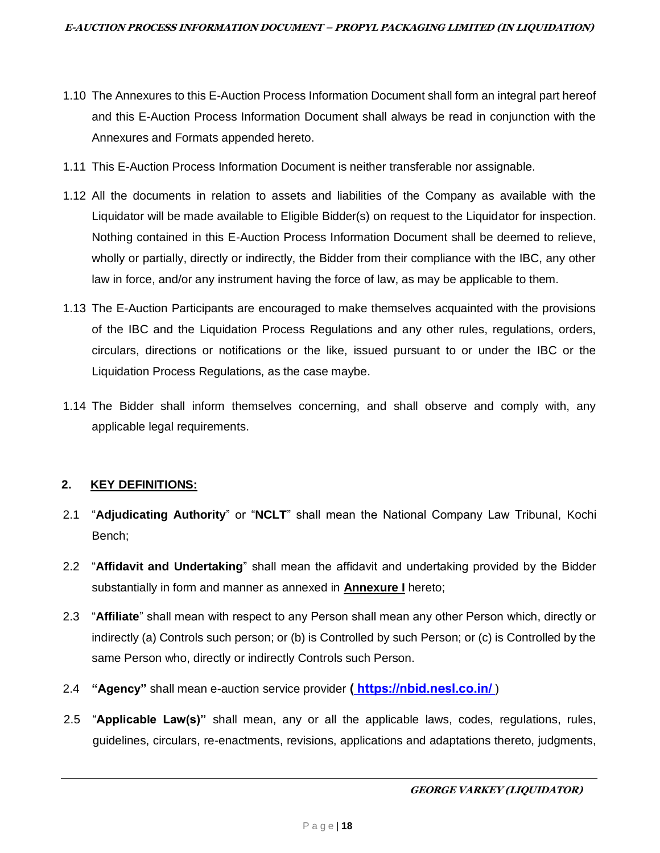- 1.10 The Annexures to this E-Auction Process Information Document shall form an integral part hereof and this E-Auction Process Information Document shall always be read in conjunction with the Annexures and Formats appended hereto.
- 1.11 This E-Auction Process Information Document is neither transferable nor assignable.
- 1.12 All the documents in relation to assets and liabilities of the Company as available with the Liquidator will be made available to Eligible Bidder(s) on request to the Liquidator for inspection. Nothing contained in this E-Auction Process Information Document shall be deemed to relieve, wholly or partially, directly or indirectly, the Bidder from their compliance with the IBC, any other law in force, and/or any instrument having the force of law, as may be applicable to them.
- 1.13 The E-Auction Participants are encouraged to make themselves acquainted with the provisions of the IBC and the Liquidation Process Regulations and any other rules, regulations, orders, circulars, directions or notifications or the like, issued pursuant to or under the IBC or the Liquidation Process Regulations, as the case maybe.
- 1.14 The Bidder shall inform themselves concerning, and shall observe and comply with, any applicable legal requirements.

# **2. KEY DEFINITIONS:**

- 2.1 "**Adjudicating Authority**" or "**NCLT**" shall mean the National Company Law Tribunal, Kochi Bench;
- 2.2 "**Affidavit and Undertaking**" shall mean the affidavit and undertaking provided by the Bidder substantially in form and manner as annexed in **Annexure I** hereto;
- 2.3 "**Affiliate**" shall mean with respect to any Person shall mean any other Person which, directly or indirectly (a) Controls such person; or (b) is Controlled by such Person; or (c) is Controlled by the same Person who, directly or indirectly Controls such Person.
- 2.4 **"Agency"** shall mean e-auction service provider [\(](https://ncltauction.auctiontiger.net/)**https://nbid.nesl.co.in/**[\)](https://ncltauction.auctiontiger.net/)
- 2.5 "**Applicable Law(s)"** shall mean, any or all the applicable laws, codes, regulations, rules, guidelines, circulars, re-enactments, revisions, applications and adaptations thereto, judgments,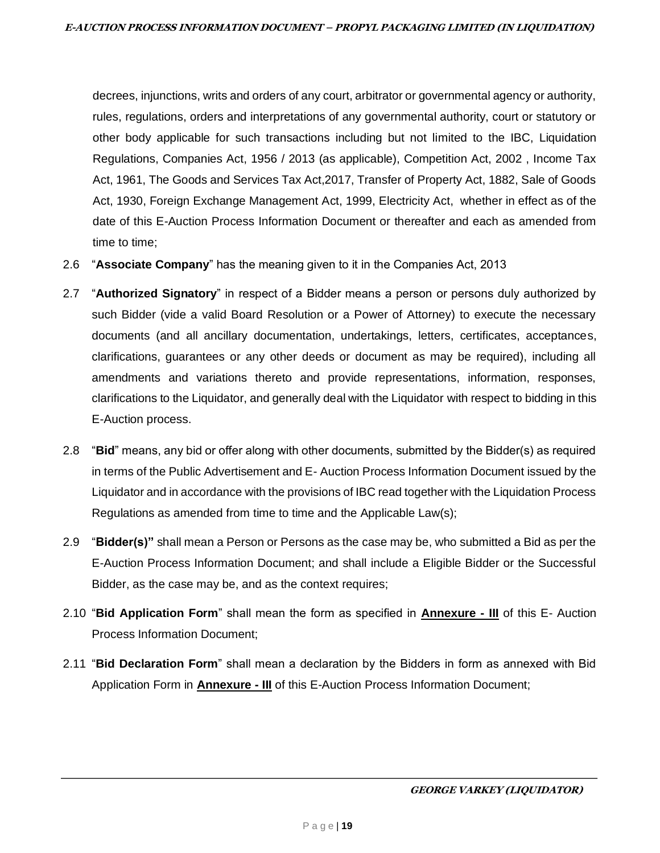decrees, injunctions, writs and orders of any court, arbitrator or governmental agency or authority, rules, regulations, orders and interpretations of any governmental authority, court or statutory or other body applicable for such transactions including but not limited to the IBC, Liquidation Regulations, Companies Act, 1956 / 2013 (as applicable), Competition Act, 2002 , Income Tax Act, 1961, The Goods and Services Tax Act,2017, Transfer of Property Act, 1882, Sale of Goods Act, 1930, Foreign Exchange Management Act, 1999, Electricity Act, whether in effect as of the date of this E-Auction Process Information Document or thereafter and each as amended from time to time;

- 2.6 "**Associate Company**" has the meaning given to it in the Companies Act, 2013
- 2.7 "**Authorized Signatory**" in respect of a Bidder means a person or persons duly authorized by such Bidder (vide a valid Board Resolution or a Power of Attorney) to execute the necessary documents (and all ancillary documentation, undertakings, letters, certificates, acceptances, clarifications, guarantees or any other deeds or document as may be required), including all amendments and variations thereto and provide representations, information, responses, clarifications to the Liquidator, and generally deal with the Liquidator with respect to bidding in this E-Auction process.
- 2.8 "**Bid**" means, any bid or offer along with other documents, submitted by the Bidder(s) as required in terms of the Public Advertisement and E- Auction Process Information Document issued by the Liquidator and in accordance with the provisions of IBC read together with the Liquidation Process Regulations as amended from time to time and the Applicable Law(s);
- 2.9 "**Bidder(s)"** shall mean a Person or Persons as the case may be, who submitted a Bid as per the E-Auction Process Information Document; and shall include a Eligible Bidder or the Successful Bidder, as the case may be, and as the context requires;
- 2.10 "**Bid Application Form**" shall mean the form as specified in **Annexure - III** of this E- Auction Process Information Document;
- 2.11 "**Bid Declaration Form**" shall mean a declaration by the Bidders in form as annexed with Bid Application Form in **Annexure - III** of this E-Auction Process Information Document;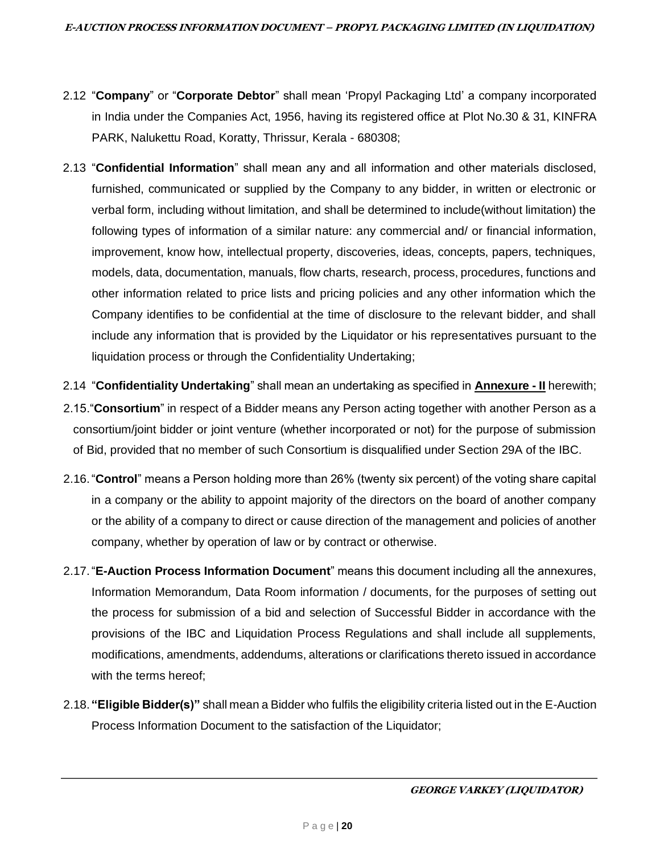- 2.12 "**Company**" or "**Corporate Debtor**" shall mean 'Propyl Packaging Ltd' a company incorporated in India under the Companies Act, 1956, having its registered office at Plot No.30 & 31, KINFRA PARK, Nalukettu Road, Koratty, Thrissur, Kerala - 680308;
- 2.13 "**Confidential Information**" shall mean any and all information and other materials disclosed, furnished, communicated or supplied by the Company to any bidder, in written or electronic or verbal form, including without limitation, and shall be determined to include(without limitation) the following types of information of a similar nature: any commercial and/ or financial information, improvement, know how, intellectual property, discoveries, ideas, concepts, papers, techniques, models, data, documentation, manuals, flow charts, research, process, procedures, functions and other information related to price lists and pricing policies and any other information which the Company identifies to be confidential at the time of disclosure to the relevant bidder, and shall include any information that is provided by the Liquidator or his representatives pursuant to the liquidation process or through the Confidentiality Undertaking;
- 2.14 "**Confidentiality Undertaking**" shall mean an undertaking as specified in **Annexure - II** herewith;
- 2.15."**Consortium**" in respect of a Bidder means any Person acting together with another Person as a consortium/joint bidder or joint venture (whether incorporated or not) for the purpose of submission of Bid, provided that no member of such Consortium is disqualified under Section 29A of the IBC.
- 2.16."**Control**" means a Person holding more than 26% (twenty six percent) of the voting share capital in a company or the ability to appoint majority of the directors on the board of another company or the ability of a company to direct or cause direction of the management and policies of another company, whether by operation of law or by contract or otherwise.
- 2.17."**E-Auction Process Information Document**" means this document including all the annexures, Information Memorandum, Data Room information / documents, for the purposes of setting out the process for submission of a bid and selection of Successful Bidder in accordance with the provisions of the IBC and Liquidation Process Regulations and shall include all supplements, modifications, amendments, addendums, alterations or clarifications thereto issued in accordance with the terms hereof;
- 2.18. **"Eligible Bidder(s)"** shall mean a Bidder who fulfils the eligibility criteria listed out in the E-Auction Process Information Document to the satisfaction of the Liquidator;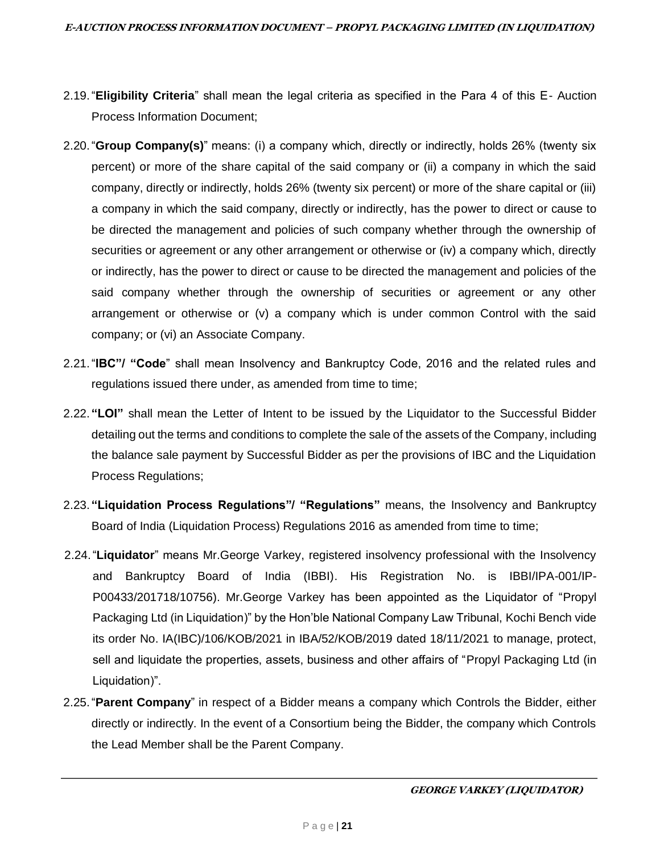- 2.19."**Eligibility Criteria**" shall mean the legal criteria as specified in the Para 4 of this E- Auction Process Information Document;
- 2.20."**Group Company(s)**" means: (i) a company which, directly or indirectly, holds 26% (twenty six percent) or more of the share capital of the said company or (ii) a company in which the said company, directly or indirectly, holds 26% (twenty six percent) or more of the share capital or (iii) a company in which the said company, directly or indirectly, has the power to direct or cause to be directed the management and policies of such company whether through the ownership of securities or agreement or any other arrangement or otherwise or (iv) a company which, directly or indirectly, has the power to direct or cause to be directed the management and policies of the said company whether through the ownership of securities or agreement or any other arrangement or otherwise or (v) a company which is under common Control with the said company; or (vi) an Associate Company.
- 2.21."**IBC"/ "Code**" shall mean Insolvency and Bankruptcy Code, 2016 and the related rules and regulations issued there under, as amended from time to time;
- 2.22. **"LOI"** shall mean the Letter of Intent to be issued by the Liquidator to the Successful Bidder detailing out the terms and conditions to complete the sale of the assets of the Company, including the balance sale payment by Successful Bidder as per the provisions of IBC and the Liquidation Process Regulations;
- 2.23. **"Liquidation Process Regulations"/ "Regulations"** means, the Insolvency and Bankruptcy Board of India (Liquidation Process) Regulations 2016 as amended from time to time;
- 2.24."**Liquidator**" means Mr.George Varkey, registered insolvency professional with the Insolvency and Bankruptcy Board of India (IBBI). His Registration No. is IBBI/IPA-001/IP-P00433/201718/10756). Mr.George Varkey has been appointed as the Liquidator of "Propyl Packaging Ltd (in Liquidation)" by the Hon'ble National Company Law Tribunal, Kochi Bench vide its order No. IA(IBC)/106/KOB/2021 in IBA/52/KOB/2019 dated 18/11/2021 to manage, protect, sell and liquidate the properties, assets, business and other affairs of "Propyl Packaging Ltd (in Liquidation)".
- 2.25."**Parent Company**" in respect of a Bidder means a company which Controls the Bidder, either directly or indirectly. In the event of a Consortium being the Bidder, the company which Controls the Lead Member shall be the Parent Company.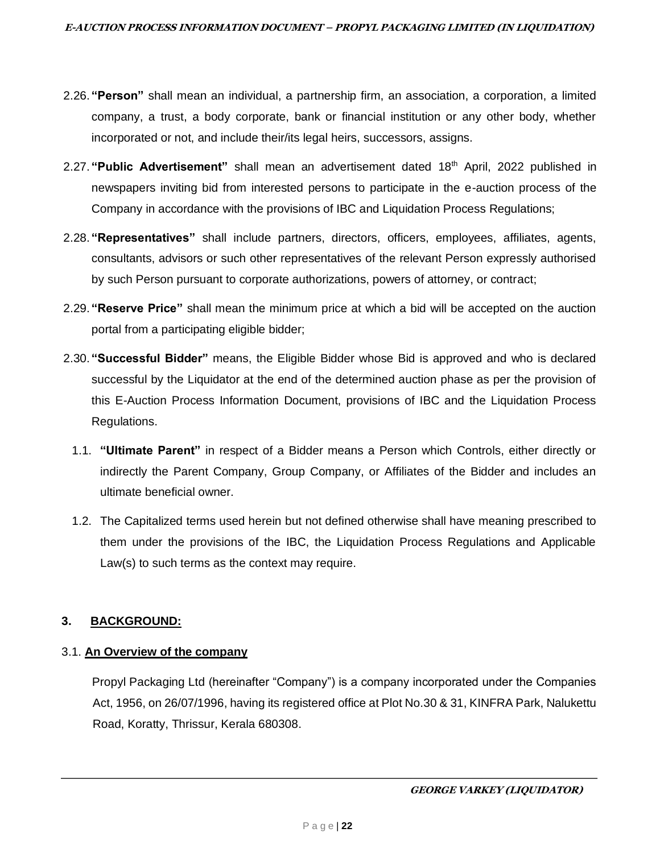- 2.26. **"Person"** shall mean an individual, a partnership firm, an association, a corporation, a limited company, a trust, a body corporate, bank or financial institution or any other body, whether incorporated or not, and include their/its legal heirs, successors, assigns.
- 2.27. **"Public Advertisement"** shall mean an advertisement dated 18 th April, 2022 published in newspapers inviting bid from interested persons to participate in the e-auction process of the Company in accordance with the provisions of IBC and Liquidation Process Regulations;
- 2.28. **"Representatives"** shall include partners, directors, officers, employees, affiliates, agents, consultants, advisors or such other representatives of the relevant Person expressly authorised by such Person pursuant to corporate authorizations, powers of attorney, or contract;
- 2.29. **"Reserve Price"** shall mean the minimum price at which a bid will be accepted on the auction portal from a participating eligible bidder;
- 2.30. **"Successful Bidder"** means, the Eligible Bidder whose Bid is approved and who is declared successful by the Liquidator at the end of the determined auction phase as per the provision of this E-Auction Process Information Document, provisions of IBC and the Liquidation Process Regulations.
	- 1.1. **"Ultimate Parent"** in respect of a Bidder means a Person which Controls, either directly or indirectly the Parent Company, Group Company, or Affiliates of the Bidder and includes an ultimate beneficial owner.
	- 1.2. The Capitalized terms used herein but not defined otherwise shall have meaning prescribed to them under the provisions of the IBC, the Liquidation Process Regulations and Applicable Law(s) to such terms as the context may require.

# **3. BACKGROUND:**

#### 3.1. **An Overview of the company**

Propyl Packaging Ltd (hereinafter "Company") is a company incorporated under the Companies Act, 1956, on 26/07/1996, having its registered office at Plot No.30 & 31, KINFRA Park, Nalukettu Road, Koratty, Thrissur, Kerala 680308.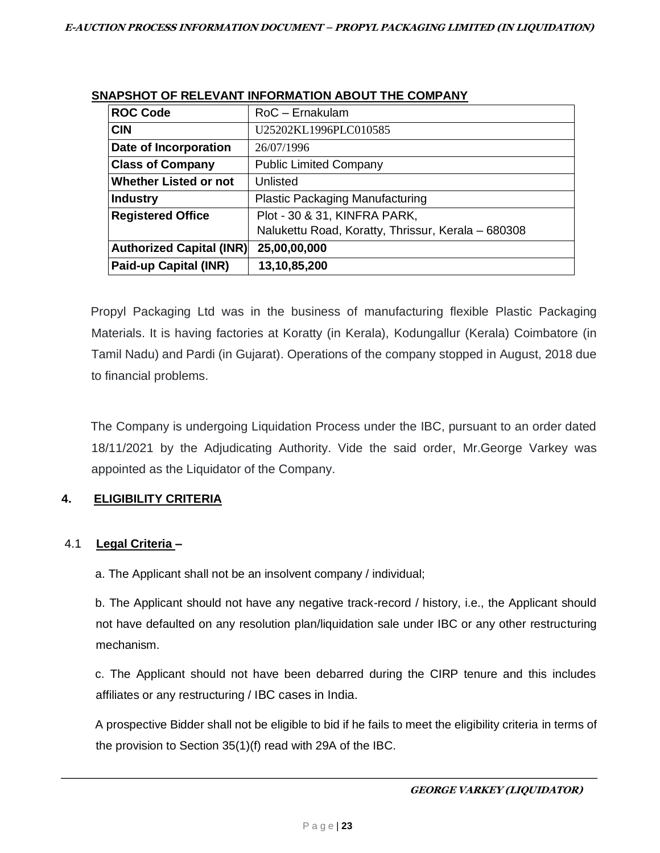| <b>ROC Code</b>                 | $RoC - E$ rnakulam                                 |
|---------------------------------|----------------------------------------------------|
| <b>CIN</b>                      | U25202KL1996PLC010585                              |
| Date of Incorporation           | 26/07/1996                                         |
| <b>Class of Company</b>         | <b>Public Limited Company</b>                      |
| <b>Whether Listed or not</b>    | Unlisted                                           |
| <b>Industry</b>                 | <b>Plastic Packaging Manufacturing</b>             |
| <b>Registered Office</b>        | Plot - 30 & 31, KINFRA PARK,                       |
|                                 | Nalukettu Road, Koratty, Thrissur, Kerala - 680308 |
| <b>Authorized Capital (INR)</b> | 25,00,00,000                                       |
| Paid-up Capital (INR)           | 13,10,85,200                                       |

## **SNAPSHOT OF RELEVANT INFORMATION ABOUT THE COMPANY**

Propyl Packaging Ltd was in the business of manufacturing flexible Plastic Packaging Materials. It is having factories at Koratty (in Kerala), Kodungallur (Kerala) Coimbatore (in Tamil Nadu) and Pardi (in Gujarat). Operations of the company stopped in August, 2018 due to financial problems.

The Company is undergoing Liquidation Process under the IBC, pursuant to an order dated 18/11/2021 by the Adjudicating Authority. Vide the said order, Mr.George Varkey was appointed as the Liquidator of the Company.

# **4. ELIGIBILITY CRITERIA**

# 4.1 **Legal Criteria –**

a. The Applicant shall not be an insolvent company / individual;

b. The Applicant should not have any negative track-record / history, i.e., the Applicant should not have defaulted on any resolution plan/liquidation sale under IBC or any other restructuring mechanism.

c. The Applicant should not have been debarred during the CIRP tenure and this includes affiliates or any restructuring / IBC cases in India.

A prospective Bidder shall not be eligible to bid if he fails to meet the eligibility criteria in terms of the provision to Section 35(1)(f) read with 29A of the IBC.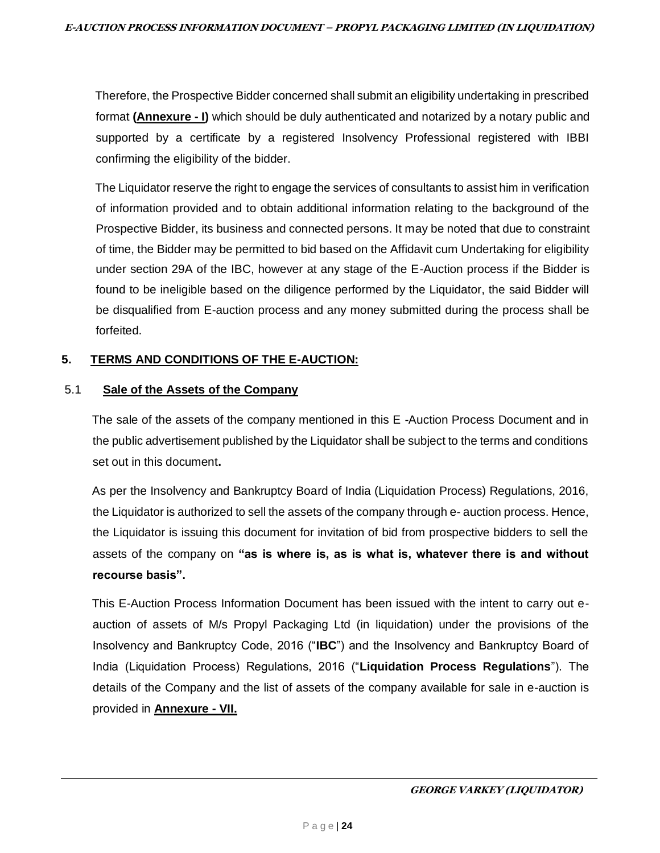Therefore, the Prospective Bidder concerned shall submit an eligibility undertaking in prescribed format **(Annexure - I)** which should be duly authenticated and notarized by a notary public and supported by a certificate by a registered Insolvency Professional registered with IBBI confirming the eligibility of the bidder.

The Liquidator reserve the right to engage the services of consultants to assist him in verification of information provided and to obtain additional information relating to the background of the Prospective Bidder, its business and connected persons. It may be noted that due to constraint of time, the Bidder may be permitted to bid based on the Affidavit cum Undertaking for eligibility under section 29A of the IBC, however at any stage of the E-Auction process if the Bidder is found to be ineligible based on the diligence performed by the Liquidator, the said Bidder will be disqualified from E-auction process and any money submitted during the process shall be forfeited.

## **5. TERMS AND CONDITIONS OF THE E-AUCTION:**

#### 5.1 **Sale of the Assets of the Company**

The sale of the assets of the company mentioned in this E -Auction Process Document and in the public advertisement published by the Liquidator shall be subject to the terms and conditions set out in this document**.** 

As per the Insolvency and Bankruptcy Board of India (Liquidation Process) Regulations, 2016, the Liquidator is authorized to sell the assets of the company through e- auction process. Hence, the Liquidator is issuing this document for invitation of bid from prospective bidders to sell the assets of the company on **"as is where is, as is what is, whatever there is and without recourse basis".**

This E-Auction Process Information Document has been issued with the intent to carry out eauction of assets of M/s Propyl Packaging Ltd (in liquidation) under the provisions of the Insolvency and Bankruptcy Code, 2016 ("**IBC**") and the Insolvency and Bankruptcy Board of India (Liquidation Process) Regulations, 2016 ("**Liquidation Process Regulations**"). The details of the Company and the list of assets of the company available for sale in e-auction is provided in **Annexure - VII.**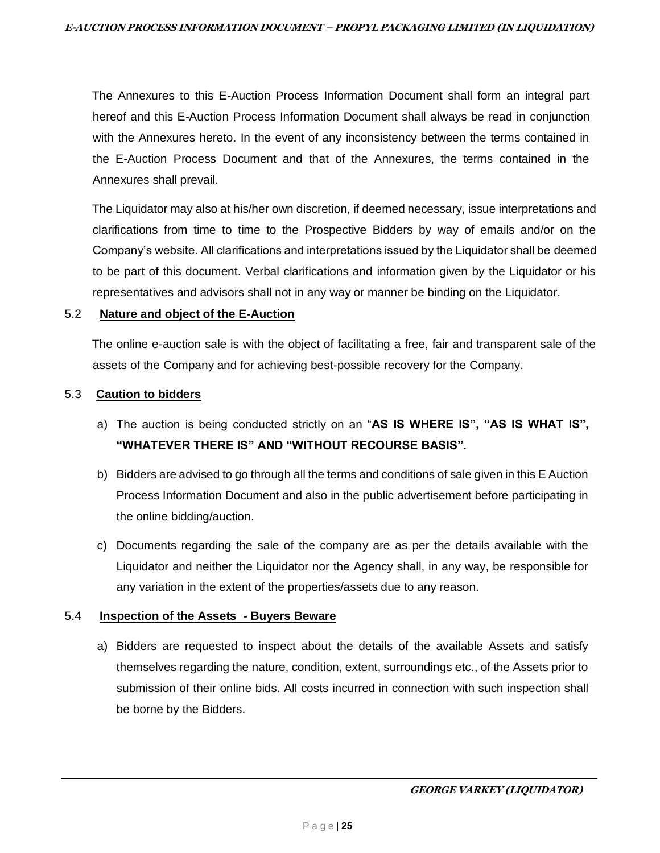The Annexures to this E-Auction Process Information Document shall form an integral part hereof and this E-Auction Process Information Document shall always be read in conjunction with the Annexures hereto. In the event of any inconsistency between the terms contained in the E-Auction Process Document and that of the Annexures, the terms contained in the Annexures shall prevail.

The Liquidator may also at his/her own discretion, if deemed necessary, issue interpretations and clarifications from time to time to the Prospective Bidders by way of emails and/or on the Company's website. All clarifications and interpretations issued by the Liquidator shall be deemed to be part of this document. Verbal clarifications and information given by the Liquidator or his representatives and advisors shall not in any way or manner be binding on the Liquidator.

#### 5.2 **Nature and object of the E-Auction**

The online e-auction sale is with the object of facilitating a free, fair and transparent sale of the assets of the Company and for achieving best-possible recovery for the Company.

#### 5.3 **Caution to bidders**

- a) The auction is being conducted strictly on an "**AS IS WHERE IS", "AS IS WHAT IS", "WHATEVER THERE IS" AND "WITHOUT RECOURSE BASIS".**
- b) Bidders are advised to go through all the terms and conditions of sale given in this E Auction Process Information Document and also in the public advertisement before participating in the online bidding/auction.
- c) Documents regarding the sale of the company are as per the details available with the Liquidator and neither the Liquidator nor the Agency shall, in any way, be responsible for any variation in the extent of the properties/assets due to any reason.

#### 5.4 **Inspection of the Assets - Buyers Beware**

a) Bidders are requested to inspect about the details of the available Assets and satisfy themselves regarding the nature, condition, extent, surroundings etc., of the Assets prior to submission of their online bids. All costs incurred in connection with such inspection shall be borne by the Bidders.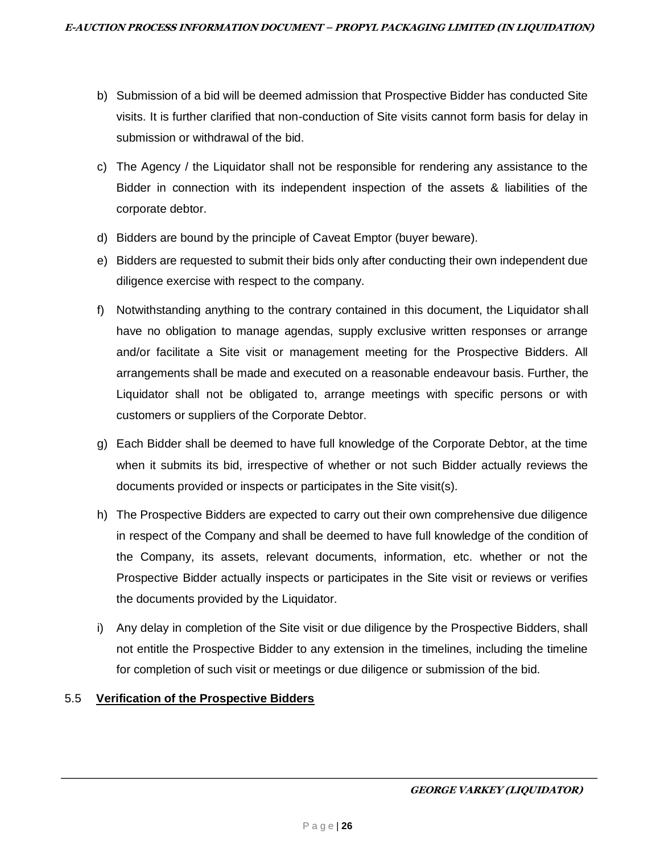- b) Submission of a bid will be deemed admission that Prospective Bidder has conducted Site visits. It is further clarified that non-conduction of Site visits cannot form basis for delay in submission or withdrawal of the bid.
- c) The Agency / the Liquidator shall not be responsible for rendering any assistance to the Bidder in connection with its independent inspection of the assets & liabilities of the corporate debtor.
- d) Bidders are bound by the principle of Caveat Emptor (buyer beware).
- e) Bidders are requested to submit their bids only after conducting their own independent due diligence exercise with respect to the company.
- f) Notwithstanding anything to the contrary contained in this document, the Liquidator shall have no obligation to manage agendas, supply exclusive written responses or arrange and/or facilitate a Site visit or management meeting for the Prospective Bidders. All arrangements shall be made and executed on a reasonable endeavour basis. Further, the Liquidator shall not be obligated to, arrange meetings with specific persons or with customers or suppliers of the Corporate Debtor.
- g) Each Bidder shall be deemed to have full knowledge of the Corporate Debtor, at the time when it submits its bid, irrespective of whether or not such Bidder actually reviews the documents provided or inspects or participates in the Site visit(s).
- h) The Prospective Bidders are expected to carry out their own comprehensive due diligence in respect of the Company and shall be deemed to have full knowledge of the condition of the Company, its assets, relevant documents, information, etc. whether or not the Prospective Bidder actually inspects or participates in the Site visit or reviews or verifies the documents provided by the Liquidator.
- i) Any delay in completion of the Site visit or due diligence by the Prospective Bidders, shall not entitle the Prospective Bidder to any extension in the timelines, including the timeline for completion of such visit or meetings or due diligence or submission of the bid.

# 5.5 **Verification of the Prospective Bidders**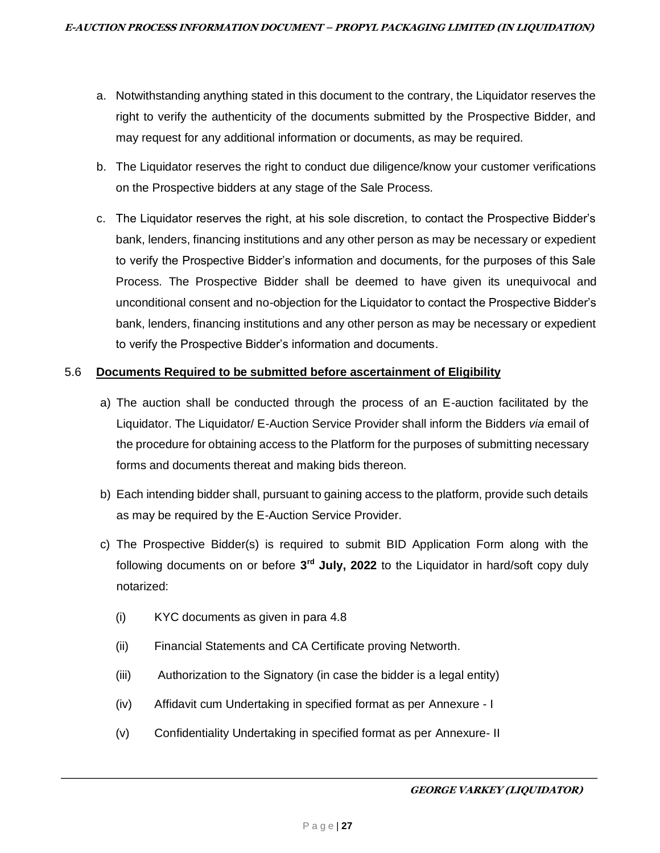- a. Notwithstanding anything stated in this document to the contrary, the Liquidator reserves the right to verify the authenticity of the documents submitted by the Prospective Bidder, and may request for any additional information or documents, as may be required.
- b. The Liquidator reserves the right to conduct due diligence/know your customer verifications on the Prospective bidders at any stage of the Sale Process.
- c. The Liquidator reserves the right, at his sole discretion, to contact the Prospective Bidder's bank, lenders, financing institutions and any other person as may be necessary or expedient to verify the Prospective Bidder's information and documents, for the purposes of this Sale Process. The Prospective Bidder shall be deemed to have given its unequivocal and unconditional consent and no-objection for the Liquidator to contact the Prospective Bidder's bank, lenders, financing institutions and any other person as may be necessary or expedient to verify the Prospective Bidder's information and documents.

# 5.6 **Documents Required to be submitted before ascertainment of Eligibility**

- a) The auction shall be conducted through the process of an E-auction facilitated by the Liquidator. The Liquidator/ E-Auction Service Provider shall inform the Bidders *via* email of the procedure for obtaining access to the Platform for the purposes of submitting necessary forms and documents thereat and making bids thereon.
- b) Each intending bidder shall, pursuant to gaining access to the platform, provide such details as may be required by the E-Auction Service Provider.
- c) The Prospective Bidder(s) is required to submit BID Application Form along with the following documents on or before **3 rd July, 2022** to the Liquidator in hard/soft copy duly notarized:
	- (i) KYC documents as given in para 4.8
	- (ii) Financial Statements and CA Certificate proving Networth.
	- (iii) Authorization to the Signatory (in case the bidder is a legal entity)
	- (iv) Affidavit cum Undertaking in specified format as per Annexure I
	- (v) Confidentiality Undertaking in specified format as per Annexure- II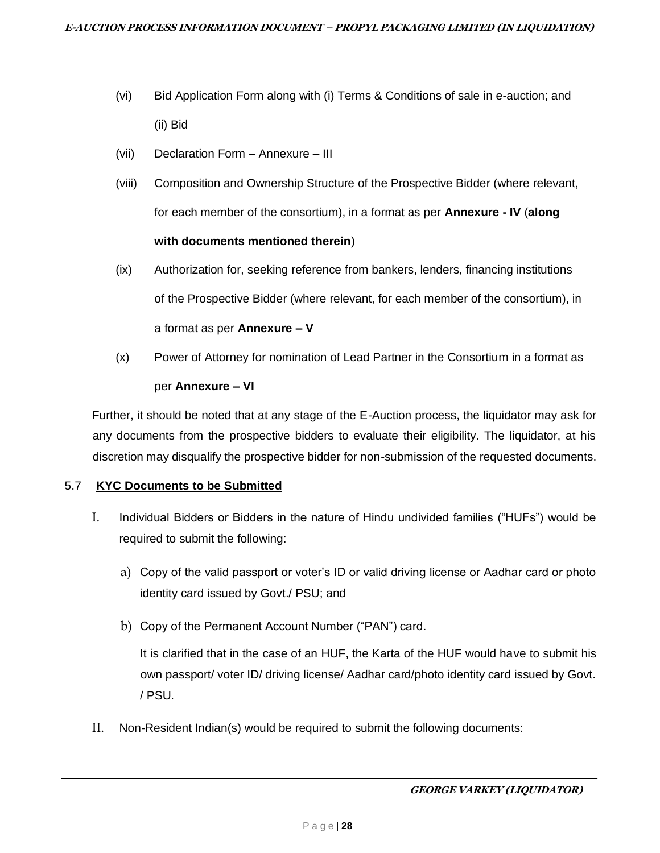- (vi) Bid Application Form along with (i) Terms & Conditions of sale in e-auction; and (ii) Bid
- (vii) Declaration Form Annexure III
- (viii) Composition and Ownership Structure of the Prospective Bidder (where relevant, for each member of the consortium), in a format as per **Annexure - IV** (**along with documents mentioned therein**)
- (ix) Authorization for, seeking reference from bankers, lenders, financing institutions of the Prospective Bidder (where relevant, for each member of the consortium), in a format as per **Annexure – V**
- (x) Power of Attorney for nomination of Lead Partner in the Consortium in a format as per **Annexure – VI**

Further, it should be noted that at any stage of the E-Auction process, the liquidator may ask for any documents from the prospective bidders to evaluate their eligibility. The liquidator, at his discretion may disqualify the prospective bidder for non-submission of the requested documents.

#### 5.7 **KYC Documents to be Submitted**

- I. Individual Bidders or Bidders in the nature of Hindu undivided families ("HUFs") would be required to submit the following:
	- a) Copy of the valid passport or voter's ID or valid driving license or Aadhar card or photo identity card issued by Govt./ PSU; and
	- b) Copy of the Permanent Account Number ("PAN") card.

It is clarified that in the case of an HUF, the Karta of the HUF would have to submit his own passport/ voter ID/ driving license/ Aadhar card/photo identity card issued by Govt. / PSU.

II. Non-Resident Indian(s) would be required to submit the following documents: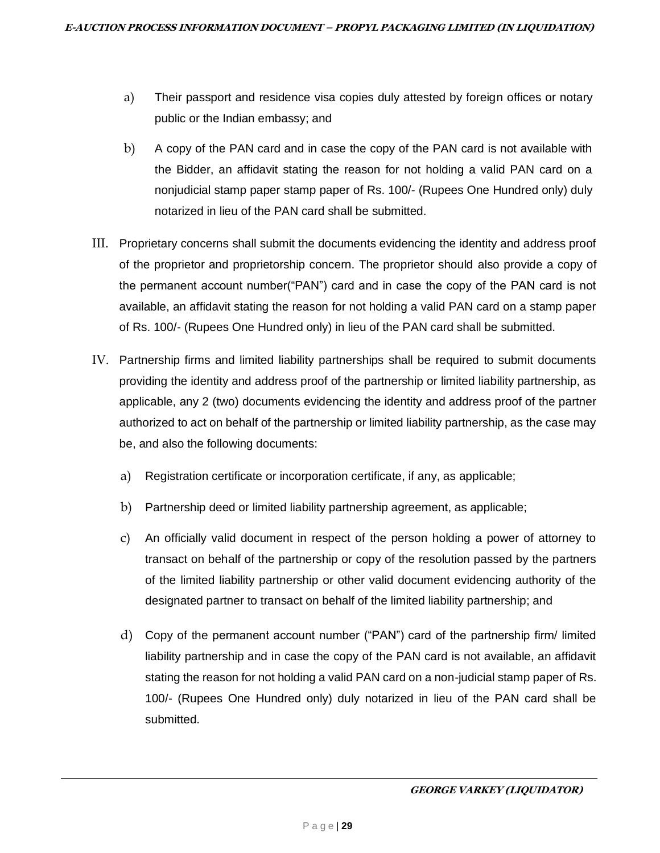- a) Their passport and residence visa copies duly attested by foreign offices or notary public or the Indian embassy; and
- b) A copy of the PAN card and in case the copy of the PAN card is not available with the Bidder, an affidavit stating the reason for not holding a valid PAN card on a nonjudicial stamp paper stamp paper of Rs. 100/- (Rupees One Hundred only) duly notarized in lieu of the PAN card shall be submitted.
- III. Proprietary concerns shall submit the documents evidencing the identity and address proof of the proprietor and proprietorship concern. The proprietor should also provide a copy of the permanent account number("PAN") card and in case the copy of the PAN card is not available, an affidavit stating the reason for not holding a valid PAN card on a stamp paper of Rs. 100/- (Rupees One Hundred only) in lieu of the PAN card shall be submitted.
- IV. Partnership firms and limited liability partnerships shall be required to submit documents providing the identity and address proof of the partnership or limited liability partnership, as applicable, any 2 (two) documents evidencing the identity and address proof of the partner authorized to act on behalf of the partnership or limited liability partnership, as the case may be, and also the following documents:
	- a) Registration certificate or incorporation certificate, if any, as applicable;
	- b) Partnership deed or limited liability partnership agreement, as applicable;
	- c) An officially valid document in respect of the person holding a power of attorney to transact on behalf of the partnership or copy of the resolution passed by the partners of the limited liability partnership or other valid document evidencing authority of the designated partner to transact on behalf of the limited liability partnership; and
	- d) Copy of the permanent account number ("PAN") card of the partnership firm/ limited liability partnership and in case the copy of the PAN card is not available, an affidavit stating the reason for not holding a valid PAN card on a non-judicial stamp paper of Rs. 100/- (Rupees One Hundred only) duly notarized in lieu of the PAN card shall be submitted.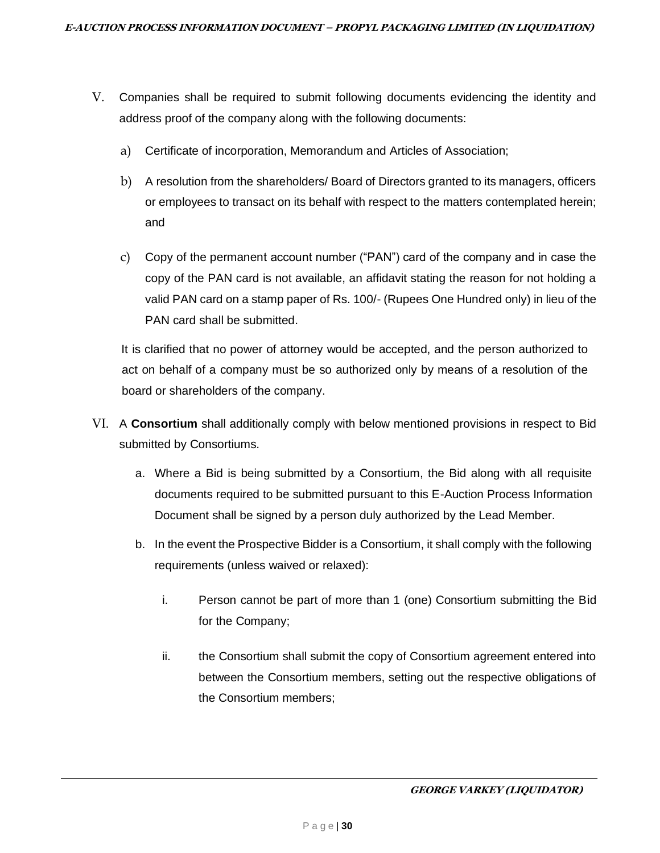- V. Companies shall be required to submit following documents evidencing the identity and address proof of the company along with the following documents:
	- a) Certificate of incorporation, Memorandum and Articles of Association;
	- b) A resolution from the shareholders/ Board of Directors granted to its managers, officers or employees to transact on its behalf with respect to the matters contemplated herein; and
	- c) Copy of the permanent account number ("PAN") card of the company and in case the copy of the PAN card is not available, an affidavit stating the reason for not holding a valid PAN card on a stamp paper of Rs. 100/- (Rupees One Hundred only) in lieu of the PAN card shall be submitted.

It is clarified that no power of attorney would be accepted, and the person authorized to act on behalf of a company must be so authorized only by means of a resolution of the board or shareholders of the company.

- VI. A **Consortium** shall additionally comply with below mentioned provisions in respect to Bid submitted by Consortiums.
	- a. Where a Bid is being submitted by a Consortium, the Bid along with all requisite documents required to be submitted pursuant to this E-Auction Process Information Document shall be signed by a person duly authorized by the Lead Member.
	- b. In the event the Prospective Bidder is a Consortium, it shall comply with the following requirements (unless waived or relaxed):
		- i. Person cannot be part of more than 1 (one) Consortium submitting the Bid for the Company;
		- ii. the Consortium shall submit the copy of Consortium agreement entered into between the Consortium members, setting out the respective obligations of the Consortium members;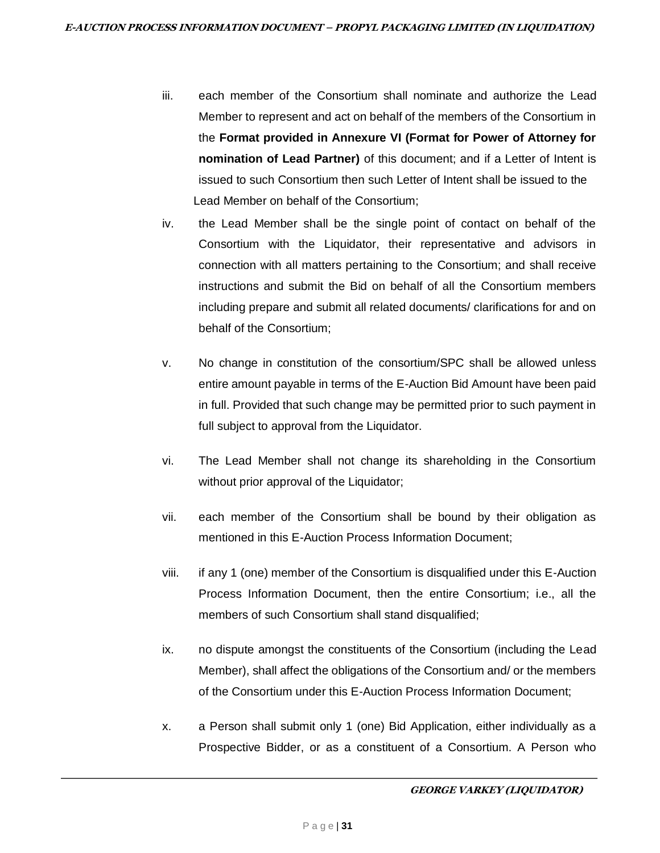- iii. each member of the Consortium shall nominate and authorize the Lead Member to represent and act on behalf of the members of the Consortium in the **Format provided in Annexure VI (Format for Power of Attorney for nomination of Lead Partner)** of this document; and if a Letter of Intent is issued to such Consortium then such Letter of Intent shall be issued to the Lead Member on behalf of the Consortium;
- iv. the Lead Member shall be the single point of contact on behalf of the Consortium with the Liquidator, their representative and advisors in connection with all matters pertaining to the Consortium; and shall receive instructions and submit the Bid on behalf of all the Consortium members including prepare and submit all related documents/ clarifications for and on behalf of the Consortium;
- v. No change in constitution of the consortium/SPC shall be allowed unless entire amount payable in terms of the E-Auction Bid Amount have been paid in full. Provided that such change may be permitted prior to such payment in full subject to approval from the Liquidator.
- vi. The Lead Member shall not change its shareholding in the Consortium without prior approval of the Liquidator;
- vii. each member of the Consortium shall be bound by their obligation as mentioned in this E-Auction Process Information Document;
- viii. if any 1 (one) member of the Consortium is disqualified under this E-Auction Process Information Document, then the entire Consortium; i.e., all the members of such Consortium shall stand disqualified;
- ix. no dispute amongst the constituents of the Consortium (including the Lead Member), shall affect the obligations of the Consortium and/ or the members of the Consortium under this E-Auction Process Information Document;
- x. a Person shall submit only 1 (one) Bid Application, either individually as a Prospective Bidder, or as a constituent of a Consortium. A Person who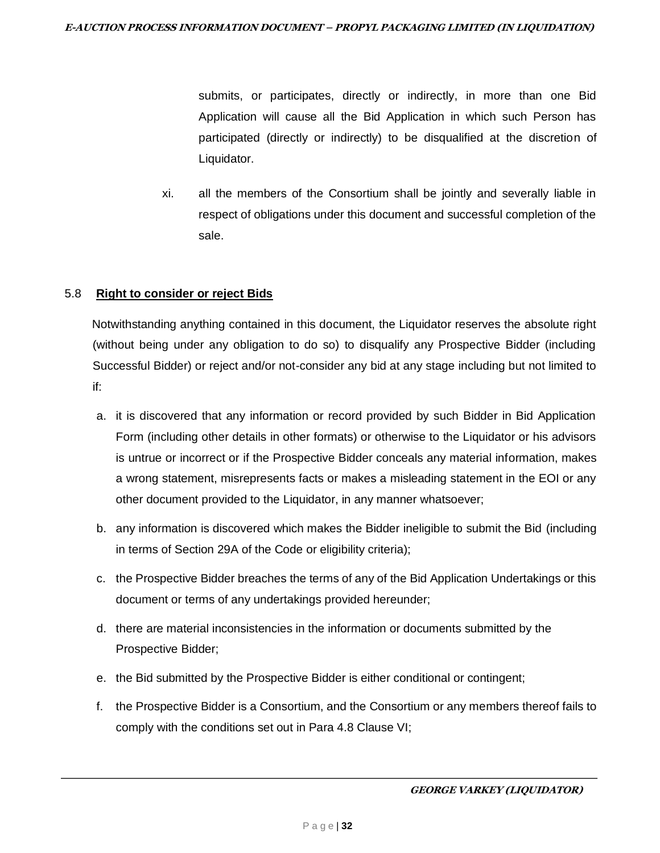submits, or participates, directly or indirectly, in more than one Bid Application will cause all the Bid Application in which such Person has participated (directly or indirectly) to be disqualified at the discretion of Liquidator.

xi. all the members of the Consortium shall be jointly and severally liable in respect of obligations under this document and successful completion of the sale.

## 5.8 **Right to consider or reject Bids**

Notwithstanding anything contained in this document, the Liquidator reserves the absolute right (without being under any obligation to do so) to disqualify any Prospective Bidder (including Successful Bidder) or reject and/or not-consider any bid at any stage including but not limited to if:

- a. it is discovered that any information or record provided by such Bidder in Bid Application Form (including other details in other formats) or otherwise to the Liquidator or his advisors is untrue or incorrect or if the Prospective Bidder conceals any material information, makes a wrong statement, misrepresents facts or makes a misleading statement in the EOI or any other document provided to the Liquidator, in any manner whatsoever;
- b. any information is discovered which makes the Bidder ineligible to submit the Bid (including in terms of Section 29A of the Code or eligibility criteria);
- c. the Prospective Bidder breaches the terms of any of the Bid Application Undertakings or this document or terms of any undertakings provided hereunder;
- d. there are material inconsistencies in the information or documents submitted by the Prospective Bidder;
- e. the Bid submitted by the Prospective Bidder is either conditional or contingent;
- f. the Prospective Bidder is a Consortium, and the Consortium or any members thereof fails to comply with the conditions set out in Para 4.8 Clause VI;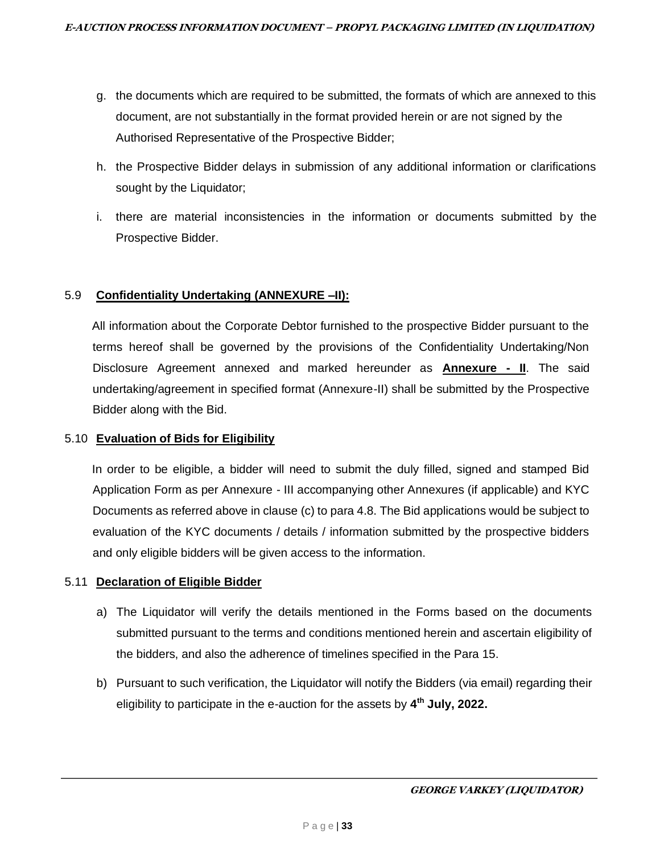- g. the documents which are required to be submitted, the formats of which are annexed to this document, are not substantially in the format provided herein or are not signed by the Authorised Representative of the Prospective Bidder;
- h. the Prospective Bidder delays in submission of any additional information or clarifications sought by the Liquidator;
- i. there are material inconsistencies in the information or documents submitted by the Prospective Bidder.

## 5.9 **Confidentiality Undertaking (ANNEXURE –II):**

All information about the Corporate Debtor furnished to the prospective Bidder pursuant to the terms hereof shall be governed by the provisions of the Confidentiality Undertaking/Non Disclosure Agreement annexed and marked hereunder as **Annexure - II**. The said undertaking/agreement in specified format (Annexure-II) shall be submitted by the Prospective Bidder along with the Bid.

#### 5.10 **Evaluation of Bids for Eligibility**

In order to be eligible, a bidder will need to submit the duly filled, signed and stamped Bid Application Form as per Annexure - III accompanying other Annexures (if applicable) and KYC Documents as referred above in clause (c) to para 4.8. The Bid applications would be subject to evaluation of the KYC documents / details / information submitted by the prospective bidders and only eligible bidders will be given access to the information.

#### 5.11 **Declaration of Eligible Bidder**

- a) The Liquidator will verify the details mentioned in the Forms based on the documents submitted pursuant to the terms and conditions mentioned herein and ascertain eligibility of the bidders, and also the adherence of timelines specified in the Para 15.
- b) Pursuant to such verification, the Liquidator will notify the Bidders (via email) regarding their eligibility to participate in the e-auction for the assets by **4 th July, 2022.**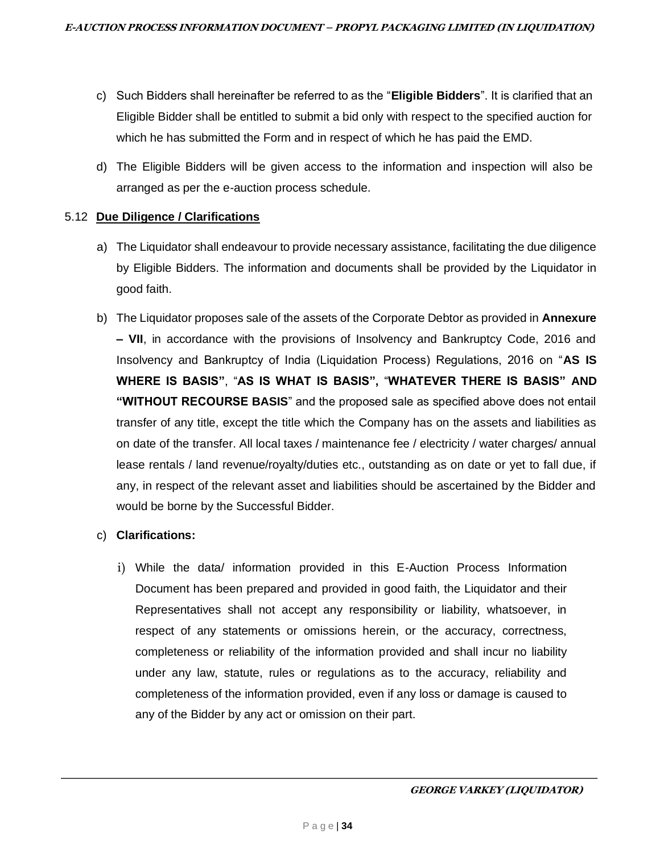- c) Such Bidders shall hereinafter be referred to as the "**Eligible Bidders**". It is clarified that an Eligible Bidder shall be entitled to submit a bid only with respect to the specified auction for which he has submitted the Form and in respect of which he has paid the EMD.
- d) The Eligible Bidders will be given access to the information and inspection will also be arranged as per the e-auction process schedule.

#### 5.12 **Due Diligence / Clarifications**

- a) The Liquidator shall endeavour to provide necessary assistance, facilitating the due diligence by Eligible Bidders. The information and documents shall be provided by the Liquidator in good faith.
- b) The Liquidator proposes sale of the assets of the Corporate Debtor as provided in **Annexure – VII**, in accordance with the provisions of Insolvency and Bankruptcy Code, 2016 and Insolvency and Bankruptcy of India (Liquidation Process) Regulations, 2016 on "**AS IS WHERE IS BASIS"**, "**AS IS WHAT IS BASIS",** "**WHATEVER THERE IS BASIS" AND "WITHOUT RECOURSE BASIS**" and the proposed sale as specified above does not entail transfer of any title, except the title which the Company has on the assets and liabilities as on date of the transfer. All local taxes / maintenance fee / electricity / water charges/ annual lease rentals / land revenue/royalty/duties etc., outstanding as on date or yet to fall due, if any, in respect of the relevant asset and liabilities should be ascertained by the Bidder and would be borne by the Successful Bidder.
- c) **Clarifications:** 
	- i) While the data/ information provided in this E-Auction Process Information Document has been prepared and provided in good faith, the Liquidator and their Representatives shall not accept any responsibility or liability, whatsoever, in respect of any statements or omissions herein, or the accuracy, correctness, completeness or reliability of the information provided and shall incur no liability under any law, statute, rules or regulations as to the accuracy, reliability and completeness of the information provided, even if any loss or damage is caused to any of the Bidder by any act or omission on their part.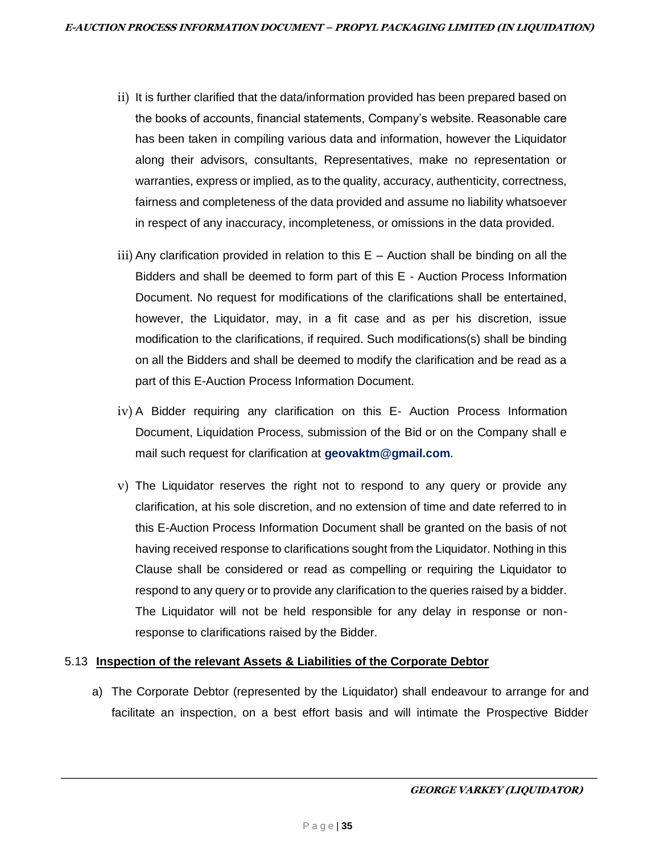- ii) It is further clarified that the data/information provided has been prepared based on the books of accounts, financial statements, Company's website. Reasonable care has been taken in compiling various data and information, however the Liquidator along their advisors, consultants, Representatives, make no representation or warranties, express or implied, as to the quality, accuracy, authenticity, correctness, fairness and completeness of the data provided and assume no liability whatsoever in respect of any inaccuracy, incompleteness, or omissions in the data provided.
- $\overline{iii}$ ) Any clarification provided in relation to this  $E -$  Auction shall be binding on all the Bidders and shall be deemed to form part of this E - Auction Process Information Document. No request for modifications of the clarifications shall be entertained, however, the Liquidator, may, in a fit case and as per his discretion, issue modification to the clarifications, if required. Such modifications(s) shall be binding on all the Bidders and shall be deemed to modify the clarification and be read as a part of this E-Auction Process Information Document.
- iv) A Bidder requiring any clarification on this E- Auction Process Information Document, Liquidation Process, submission of the Bid or on the Company shall e mail such request for clarification at **geovaktm@gmail.com**.
- v) The Liquidator reserves the right not to respond to any query or provide any clarification, at his sole discretion, and no extension of time and date referred to in this E-Auction Process Information Document shall be granted on the basis of not having received response to clarifications sought from the Liquidator. Nothing in this Clause shall be considered or read as compelling or requiring the Liquidator to respond to any query or to provide any clarification to the queries raised by a bidder. The Liquidator will not be held responsible for any delay in response or nonresponse to clarifications raised by the Bidder.

# 5.13 **Inspection of the relevant Assets & Liabilities of the Corporate Debtor**

a) The Corporate Debtor (represented by the Liquidator) shall endeavour to arrange for and facilitate an inspection, on a best effort basis and will intimate the Prospective Bidder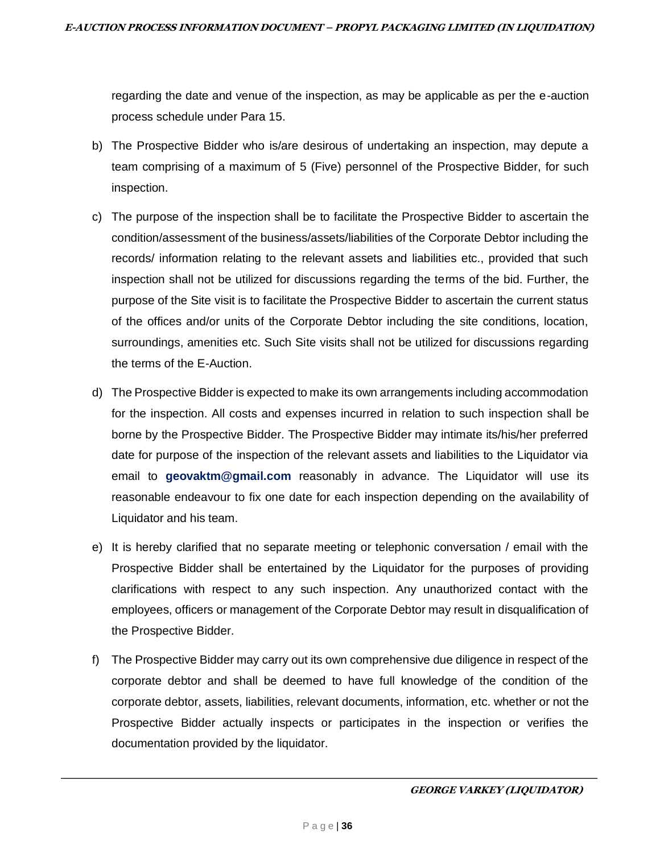regarding the date and venue of the inspection, as may be applicable as per the e-auction process schedule under Para 15.

- b) The Prospective Bidder who is/are desirous of undertaking an inspection, may depute a team comprising of a maximum of 5 (Five) personnel of the Prospective Bidder, for such inspection.
- c) The purpose of the inspection shall be to facilitate the Prospective Bidder to ascertain the condition/assessment of the business/assets/liabilities of the Corporate Debtor including the records/ information relating to the relevant assets and liabilities etc., provided that such inspection shall not be utilized for discussions regarding the terms of the bid. Further, the purpose of the Site visit is to facilitate the Prospective Bidder to ascertain the current status of the offices and/or units of the Corporate Debtor including the site conditions, location, surroundings, amenities etc. Such Site visits shall not be utilized for discussions regarding the terms of the E-Auction.
- d) The Prospective Bidder is expected to make its own arrangements including accommodation for the inspection. All costs and expenses incurred in relation to such inspection shall be borne by the Prospective Bidder. The Prospective Bidder may intimate its/his/her preferred date for purpose of the inspection of the relevant assets and liabilities to the Liquidator via email to **geovaktm@gmail.com** reasonably in advance. The Liquidator will use its reasonable endeavour to fix one date for each inspection depending on the availability of Liquidator and his team.
- e) It is hereby clarified that no separate meeting or telephonic conversation / email with the Prospective Bidder shall be entertained by the Liquidator for the purposes of providing clarifications with respect to any such inspection. Any unauthorized contact with the employees, officers or management of the Corporate Debtor may result in disqualification of the Prospective Bidder.
- f) The Prospective Bidder may carry out its own comprehensive due diligence in respect of the corporate debtor and shall be deemed to have full knowledge of the condition of the corporate debtor, assets, liabilities, relevant documents, information, etc. whether or not the Prospective Bidder actually inspects or participates in the inspection or verifies the documentation provided by the liquidator.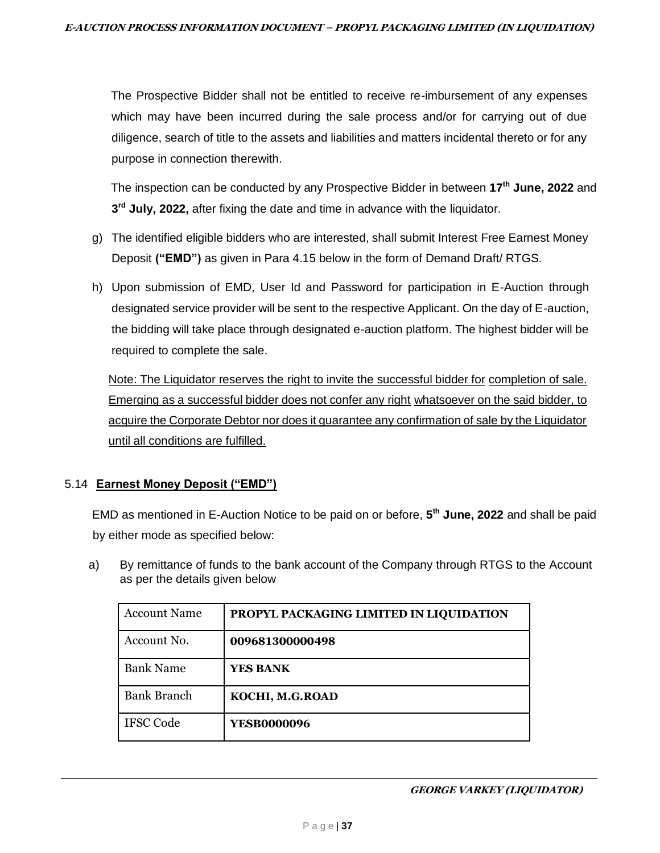The Prospective Bidder shall not be entitled to receive re-imbursement of any expenses which may have been incurred during the sale process and/or for carrying out of due diligence, search of title to the assets and liabilities and matters incidental thereto or for any purpose in connection therewith.

The inspection can be conducted by any Prospective Bidder in between **17th June, 2022** and **3 rd July, 2022,** after fixing the date and time in advance with the liquidator.

- g) The identified eligible bidders who are interested, shall submit Interest Free Earnest Money Deposit **("EMD")** as given in Para 4.15 below in the form of Demand Draft/ RTGS.
- h) Upon submission of EMD, User Id and Password for participation in E-Auction through designated service provider will be sent to the respective Applicant. On the day of E-auction, the bidding will take place through designated e-auction platform. The highest bidder will be required to complete the sale.

Note: The Liquidator reserves the right to invite the successful bidder for completion of sale. Emerging as a successful bidder does not confer any right whatsoever on the said bidder, to acquire the Corporate Debtor nor does it guarantee any confirmation of sale by the Liquidator until all conditions are fulfilled.

# 5.14 **Earnest Money Deposit ("EMD")**

EMD as mentioned in E-Auction Notice to be paid on or before, **5 th June, 2022** and shall be paid by either mode as specified below:

a) By remittance of funds to the bank account of the Company through RTGS to the Account as per the details given below

| <b>Account Name</b> | PROPYL PACKAGING LIMITED IN LIQUIDATION |
|---------------------|-----------------------------------------|
| Account No.         | 009681300000498                         |
| <b>Bank Name</b>    | YES BANK                                |
| <b>Bank Branch</b>  | KOCHI, M.G.ROAD                         |
| <b>IFSC Code</b>    | <b>YESB0000096</b>                      |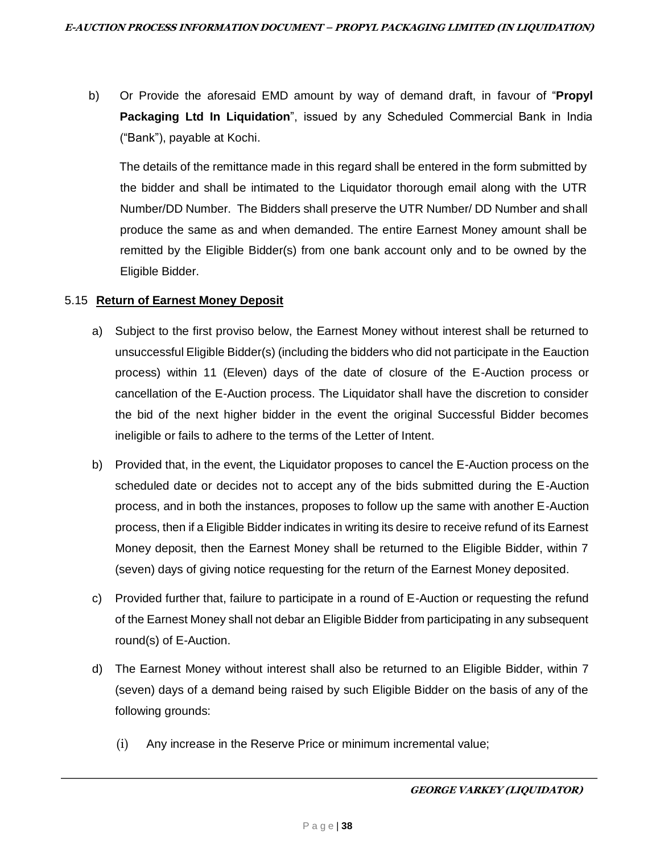b) Or Provide the aforesaid EMD amount by way of demand draft, in favour of "**Propyl Packaging Ltd In Liquidation**", issued by any Scheduled Commercial Bank in India ("Bank"), payable at Kochi.

The details of the remittance made in this regard shall be entered in the form submitted by the bidder and shall be intimated to the Liquidator thorough email along with the UTR Number/DD Number. The Bidders shall preserve the UTR Number/ DD Number and shall produce the same as and when demanded. The entire Earnest Money amount shall be remitted by the Eligible Bidder(s) from one bank account only and to be owned by the Eligible Bidder.

### 5.15 **Return of Earnest Money Deposit**

- a) Subject to the first proviso below, the Earnest Money without interest shall be returned to unsuccessful Eligible Bidder(s) (including the bidders who did not participate in the Eauction process) within 11 (Eleven) days of the date of closure of the E-Auction process or cancellation of the E-Auction process. The Liquidator shall have the discretion to consider the bid of the next higher bidder in the event the original Successful Bidder becomes ineligible or fails to adhere to the terms of the Letter of Intent.
- b) Provided that, in the event, the Liquidator proposes to cancel the E-Auction process on the scheduled date or decides not to accept any of the bids submitted during the E-Auction process, and in both the instances, proposes to follow up the same with another E-Auction process, then if a Eligible Bidder indicates in writing its desire to receive refund of its Earnest Money deposit, then the Earnest Money shall be returned to the Eligible Bidder, within 7 (seven) days of giving notice requesting for the return of the Earnest Money deposited.
- c) Provided further that, failure to participate in a round of E-Auction or requesting the refund of the Earnest Money shall not debar an Eligible Bidder from participating in any subsequent round(s) of E-Auction.
- d) The Earnest Money without interest shall also be returned to an Eligible Bidder, within 7 (seven) days of a demand being raised by such Eligible Bidder on the basis of any of the following grounds:
	- (i) Any increase in the Reserve Price or minimum incremental value;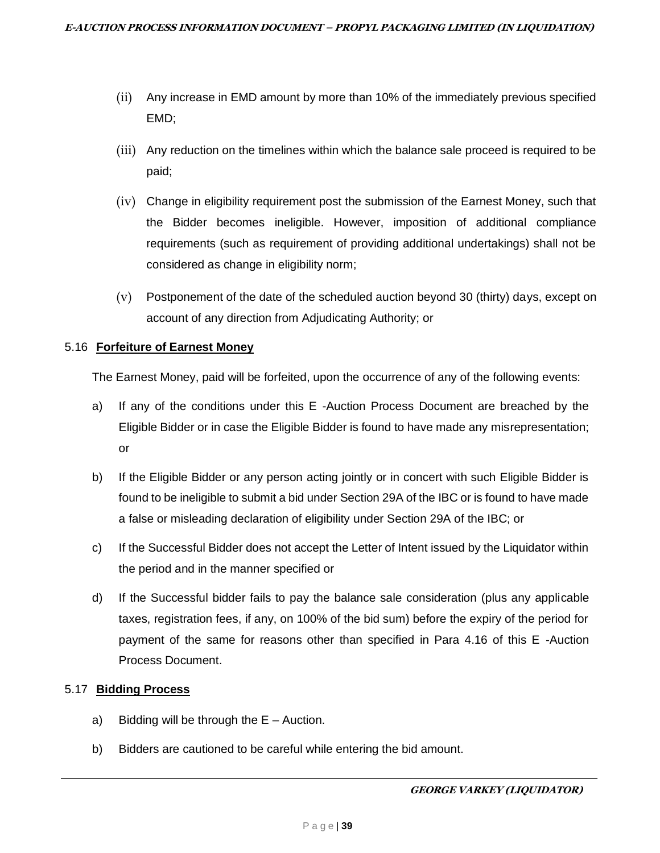- (ii) Any increase in EMD amount by more than 10% of the immediately previous specified EMD;
- (iii) Any reduction on the timelines within which the balance sale proceed is required to be paid;
- (iv) Change in eligibility requirement post the submission of the Earnest Money, such that the Bidder becomes ineligible. However, imposition of additional compliance requirements (such as requirement of providing additional undertakings) shall not be considered as change in eligibility norm;
- (v) Postponement of the date of the scheduled auction beyond 30 (thirty) days, except on account of any direction from Adjudicating Authority; or

### 5.16 **Forfeiture of Earnest Money**

The Earnest Money, paid will be forfeited, upon the occurrence of any of the following events:

- a) If any of the conditions under this E -Auction Process Document are breached by the Eligible Bidder or in case the Eligible Bidder is found to have made any misrepresentation; or
- b) If the Eligible Bidder or any person acting jointly or in concert with such Eligible Bidder is found to be ineligible to submit a bid under Section 29A of the IBC or is found to have made a false or misleading declaration of eligibility under Section 29A of the IBC; or
- c) If the Successful Bidder does not accept the Letter of Intent issued by the Liquidator within the period and in the manner specified or
- d) If the Successful bidder fails to pay the balance sale consideration (plus any applicable taxes, registration fees, if any, on 100% of the bid sum) before the expiry of the period for payment of the same for reasons other than specified in Para 4.16 of this E -Auction Process Document.

### 5.17 **Bidding Process**

- a) Bidding will be through the  $E -$  Auction.
- b) Bidders are cautioned to be careful while entering the bid amount.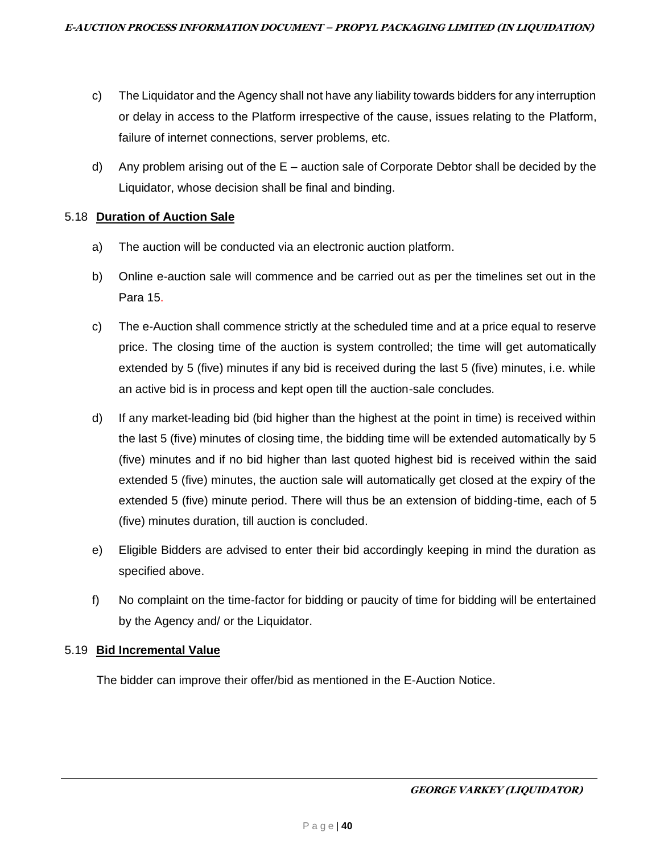- c) The Liquidator and the Agency shall not have any liability towards bidders for any interruption or delay in access to the Platform irrespective of the cause, issues relating to the Platform, failure of internet connections, server problems, etc.
- d) Any problem arising out of the E auction sale of Corporate Debtor shall be decided by the Liquidator, whose decision shall be final and binding.

## 5.18 **Duration of Auction Sale**

- a) The auction will be conducted via an electronic auction platform.
- b) Online e-auction sale will commence and be carried out as per the timelines set out in the Para 15.
- c) The e-Auction shall commence strictly at the scheduled time and at a price equal to reserve price. The closing time of the auction is system controlled; the time will get automatically extended by 5 (five) minutes if any bid is received during the last 5 (five) minutes, i.e. while an active bid is in process and kept open till the auction-sale concludes.
- d) If any market-leading bid (bid higher than the highest at the point in time) is received within the last 5 (five) minutes of closing time, the bidding time will be extended automatically by 5 (five) minutes and if no bid higher than last quoted highest bid is received within the said extended 5 (five) minutes, the auction sale will automatically get closed at the expiry of the extended 5 (five) minute period. There will thus be an extension of bidding-time, each of 5 (five) minutes duration, till auction is concluded.
- e) Eligible Bidders are advised to enter their bid accordingly keeping in mind the duration as specified above.
- f) No complaint on the time-factor for bidding or paucity of time for bidding will be entertained by the Agency and/ or the Liquidator.

### 5.19 **Bid Incremental Value**

The bidder can improve their offer/bid as mentioned in the E-Auction Notice.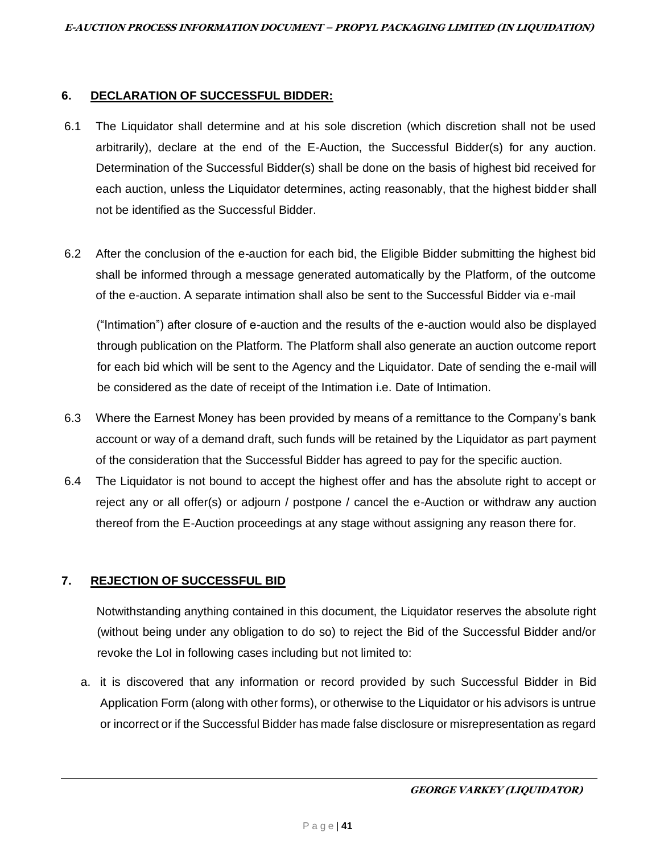#### **6. DECLARATION OF SUCCESSFUL BIDDER:**

- 6.1 The Liquidator shall determine and at his sole discretion (which discretion shall not be used arbitrarily), declare at the end of the E-Auction, the Successful Bidder(s) for any auction. Determination of the Successful Bidder(s) shall be done on the basis of highest bid received for each auction, unless the Liquidator determines, acting reasonably, that the highest bidder shall not be identified as the Successful Bidder.
- 6.2 After the conclusion of the e-auction for each bid, the Eligible Bidder submitting the highest bid shall be informed through a message generated automatically by the Platform, of the outcome of the e-auction. A separate intimation shall also be sent to the Successful Bidder via e-mail

("Intimation") after closure of e-auction and the results of the e-auction would also be displayed through publication on the Platform. The Platform shall also generate an auction outcome report for each bid which will be sent to the Agency and the Liquidator. Date of sending the e-mail will be considered as the date of receipt of the Intimation i.e. Date of Intimation.

- 6.3 Where the Earnest Money has been provided by means of a remittance to the Company's bank account or way of a demand draft, such funds will be retained by the Liquidator as part payment of the consideration that the Successful Bidder has agreed to pay for the specific auction.
- 6.4 The Liquidator is not bound to accept the highest offer and has the absolute right to accept or reject any or all offer(s) or adjourn / postpone / cancel the e-Auction or withdraw any auction thereof from the E-Auction proceedings at any stage without assigning any reason there for.

# **7. REJECTION OF SUCCESSFUL BID**

Notwithstanding anything contained in this document, the Liquidator reserves the absolute right (without being under any obligation to do so) to reject the Bid of the Successful Bidder and/or revoke the LoI in following cases including but not limited to:

a. it is discovered that any information or record provided by such Successful Bidder in Bid Application Form (along with other forms), or otherwise to the Liquidator or his advisors is untrue or incorrect or if the Successful Bidder has made false disclosure or misrepresentation as regard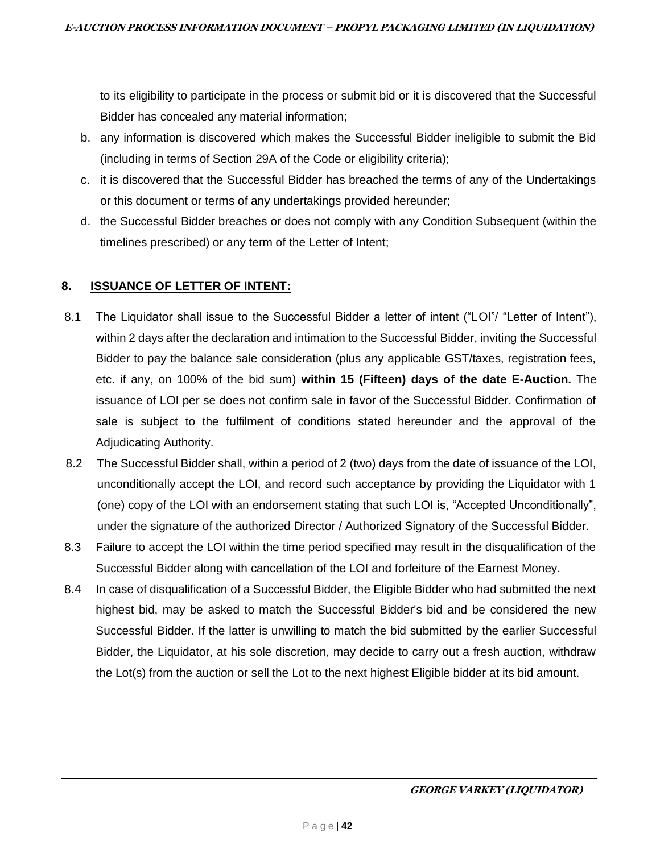to its eligibility to participate in the process or submit bid or it is discovered that the Successful Bidder has concealed any material information;

- b. any information is discovered which makes the Successful Bidder ineligible to submit the Bid (including in terms of Section 29A of the Code or eligibility criteria);
- c. it is discovered that the Successful Bidder has breached the terms of any of the Undertakings or this document or terms of any undertakings provided hereunder;
- d. the Successful Bidder breaches or does not comply with any Condition Subsequent (within the timelines prescribed) or any term of the Letter of Intent;

# **8. ISSUANCE OF LETTER OF INTENT:**

- 8.1 The Liquidator shall issue to the Successful Bidder a letter of intent ("LOI"/ "Letter of Intent"), within 2 days after the declaration and intimation to the Successful Bidder, inviting the Successful Bidder to pay the balance sale consideration (plus any applicable GST/taxes, registration fees, etc. if any, on 100% of the bid sum) **within 15 (Fifteen) days of the date E-Auction.** The issuance of LOI per se does not confirm sale in favor of the Successful Bidder. Confirmation of sale is subject to the fulfilment of conditions stated hereunder and the approval of the Adjudicating Authority.
- 8.2 The Successful Bidder shall, within a period of 2 (two) days from the date of issuance of the LOI, unconditionally accept the LOI, and record such acceptance by providing the Liquidator with 1 (one) copy of the LOI with an endorsement stating that such LOI is, "Accepted Unconditionally", under the signature of the authorized Director / Authorized Signatory of the Successful Bidder.
- 8.3 Failure to accept the LOI within the time period specified may result in the disqualification of the Successful Bidder along with cancellation of the LOI and forfeiture of the Earnest Money.
- 8.4 In case of disqualification of a Successful Bidder, the Eligible Bidder who had submitted the next highest bid, may be asked to match the Successful Bidder's bid and be considered the new Successful Bidder. If the latter is unwilling to match the bid submitted by the earlier Successful Bidder, the Liquidator, at his sole discretion, may decide to carry out a fresh auction, withdraw the Lot(s) from the auction or sell the Lot to the next highest Eligible bidder at its bid amount.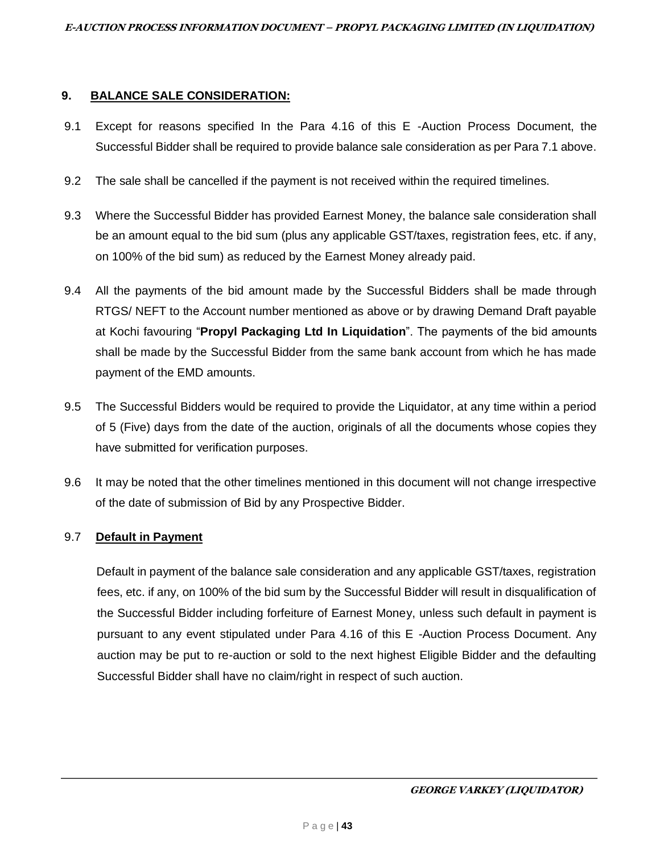## **9. BALANCE SALE CONSIDERATION:**

- 9.1 Except for reasons specified In the Para 4.16 of this E -Auction Process Document, the Successful Bidder shall be required to provide balance sale consideration as per Para 7.1 above.
- 9.2 The sale shall be cancelled if the payment is not received within the required timelines.
- 9.3 Where the Successful Bidder has provided Earnest Money, the balance sale consideration shall be an amount equal to the bid sum (plus any applicable GST/taxes, registration fees, etc. if any, on 100% of the bid sum) as reduced by the Earnest Money already paid.
- 9.4 All the payments of the bid amount made by the Successful Bidders shall be made through RTGS/ NEFT to the Account number mentioned as above or by drawing Demand Draft payable at Kochi favouring "**Propyl Packaging Ltd In Liquidation**". The payments of the bid amounts shall be made by the Successful Bidder from the same bank account from which he has made payment of the EMD amounts.
- 9.5 The Successful Bidders would be required to provide the Liquidator, at any time within a period of 5 (Five) days from the date of the auction, originals of all the documents whose copies they have submitted for verification purposes.
- 9.6 It may be noted that the other timelines mentioned in this document will not change irrespective of the date of submission of Bid by any Prospective Bidder.

# 9.7 **Default in Payment**

Default in payment of the balance sale consideration and any applicable GST/taxes, registration fees, etc. if any, on 100% of the bid sum by the Successful Bidder will result in disqualification of the Successful Bidder including forfeiture of Earnest Money, unless such default in payment is pursuant to any event stipulated under Para 4.16 of this E -Auction Process Document. Any auction may be put to re-auction or sold to the next highest Eligible Bidder and the defaulting Successful Bidder shall have no claim/right in respect of such auction.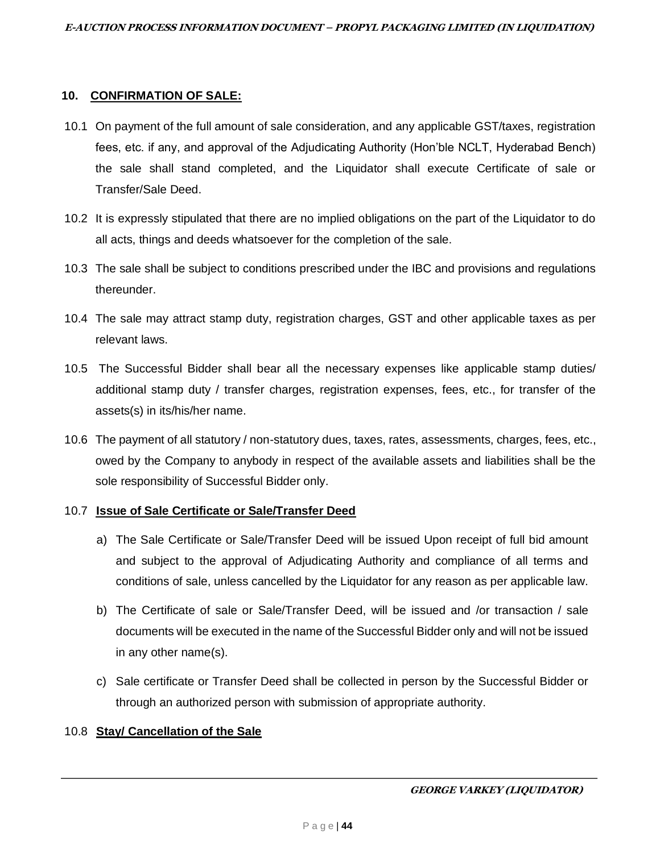### **10. CONFIRMATION OF SALE:**

- 10.1 On payment of the full amount of sale consideration, and any applicable GST/taxes, registration fees, etc. if any, and approval of the Adjudicating Authority (Hon'ble NCLT, Hyderabad Bench) the sale shall stand completed, and the Liquidator shall execute Certificate of sale or Transfer/Sale Deed.
- 10.2 It is expressly stipulated that there are no implied obligations on the part of the Liquidator to do all acts, things and deeds whatsoever for the completion of the sale.
- 10.3 The sale shall be subject to conditions prescribed under the IBC and provisions and regulations thereunder.
- 10.4 The sale may attract stamp duty, registration charges, GST and other applicable taxes as per relevant laws.
- 10.5 The Successful Bidder shall bear all the necessary expenses like applicable stamp duties/ additional stamp duty / transfer charges, registration expenses, fees, etc., for transfer of the assets(s) in its/his/her name.
- 10.6 The payment of all statutory / non-statutory dues, taxes, rates, assessments, charges, fees, etc., owed by the Company to anybody in respect of the available assets and liabilities shall be the sole responsibility of Successful Bidder only.

# 10.7 **Issue of Sale Certificate or Sale/Transfer Deed**

- a) The Sale Certificate or Sale/Transfer Deed will be issued Upon receipt of full bid amount and subject to the approval of Adjudicating Authority and compliance of all terms and conditions of sale, unless cancelled by the Liquidator for any reason as per applicable law.
- b) The Certificate of sale or Sale/Transfer Deed, will be issued and /or transaction / sale documents will be executed in the name of the Successful Bidder only and will not be issued in any other name(s).
- c) Sale certificate or Transfer Deed shall be collected in person by the Successful Bidder or through an authorized person with submission of appropriate authority.

# 10.8 **Stay/ Cancellation of the Sale**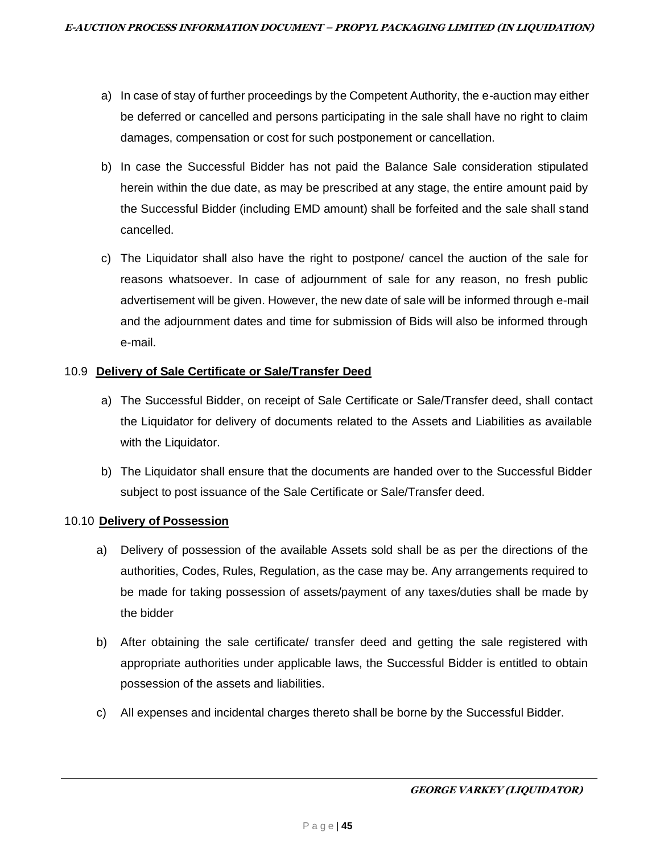- a) In case of stay of further proceedings by the Competent Authority, the e-auction may either be deferred or cancelled and persons participating in the sale shall have no right to claim damages, compensation or cost for such postponement or cancellation.
- b) In case the Successful Bidder has not paid the Balance Sale consideration stipulated herein within the due date, as may be prescribed at any stage, the entire amount paid by the Successful Bidder (including EMD amount) shall be forfeited and the sale shall stand cancelled.
- c) The Liquidator shall also have the right to postpone/ cancel the auction of the sale for reasons whatsoever. In case of adjournment of sale for any reason, no fresh public advertisement will be given. However, the new date of sale will be informed through e-mail and the adjournment dates and time for submission of Bids will also be informed through e-mail.

## 10.9 **Delivery of Sale Certificate or Sale/Transfer Deed**

- a) The Successful Bidder, on receipt of Sale Certificate or Sale/Transfer deed, shall contact the Liquidator for delivery of documents related to the Assets and Liabilities as available with the Liquidator.
- b) The Liquidator shall ensure that the documents are handed over to the Successful Bidder subject to post issuance of the Sale Certificate or Sale/Transfer deed.

### 10.10 **Delivery of Possession**

- a) Delivery of possession of the available Assets sold shall be as per the directions of the authorities, Codes, Rules, Regulation, as the case may be. Any arrangements required to be made for taking possession of assets/payment of any taxes/duties shall be made by the bidder
- b) After obtaining the sale certificate/ transfer deed and getting the sale registered with appropriate authorities under applicable laws, the Successful Bidder is entitled to obtain possession of the assets and liabilities.
- c) All expenses and incidental charges thereto shall be borne by the Successful Bidder.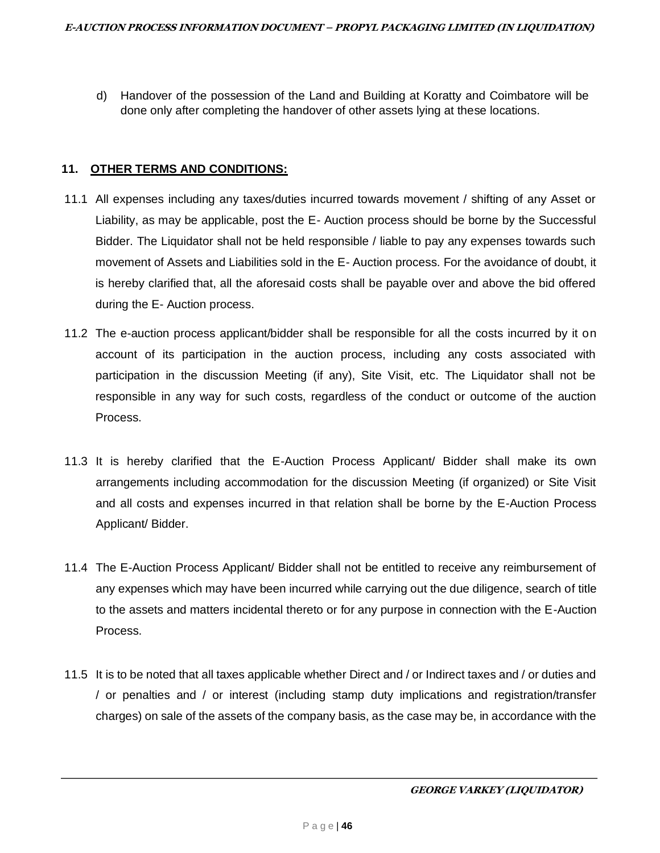d) Handover of the possession of the Land and Building at Koratty and Coimbatore will be done only after completing the handover of other assets lying at these locations.

## **11. OTHER TERMS AND CONDITIONS:**

- 11.1 All expenses including any taxes/duties incurred towards movement / shifting of any Asset or Liability, as may be applicable, post the E- Auction process should be borne by the Successful Bidder. The Liquidator shall not be held responsible / liable to pay any expenses towards such movement of Assets and Liabilities sold in the E- Auction process. For the avoidance of doubt, it is hereby clarified that, all the aforesaid costs shall be payable over and above the bid offered during the E- Auction process.
- 11.2 The e-auction process applicant/bidder shall be responsible for all the costs incurred by it on account of its participation in the auction process, including any costs associated with participation in the discussion Meeting (if any), Site Visit, etc. The Liquidator shall not be responsible in any way for such costs, regardless of the conduct or outcome of the auction Process.
- 11.3 It is hereby clarified that the E-Auction Process Applicant/ Bidder shall make its own arrangements including accommodation for the discussion Meeting (if organized) or Site Visit and all costs and expenses incurred in that relation shall be borne by the E-Auction Process Applicant/ Bidder.
- 11.4 The E-Auction Process Applicant/ Bidder shall not be entitled to receive any reimbursement of any expenses which may have been incurred while carrying out the due diligence, search of title to the assets and matters incidental thereto or for any purpose in connection with the E-Auction Process.
- 11.5 It is to be noted that all taxes applicable whether Direct and / or Indirect taxes and / or duties and / or penalties and / or interest (including stamp duty implications and registration/transfer charges) on sale of the assets of the company basis, as the case may be, in accordance with the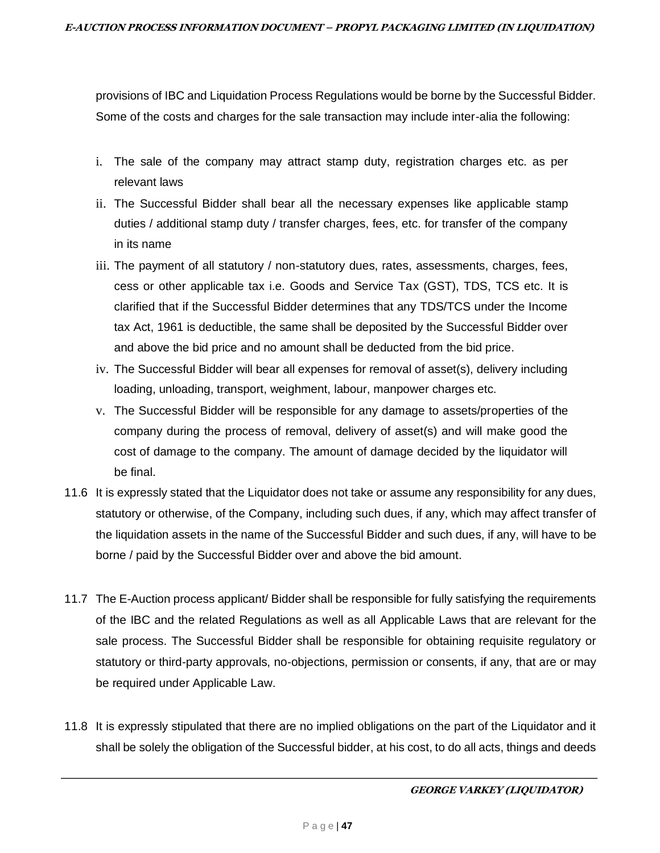provisions of IBC and Liquidation Process Regulations would be borne by the Successful Bidder. Some of the costs and charges for the sale transaction may include inter-alia the following:

- i. The sale of the company may attract stamp duty, registration charges etc. as per relevant laws
- ii. The Successful Bidder shall bear all the necessary expenses like applicable stamp duties / additional stamp duty / transfer charges, fees, etc. for transfer of the company in its name
- iii. The payment of all statutory / non-statutory dues, rates, assessments, charges, fees, cess or other applicable tax i.e. Goods and Service Tax (GST), TDS, TCS etc. It is clarified that if the Successful Bidder determines that any TDS/TCS under the Income tax Act, 1961 is deductible, the same shall be deposited by the Successful Bidder over and above the bid price and no amount shall be deducted from the bid price.
- iv. The Successful Bidder will bear all expenses for removal of asset(s), delivery including loading, unloading, transport, weighment, labour, manpower charges etc.
- v. The Successful Bidder will be responsible for any damage to assets/properties of the company during the process of removal, delivery of asset(s) and will make good the cost of damage to the company. The amount of damage decided by the liquidator will be final.
- 11.6 It is expressly stated that the Liquidator does not take or assume any responsibility for any dues, statutory or otherwise, of the Company, including such dues, if any, which may affect transfer of the liquidation assets in the name of the Successful Bidder and such dues, if any, will have to be borne / paid by the Successful Bidder over and above the bid amount.
- 11.7 The E-Auction process applicant/ Bidder shall be responsible for fully satisfying the requirements of the IBC and the related Regulations as well as all Applicable Laws that are relevant for the sale process. The Successful Bidder shall be responsible for obtaining requisite regulatory or statutory or third-party approvals, no-objections, permission or consents, if any, that are or may be required under Applicable Law.
- 11.8 It is expressly stipulated that there are no implied obligations on the part of the Liquidator and it shall be solely the obligation of the Successful bidder, at his cost, to do all acts, things and deeds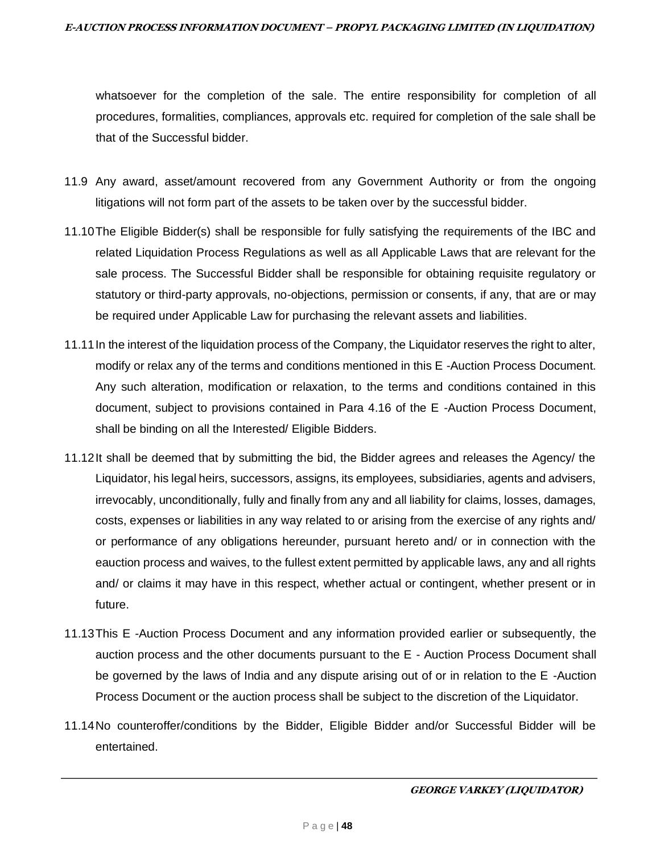whatsoever for the completion of the sale. The entire responsibility for completion of all procedures, formalities, compliances, approvals etc. required for completion of the sale shall be that of the Successful bidder.

- 11.9 Any award, asset/amount recovered from any Government Authority or from the ongoing litigations will not form part of the assets to be taken over by the successful bidder.
- 11.10The Eligible Bidder(s) shall be responsible for fully satisfying the requirements of the IBC and related Liquidation Process Regulations as well as all Applicable Laws that are relevant for the sale process. The Successful Bidder shall be responsible for obtaining requisite regulatory or statutory or third-party approvals, no-objections, permission or consents, if any, that are or may be required under Applicable Law for purchasing the relevant assets and liabilities.
- 11.11In the interest of the liquidation process of the Company, the Liquidator reserves the right to alter, modify or relax any of the terms and conditions mentioned in this E -Auction Process Document. Any such alteration, modification or relaxation, to the terms and conditions contained in this document, subject to provisions contained in Para 4.16 of the E -Auction Process Document, shall be binding on all the Interested/ Eligible Bidders.
- 11.12It shall be deemed that by submitting the bid, the Bidder agrees and releases the Agency/ the Liquidator, his legal heirs, successors, assigns, its employees, subsidiaries, agents and advisers, irrevocably, unconditionally, fully and finally from any and all liability for claims, losses, damages, costs, expenses or liabilities in any way related to or arising from the exercise of any rights and/ or performance of any obligations hereunder, pursuant hereto and/ or in connection with the eauction process and waives, to the fullest extent permitted by applicable laws, any and all rights and/ or claims it may have in this respect, whether actual or contingent, whether present or in future.
- 11.13This E -Auction Process Document and any information provided earlier or subsequently, the auction process and the other documents pursuant to the E - Auction Process Document shall be governed by the laws of India and any dispute arising out of or in relation to the E -Auction Process Document or the auction process shall be subject to the discretion of the Liquidator.
- 11.14No counteroffer/conditions by the Bidder, Eligible Bidder and/or Successful Bidder will be entertained.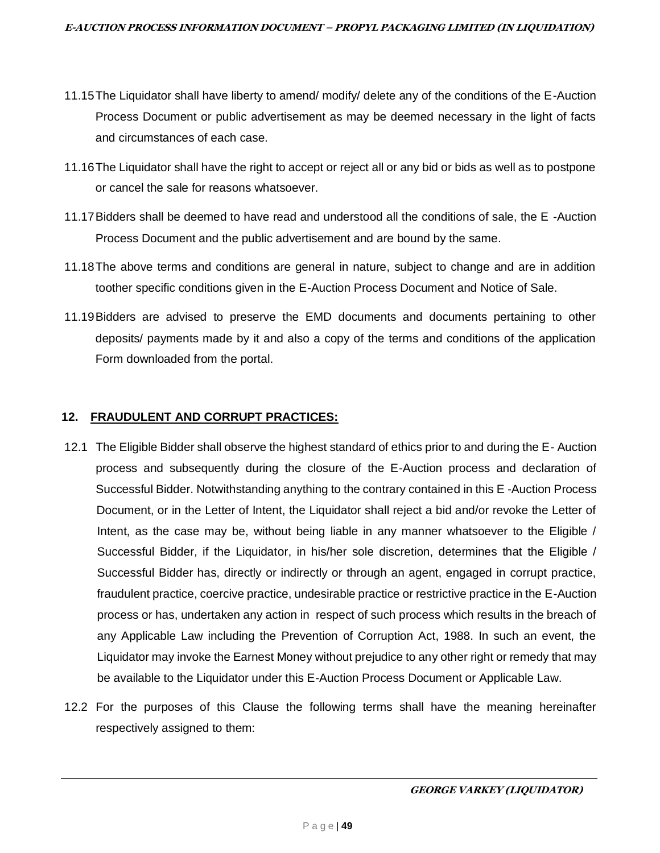- 11.15The Liquidator shall have liberty to amend/ modify/ delete any of the conditions of the E-Auction Process Document or public advertisement as may be deemed necessary in the light of facts and circumstances of each case.
- 11.16The Liquidator shall have the right to accept or reject all or any bid or bids as well as to postpone or cancel the sale for reasons whatsoever.
- 11.17Bidders shall be deemed to have read and understood all the conditions of sale, the E -Auction Process Document and the public advertisement and are bound by the same.
- 11.18The above terms and conditions are general in nature, subject to change and are in addition toother specific conditions given in the E-Auction Process Document and Notice of Sale.
- 11.19Bidders are advised to preserve the EMD documents and documents pertaining to other deposits/ payments made by it and also a copy of the terms and conditions of the application Form downloaded from the portal.

# **12. FRAUDULENT AND CORRUPT PRACTICES:**

- 12.1 The Eligible Bidder shall observe the highest standard of ethics prior to and during the E- Auction process and subsequently during the closure of the E-Auction process and declaration of Successful Bidder. Notwithstanding anything to the contrary contained in this E -Auction Process Document, or in the Letter of Intent, the Liquidator shall reject a bid and/or revoke the Letter of Intent, as the case may be, without being liable in any manner whatsoever to the Eligible / Successful Bidder, if the Liquidator, in his/her sole discretion, determines that the Eligible / Successful Bidder has, directly or indirectly or through an agent, engaged in corrupt practice, fraudulent practice, coercive practice, undesirable practice or restrictive practice in the E-Auction process or has, undertaken any action in respect of such process which results in the breach of any Applicable Law including the Prevention of Corruption Act, 1988. In such an event, the Liquidator may invoke the Earnest Money without prejudice to any other right or remedy that may be available to the Liquidator under this E-Auction Process Document or Applicable Law.
- 12.2 For the purposes of this Clause the following terms shall have the meaning hereinafter respectively assigned to them: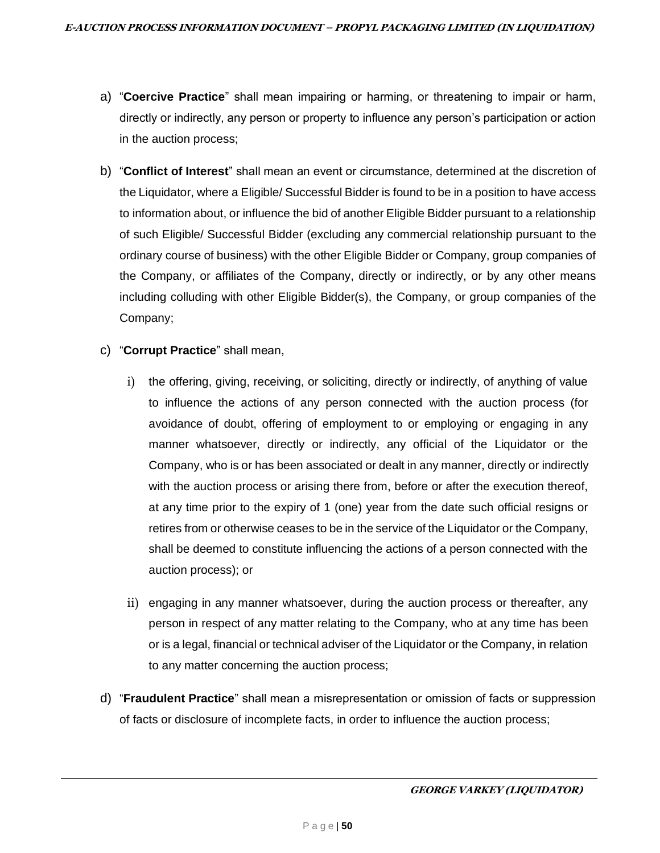- a) "**Coercive Practice**" shall mean impairing or harming, or threatening to impair or harm, directly or indirectly, any person or property to influence any person's participation or action in the auction process;
- b) "**Conflict of Interest**" shall mean an event or circumstance, determined at the discretion of the Liquidator, where a Eligible/ Successful Bidder is found to be in a position to have access to information about, or influence the bid of another Eligible Bidder pursuant to a relationship of such Eligible/ Successful Bidder (excluding any commercial relationship pursuant to the ordinary course of business) with the other Eligible Bidder or Company, group companies of the Company, or affiliates of the Company, directly or indirectly, or by any other means including colluding with other Eligible Bidder(s), the Company, or group companies of the Company;
- c) "**Corrupt Practice**" shall mean,
	- i) the offering, giving, receiving, or soliciting, directly or indirectly, of anything of value to influence the actions of any person connected with the auction process (for avoidance of doubt, offering of employment to or employing or engaging in any manner whatsoever, directly or indirectly, any official of the Liquidator or the Company, who is or has been associated or dealt in any manner, directly or indirectly with the auction process or arising there from, before or after the execution thereof, at any time prior to the expiry of 1 (one) year from the date such official resigns or retires from or otherwise ceases to be in the service of the Liquidator or the Company, shall be deemed to constitute influencing the actions of a person connected with the auction process); or
	- ii) engaging in any manner whatsoever, during the auction process or thereafter, any person in respect of any matter relating to the Company, who at any time has been or is a legal, financial or technical adviser of the Liquidator or the Company, in relation to any matter concerning the auction process;
- d) "**Fraudulent Practice**" shall mean a misrepresentation or omission of facts or suppression of facts or disclosure of incomplete facts, in order to influence the auction process;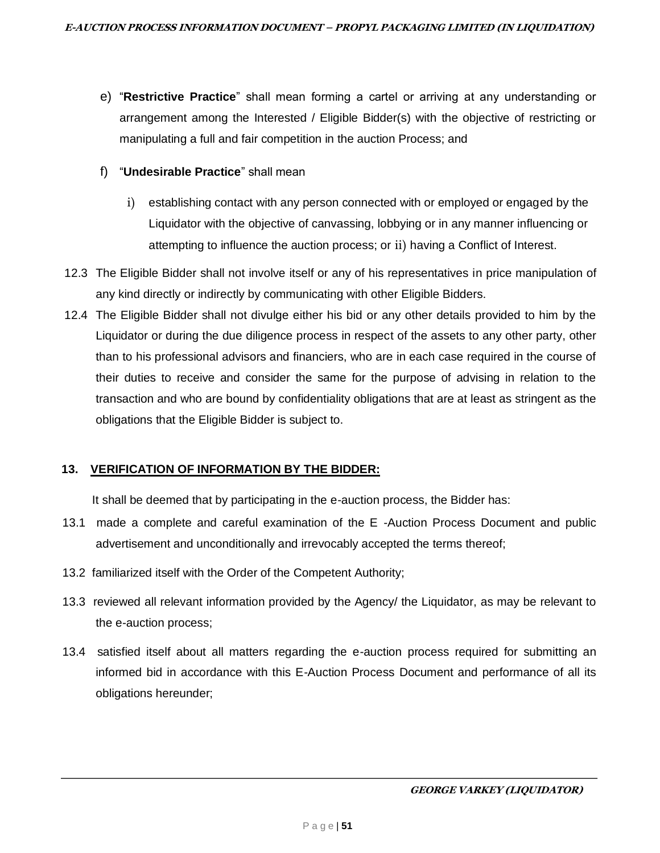- e) "**Restrictive Practice**" shall mean forming a cartel or arriving at any understanding or arrangement among the Interested / Eligible Bidder(s) with the objective of restricting or manipulating a full and fair competition in the auction Process; and
- f) "**Undesirable Practice**" shall mean
	- i) establishing contact with any person connected with or employed or engaged by the Liquidator with the objective of canvassing, lobbying or in any manner influencing or attempting to influence the auction process; or ii) having a Conflict of Interest.
- 12.3 The Eligible Bidder shall not involve itself or any of his representatives in price manipulation of any kind directly or indirectly by communicating with other Eligible Bidders.
- 12.4 The Eligible Bidder shall not divulge either his bid or any other details provided to him by the Liquidator or during the due diligence process in respect of the assets to any other party, other than to his professional advisors and financiers, who are in each case required in the course of their duties to receive and consider the same for the purpose of advising in relation to the transaction and who are bound by confidentiality obligations that are at least as stringent as the obligations that the Eligible Bidder is subject to.

# **13. VERIFICATION OF INFORMATION BY THE BIDDER:**

It shall be deemed that by participating in the e-auction process, the Bidder has:

- 13.1 made a complete and careful examination of the E -Auction Process Document and public advertisement and unconditionally and irrevocably accepted the terms thereof;
- 13.2 familiarized itself with the Order of the Competent Authority;
- 13.3 reviewed all relevant information provided by the Agency/ the Liquidator, as may be relevant to the e-auction process;
- 13.4 satisfied itself about all matters regarding the e-auction process required for submitting an informed bid in accordance with this E-Auction Process Document and performance of all its obligations hereunder;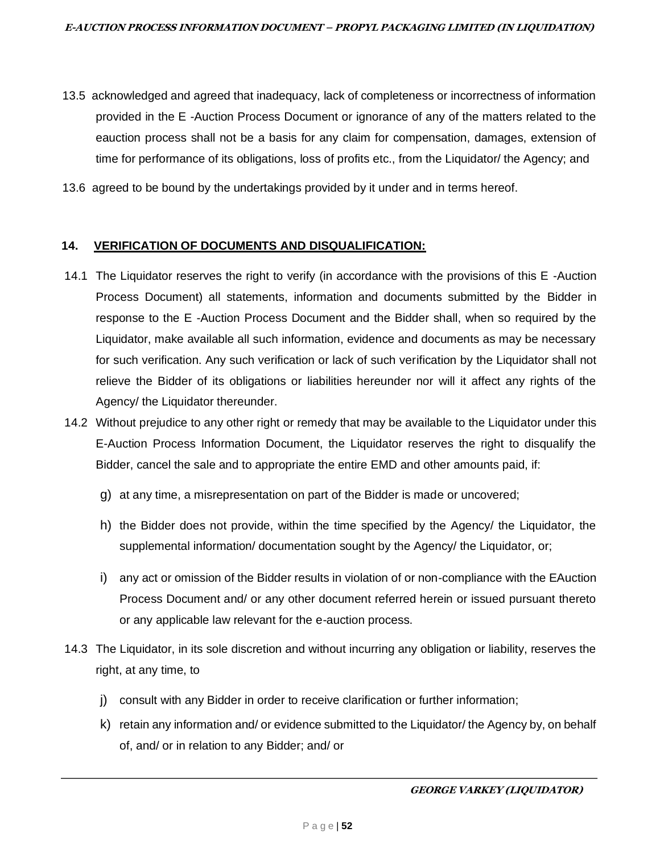- 13.5 acknowledged and agreed that inadequacy, lack of completeness or incorrectness of information provided in the E -Auction Process Document or ignorance of any of the matters related to the eauction process shall not be a basis for any claim for compensation, damages, extension of time for performance of its obligations, loss of profits etc., from the Liquidator/ the Agency; and
- 13.6 agreed to be bound by the undertakings provided by it under and in terms hereof.

#### **14. VERIFICATION OF DOCUMENTS AND DISQUALIFICATION:**

- 14.1 The Liquidator reserves the right to verify (in accordance with the provisions of this E -Auction Process Document) all statements, information and documents submitted by the Bidder in response to the E -Auction Process Document and the Bidder shall, when so required by the Liquidator, make available all such information, evidence and documents as may be necessary for such verification. Any such verification or lack of such verification by the Liquidator shall not relieve the Bidder of its obligations or liabilities hereunder nor will it affect any rights of the Agency/ the Liquidator thereunder.
- 14.2 Without prejudice to any other right or remedy that may be available to the Liquidator under this E-Auction Process Information Document, the Liquidator reserves the right to disqualify the Bidder, cancel the sale and to appropriate the entire EMD and other amounts paid, if:
	- g) at any time, a misrepresentation on part of the Bidder is made or uncovered;
	- h) the Bidder does not provide, within the time specified by the Agency/ the Liquidator, the supplemental information/ documentation sought by the Agency/ the Liquidator, or;
	- i) any act or omission of the Bidder results in violation of or non-compliance with the EAuction Process Document and/ or any other document referred herein or issued pursuant thereto or any applicable law relevant for the e-auction process.
- 14.3 The Liquidator, in its sole discretion and without incurring any obligation or liability, reserves the right, at any time, to
	- j) consult with any Bidder in order to receive clarification or further information;
	- k) retain any information and/ or evidence submitted to the Liquidator/ the Agency by, on behalf of, and/ or in relation to any Bidder; and/ or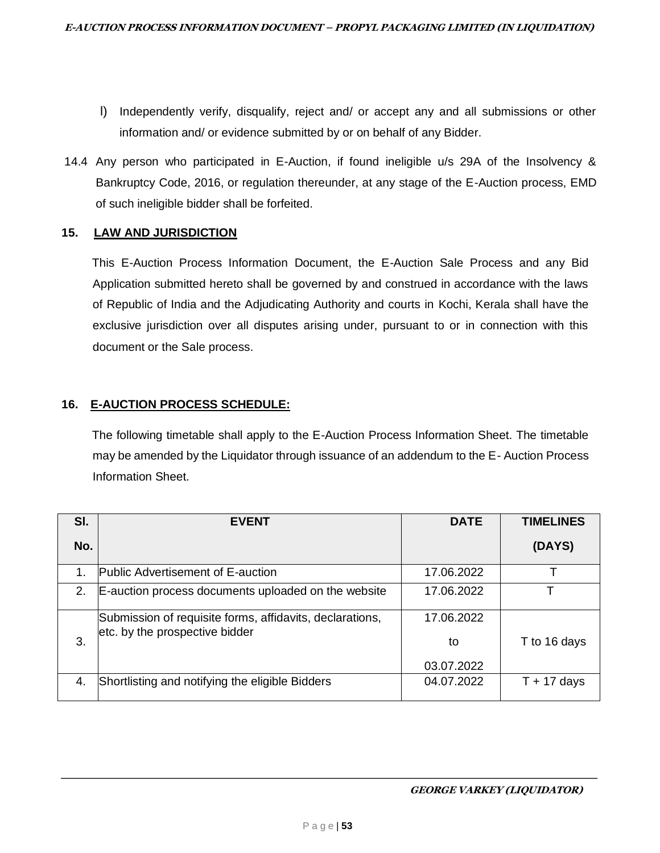- l) Independently verify, disqualify, reject and/ or accept any and all submissions or other information and/ or evidence submitted by or on behalf of any Bidder.
- 14.4 Any person who participated in E-Auction, if found ineligible u/s 29A of the Insolvency & Bankruptcy Code, 2016, or regulation thereunder, at any stage of the E-Auction process, EMD of such ineligible bidder shall be forfeited.

## **15. LAW AND JURISDICTION**

This E-Auction Process Information Document, the E-Auction Sale Process and any Bid Application submitted hereto shall be governed by and construed in accordance with the laws of Republic of India and the Adjudicating Authority and courts in Kochi, Kerala shall have the exclusive jurisdiction over all disputes arising under, pursuant to or in connection with this document or the Sale process.

# **16. E-AUCTION PROCESS SCHEDULE:**

The following timetable shall apply to the E-Auction Process Information Sheet. The timetable may be amended by the Liquidator through issuance of an addendum to the E- Auction Process Information Sheet.

| SI. | <b>EVENT</b>                                                                               | <b>DATE</b> | <b>TIMELINES</b> |
|-----|--------------------------------------------------------------------------------------------|-------------|------------------|
| No. |                                                                                            |             | (DAYS)           |
|     | <b>Public Advertisement of E-auction</b>                                                   | 17.06.2022  |                  |
| 2.  | E-auction process documents uploaded on the website                                        | 17.06.2022  |                  |
|     | Submission of requisite forms, affidavits, declarations,<br>etc. by the prospective bidder | 17.06.2022  |                  |
| 3.  |                                                                                            | to          | T to 16 days     |
|     |                                                                                            | 03.07.2022  |                  |
|     | Shortlisting and notifying the eligible Bidders                                            | 04.07.2022  | $T + 17$ days    |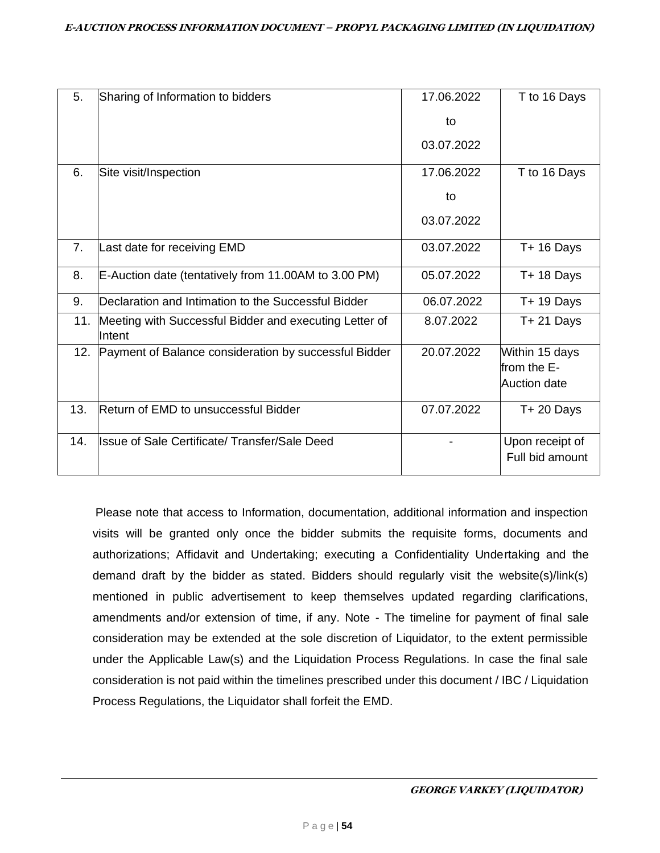| 5.  | Sharing of Information to bidders                                | 17.06.2022 | T to 16 Days                                  |
|-----|------------------------------------------------------------------|------------|-----------------------------------------------|
|     |                                                                  | to         |                                               |
|     |                                                                  | 03.07.2022 |                                               |
| 6.  | Site visit/Inspection                                            | 17.06.2022 | T to 16 Days                                  |
|     |                                                                  | to         |                                               |
|     |                                                                  | 03.07.2022 |                                               |
| 7.  | Last date for receiving EMD                                      | 03.07.2022 | $T+16$ Days                                   |
| 8.  | E-Auction date (tentatively from 11.00AM to 3.00 PM)             | 05.07.2022 | $T + 18$ Days                                 |
| 9.  | Declaration and Intimation to the Successful Bidder              | 06.07.2022 | $T + 19$ Days                                 |
| 11. | Meeting with Successful Bidder and executing Letter of<br>Intent | 8.07.2022  | $T + 21$ Days                                 |
| 12. | Payment of Balance consideration by successful Bidder            | 20.07.2022 | Within 15 days<br>from the E-<br>Auction date |
| 13. | Return of EMD to unsuccessful Bidder                             | 07.07.2022 | $T + 20$ Days                                 |
| 14. | Issue of Sale Certificate/ Transfer/Sale Deed                    |            | Upon receipt of<br>Full bid amount            |

Please note that access to Information, documentation, additional information and inspection visits will be granted only once the bidder submits the requisite forms, documents and authorizations; Affidavit and Undertaking; executing a Confidentiality Undertaking and the demand draft by the bidder as stated. Bidders should regularly visit the website(s)/link(s) mentioned in public advertisement to keep themselves updated regarding clarifications, amendments and/or extension of time, if any. Note - The timeline for payment of final sale consideration may be extended at the sole discretion of Liquidator, to the extent permissible under the Applicable Law(s) and the Liquidation Process Regulations. In case the final sale consideration is not paid within the timelines prescribed under this document / IBC / Liquidation Process Regulations, the Liquidator shall forfeit the EMD.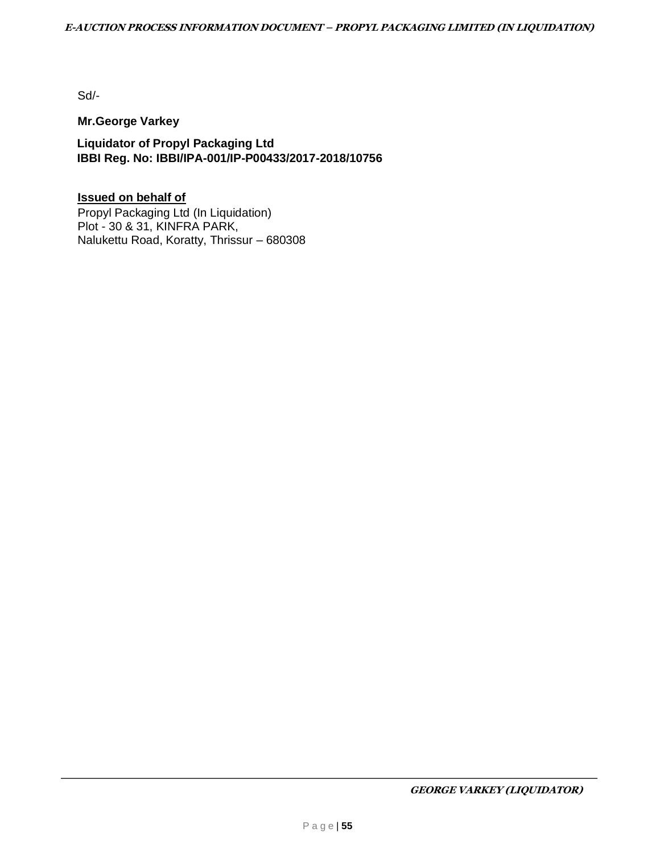Sd/-

## **Mr.George Varkey**

**Liquidator of Propyl Packaging Ltd IBBI Reg. No: IBBI/IPA-001/IP-P00433/2017-2018/10756**

# **Issued on behalf of**

Propyl Packaging Ltd (In Liquidation) Plot - 30 & 31, KINFRA PARK, Nalukettu Road, Koratty, Thrissur – 680308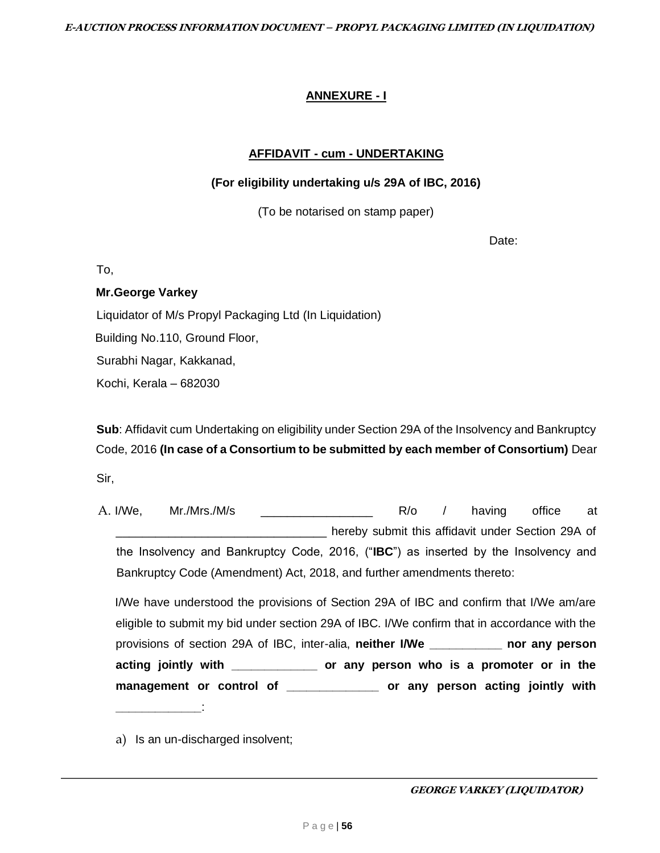# **ANNEXURE - I**

## **AFFIDAVIT - cum - UNDERTAKING**

### **(For eligibility undertaking u/s 29A of IBC, 2016)**

(To be notarised on stamp paper)

Date:

To,

## **Mr.George Varkey**

Liquidator of M/s Propyl Packaging Ltd (In Liquidation)

Building No.110, Ground Floor,

Surabhi Nagar, Kakkanad,

Kochi, Kerala – 682030

**Sub**: Affidavit cum Undertaking on eligibility under Section 29A of the Insolvency and Bankruptcy Code, 2016 **(In case of a Consortium to be submitted by each member of Consortium)** Dear Sir,

A. I/We, Mr./Mrs./M/s \_\_\_\_\_\_\_\_\_\_\_\_\_\_\_\_\_ R/o / having office at \_\_\_\_\_\_\_\_\_\_\_\_\_\_\_\_\_\_\_\_\_\_\_\_\_\_\_\_\_\_\_\_ hereby submit this affidavit under Section 29A of the Insolvency and Bankruptcy Code, 2016, ("**IBC**") as inserted by the Insolvency and Bankruptcy Code (Amendment) Act, 2018, and further amendments thereto:

I/We have understood the provisions of Section 29A of IBC and confirm that I/We am/are eligible to submit my bid under section 29A of IBC. I/We confirm that in accordance with the provisions of section 29A of IBC, inter-alia, **neither I/We \_\_\_\_\_\_\_\_\_\_\_ nor any person acting jointly with \_\_\_\_\_\_\_\_\_\_\_\_\_ or any person who is a promoter or in the management or control of \_\_\_\_\_\_\_\_\_\_\_\_\_\_ or any person acting jointly with \_\_\_\_\_\_\_\_\_\_\_\_\_**:

a) Is an un-discharged insolvent;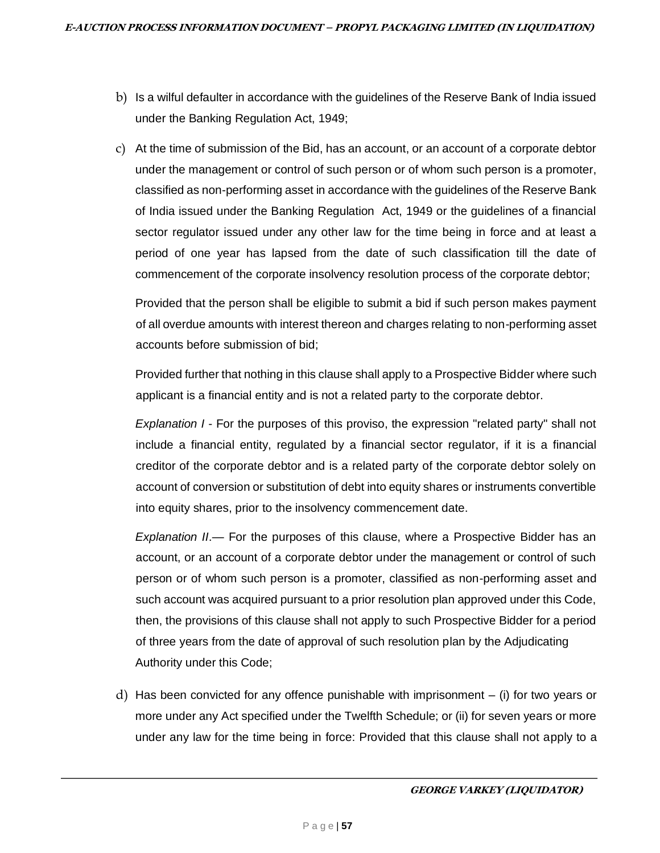- b) Is a wilful defaulter in accordance with the guidelines of the Reserve Bank of India issued under the Banking Regulation Act, 1949;
- c) At the time of submission of the Bid, has an account, or an account of a corporate debtor under the management or control of such person or of whom such person is a promoter, classified as non-performing asset in accordance with the guidelines of the Reserve Bank of India issued under the Banking Regulation Act, 1949 or the guidelines of a financial sector regulator issued under any other law for the time being in force and at least a period of one year has lapsed from the date of such classification till the date of commencement of the corporate insolvency resolution process of the corporate debtor;

Provided that the person shall be eligible to submit a bid if such person makes payment of all overdue amounts with interest thereon and charges relating to non-performing asset accounts before submission of bid;

Provided further that nothing in this clause shall apply to a Prospective Bidder where such applicant is a financial entity and is not a related party to the corporate debtor.

*Explanation I* - For the purposes of this proviso, the expression "related party" shall not include a financial entity, regulated by a financial sector regulator, if it is a financial creditor of the corporate debtor and is a related party of the corporate debtor solely on account of conversion or substitution of debt into equity shares or instruments convertible into equity shares, prior to the insolvency commencement date.

*Explanation II*.— For the purposes of this clause, where a Prospective Bidder has an account, or an account of a corporate debtor under the management or control of such person or of whom such person is a promoter, classified as non-performing asset and such account was acquired pursuant to a prior resolution plan approved under this Code, then, the provisions of this clause shall not apply to such Prospective Bidder for a period of three years from the date of approval of such resolution plan by the Adjudicating Authority under this Code;

d) Has been convicted for any offence punishable with imprisonment – (i) for two years or more under any Act specified under the Twelfth Schedule; or (ii) for seven years or more under any law for the time being in force: Provided that this clause shall not apply to a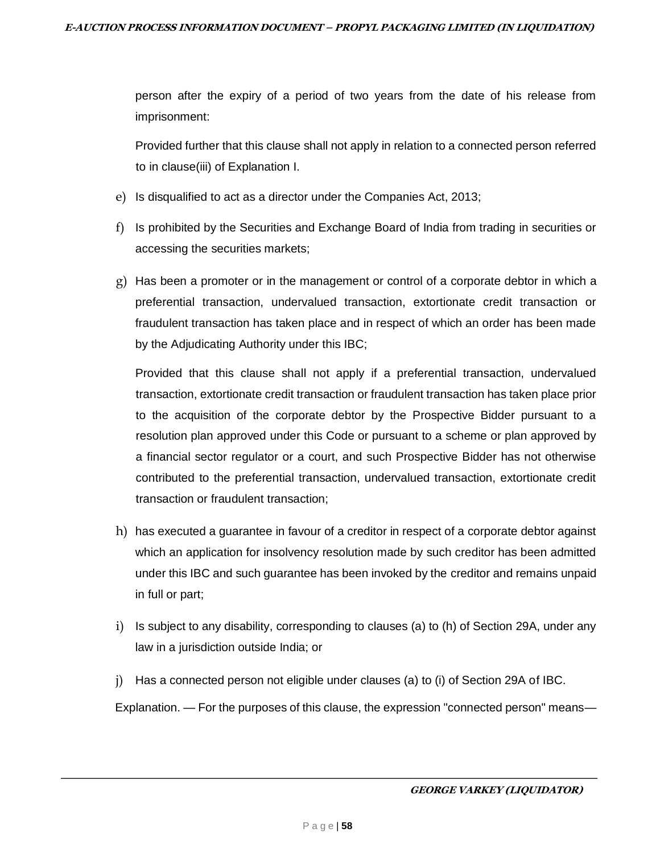person after the expiry of a period of two years from the date of his release from imprisonment:

Provided further that this clause shall not apply in relation to a connected person referred to in clause(iii) of Explanation I.

- e) Is disqualified to act as a director under the Companies Act, 2013;
- f) Is prohibited by the Securities and Exchange Board of India from trading in securities or accessing the securities markets;
- $g$ ) Has been a promoter or in the management or control of a corporate debtor in which a preferential transaction, undervalued transaction, extortionate credit transaction or fraudulent transaction has taken place and in respect of which an order has been made by the Adjudicating Authority under this IBC;

Provided that this clause shall not apply if a preferential transaction, undervalued transaction, extortionate credit transaction or fraudulent transaction has taken place prior to the acquisition of the corporate debtor by the Prospective Bidder pursuant to a resolution plan approved under this Code or pursuant to a scheme or plan approved by a financial sector regulator or a court, and such Prospective Bidder has not otherwise contributed to the preferential transaction, undervalued transaction, extortionate credit transaction or fraudulent transaction;

- h) has executed a guarantee in favour of a creditor in respect of a corporate debtor against which an application for insolvency resolution made by such creditor has been admitted under this IBC and such guarantee has been invoked by the creditor and remains unpaid in full or part;
- i) Is subject to any disability, corresponding to clauses (a) to (h) of Section 29A, under any law in a jurisdiction outside India; or
- j) Has a connected person not eligible under clauses (a) to (i) of Section 29A of IBC.

Explanation. — For the purposes of this clause, the expression "connected person" means—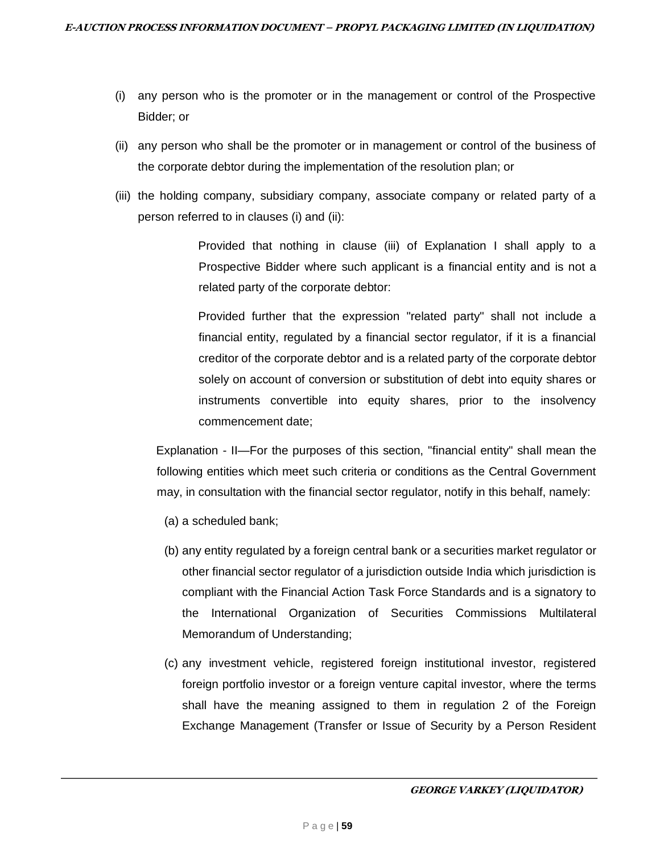- (i) any person who is the promoter or in the management or control of the Prospective Bidder; or
- (ii) any person who shall be the promoter or in management or control of the business of the corporate debtor during the implementation of the resolution plan; or
- (iii) the holding company, subsidiary company, associate company or related party of a person referred to in clauses (i) and (ii):

Provided that nothing in clause (iii) of Explanation I shall apply to a Prospective Bidder where such applicant is a financial entity and is not a related party of the corporate debtor:

Provided further that the expression "related party" shall not include a financial entity, regulated by a financial sector regulator, if it is a financial creditor of the corporate debtor and is a related party of the corporate debtor solely on account of conversion or substitution of debt into equity shares or instruments convertible into equity shares, prior to the insolvency commencement date;

Explanation - II—For the purposes of this section, "financial entity" shall mean the following entities which meet such criteria or conditions as the Central Government may, in consultation with the financial sector regulator, notify in this behalf, namely:

- (a) a scheduled bank;
- (b) any entity regulated by a foreign central bank or a securities market regulator or other financial sector regulator of a jurisdiction outside India which jurisdiction is compliant with the Financial Action Task Force Standards and is a signatory to the International Organization of Securities Commissions Multilateral Memorandum of Understanding;
- (c) any investment vehicle, registered foreign institutional investor, registered foreign portfolio investor or a foreign venture capital investor, where the terms shall have the meaning assigned to them in regulation 2 of the Foreign Exchange Management (Transfer or Issue of Security by a Person Resident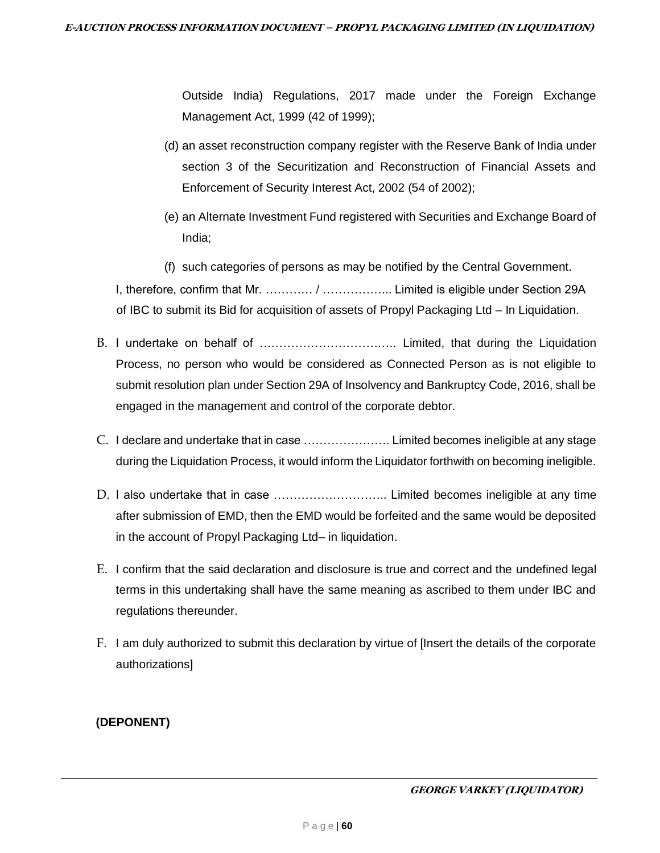Outside India) Regulations, 2017 made under the Foreign Exchange Management Act, 1999 (42 of 1999);

- (d) an asset reconstruction company register with the Reserve Bank of India under section 3 of the Securitization and Reconstruction of Financial Assets and Enforcement of Security Interest Act, 2002 (54 of 2002);
- (e) an Alternate Investment Fund registered with Securities and Exchange Board of India;
- (f) such categories of persons as may be notified by the Central Government.

I, therefore, confirm that Mr. ………… / ……………... Limited is eligible under Section 29A of IBC to submit its Bid for acquisition of assets of Propyl Packaging Ltd – In Liquidation.

- B. I undertake on behalf of …………………………….. Limited, that during the Liquidation Process, no person who would be considered as Connected Person as is not eligible to submit resolution plan under Section 29A of Insolvency and Bankruptcy Code, 2016, shall be engaged in the management and control of the corporate debtor.
- C. I declare and undertake that in case …………………. Limited becomes ineligible at any stage during the Liquidation Process, it would inform the Liquidator forthwith on becoming ineligible.
- D. I also undertake that in case ……………………….. Limited becomes ineligible at any time after submission of EMD, then the EMD would be forfeited and the same would be deposited in the account of Propyl Packaging Ltd– in liquidation.
- E. I confirm that the said declaration and disclosure is true and correct and the undefined legal terms in this undertaking shall have the same meaning as ascribed to them under IBC and regulations thereunder.
- F. I am duly authorized to submit this declaration by virtue of [Insert the details of the corporate authorizations]

# **(DEPONENT)**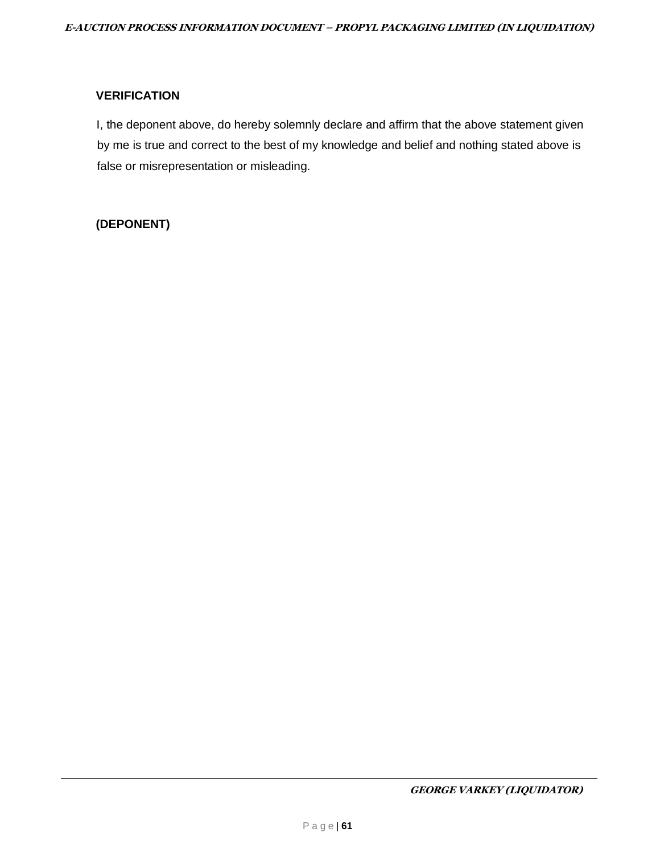### **VERIFICATION**

I, the deponent above, do hereby solemnly declare and affirm that the above statement given by me is true and correct to the best of my knowledge and belief and nothing stated above is false or misrepresentation or misleading.

## **(DEPONENT)**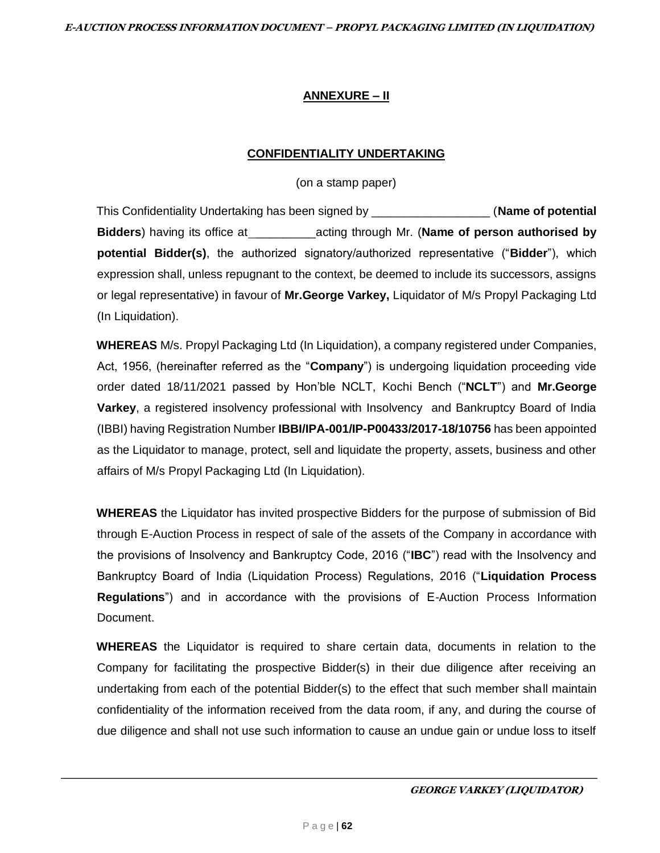### **ANNEXURE – II**

### **CONFIDENTIALITY UNDERTAKING**

(on a stamp paper)

This Confidentiality Undertaking has been signed by \_\_\_\_\_\_\_\_\_\_\_\_\_\_\_\_\_\_ (**Name of potential Bidders**) having its office at \_\_\_\_\_\_\_\_\_acting through Mr. (**Name of person authorised by potential Bidder(s)**, the authorized signatory/authorized representative ("**Bidder**"), which expression shall, unless repugnant to the context, be deemed to include its successors, assigns or legal representative) in favour of **Mr.George Varkey,** Liquidator of M/s Propyl Packaging Ltd (In Liquidation).

**WHEREAS** M/s. Propyl Packaging Ltd (In Liquidation), a company registered under Companies, Act, 1956, (hereinafter referred as the "**Company**") is undergoing liquidation proceeding vide order dated 18/11/2021 passed by Hon'ble NCLT, Kochi Bench ("**NCLT**") and **Mr.George Varkey**, a registered insolvency professional with Insolvency and Bankruptcy Board of India (IBBI) having Registration Number **IBBI/IPA-001/IP-P00433/2017-18/10756** has been appointed as the Liquidator to manage, protect, sell and liquidate the property, assets, business and other affairs of M/s Propyl Packaging Ltd (In Liquidation).

**WHEREAS** the Liquidator has invited prospective Bidders for the purpose of submission of Bid through E-Auction Process in respect of sale of the assets of the Company in accordance with the provisions of Insolvency and Bankruptcy Code, 2016 ("**IBC**") read with the Insolvency and Bankruptcy Board of India (Liquidation Process) Regulations, 2016 ("**Liquidation Process Regulations**") and in accordance with the provisions of E-Auction Process Information Document.

**WHEREAS** the Liquidator is required to share certain data, documents in relation to the Company for facilitating the prospective Bidder(s) in their due diligence after receiving an undertaking from each of the potential Bidder(s) to the effect that such member shall maintain confidentiality of the information received from the data room, if any, and during the course of due diligence and shall not use such information to cause an undue gain or undue loss to itself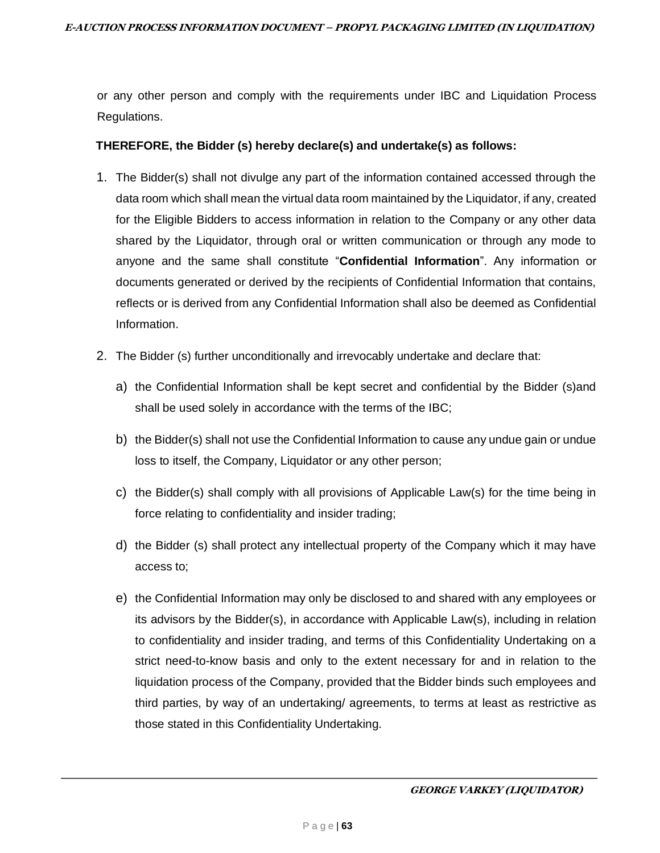or any other person and comply with the requirements under IBC and Liquidation Process Regulations.

## **THEREFORE, the Bidder (s) hereby declare(s) and undertake(s) as follows:**

- 1. The Bidder(s) shall not divulge any part of the information contained accessed through the data room which shall mean the virtual data room maintained by the Liquidator, if any, created for the Eligible Bidders to access information in relation to the Company or any other data shared by the Liquidator, through oral or written communication or through any mode to anyone and the same shall constitute "**Confidential Information**". Any information or documents generated or derived by the recipients of Confidential Information that contains, reflects or is derived from any Confidential Information shall also be deemed as Confidential Information.
- 2. The Bidder (s) further unconditionally and irrevocably undertake and declare that:
	- a) the Confidential Information shall be kept secret and confidential by the Bidder (s)and shall be used solely in accordance with the terms of the IBC;
	- b) the Bidder(s) shall not use the Confidential Information to cause any undue gain or undue loss to itself, the Company, Liquidator or any other person;
	- c) the Bidder(s) shall comply with all provisions of Applicable Law(s) for the time being in force relating to confidentiality and insider trading;
	- d) the Bidder (s) shall protect any intellectual property of the Company which it may have access to;
	- e) the Confidential Information may only be disclosed to and shared with any employees or its advisors by the Bidder(s), in accordance with Applicable Law(s), including in relation to confidentiality and insider trading, and terms of this Confidentiality Undertaking on a strict need-to-know basis and only to the extent necessary for and in relation to the liquidation process of the Company, provided that the Bidder binds such employees and third parties, by way of an undertaking/ agreements, to terms at least as restrictive as those stated in this Confidentiality Undertaking.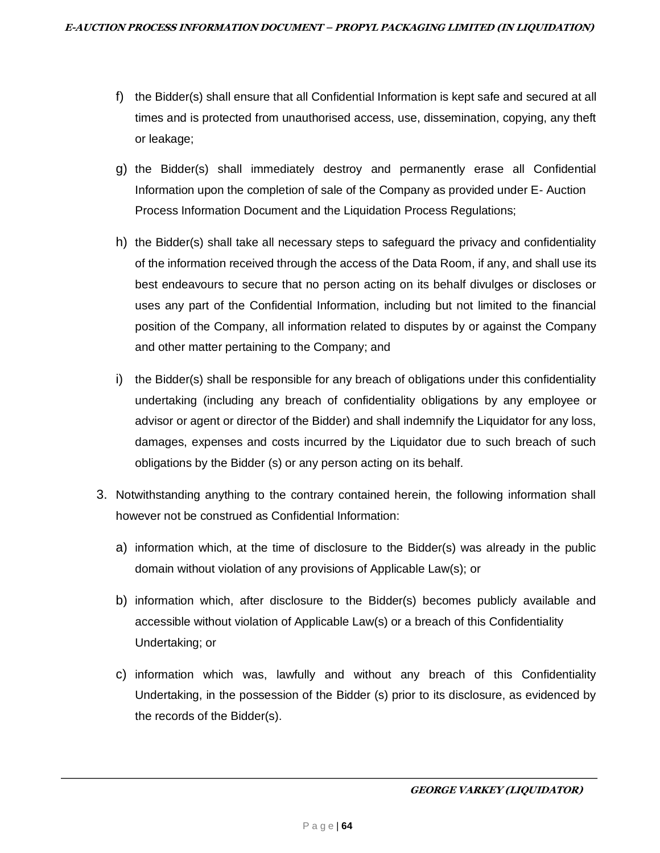- f) the Bidder(s) shall ensure that all Confidential Information is kept safe and secured at all times and is protected from unauthorised access, use, dissemination, copying, any theft or leakage;
- g) the Bidder(s) shall immediately destroy and permanently erase all Confidential Information upon the completion of sale of the Company as provided under E- Auction Process Information Document and the Liquidation Process Regulations;
- h) the Bidder(s) shall take all necessary steps to safeguard the privacy and confidentiality of the information received through the access of the Data Room, if any, and shall use its best endeavours to secure that no person acting on its behalf divulges or discloses or uses any part of the Confidential Information, including but not limited to the financial position of the Company, all information related to disputes by or against the Company and other matter pertaining to the Company; and
- i) the Bidder(s) shall be responsible for any breach of obligations under this confidentiality undertaking (including any breach of confidentiality obligations by any employee or advisor or agent or director of the Bidder) and shall indemnify the Liquidator for any loss, damages, expenses and costs incurred by the Liquidator due to such breach of such obligations by the Bidder (s) or any person acting on its behalf.
- 3. Notwithstanding anything to the contrary contained herein, the following information shall however not be construed as Confidential Information:
	- a) information which, at the time of disclosure to the Bidder(s) was already in the public domain without violation of any provisions of Applicable Law(s); or
	- b) information which, after disclosure to the Bidder(s) becomes publicly available and accessible without violation of Applicable Law(s) or a breach of this Confidentiality Undertaking; or
	- c) information which was, lawfully and without any breach of this Confidentiality Undertaking, in the possession of the Bidder (s) prior to its disclosure, as evidenced by the records of the Bidder(s).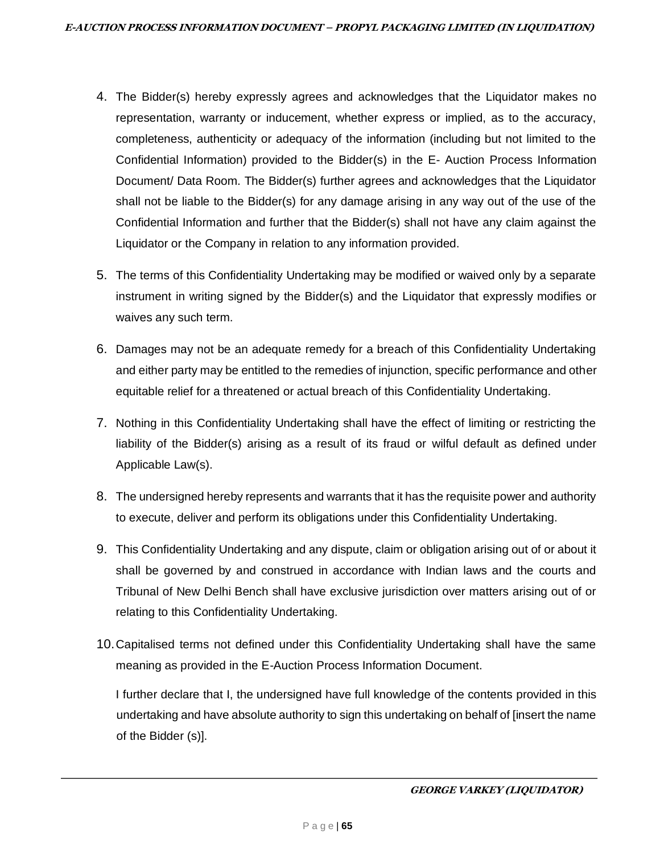- 4. The Bidder(s) hereby expressly agrees and acknowledges that the Liquidator makes no representation, warranty or inducement, whether express or implied, as to the accuracy, completeness, authenticity or adequacy of the information (including but not limited to the Confidential Information) provided to the Bidder(s) in the E- Auction Process Information Document/ Data Room. The Bidder(s) further agrees and acknowledges that the Liquidator shall not be liable to the Bidder(s) for any damage arising in any way out of the use of the Confidential Information and further that the Bidder(s) shall not have any claim against the Liquidator or the Company in relation to any information provided.
- 5. The terms of this Confidentiality Undertaking may be modified or waived only by a separate instrument in writing signed by the Bidder(s) and the Liquidator that expressly modifies or waives any such term.
- 6. Damages may not be an adequate remedy for a breach of this Confidentiality Undertaking and either party may be entitled to the remedies of injunction, specific performance and other equitable relief for a threatened or actual breach of this Confidentiality Undertaking.
- 7. Nothing in this Confidentiality Undertaking shall have the effect of limiting or restricting the liability of the Bidder(s) arising as a result of its fraud or wilful default as defined under Applicable Law(s).
- 8. The undersigned hereby represents and warrants that it has the requisite power and authority to execute, deliver and perform its obligations under this Confidentiality Undertaking.
- 9. This Confidentiality Undertaking and any dispute, claim or obligation arising out of or about it shall be governed by and construed in accordance with Indian laws and the courts and Tribunal of New Delhi Bench shall have exclusive jurisdiction over matters arising out of or relating to this Confidentiality Undertaking.
- 10.Capitalised terms not defined under this Confidentiality Undertaking shall have the same meaning as provided in the E-Auction Process Information Document.

I further declare that I, the undersigned have full knowledge of the contents provided in this undertaking and have absolute authority to sign this undertaking on behalf of [insert the name of the Bidder (s)].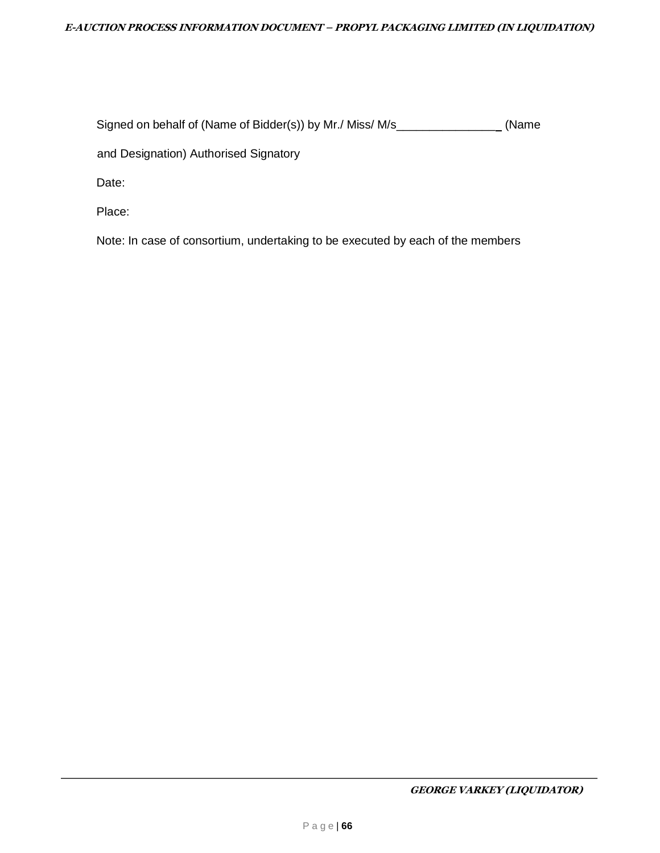#### **E-AUCTION PROCESS INFORMATION DOCUMENT – PROPYL PACKAGING LIMITED (IN LIQUIDATION)**

Signed on behalf of (Name of Bidder(s)) by Mr./ Miss/ M/s\_\_\_\_\_\_\_\_\_\_\_\_\_\_\_ (Name

and Designation) Authorised Signatory

Date:

Place:

Note: In case of consortium, undertaking to be executed by each of the members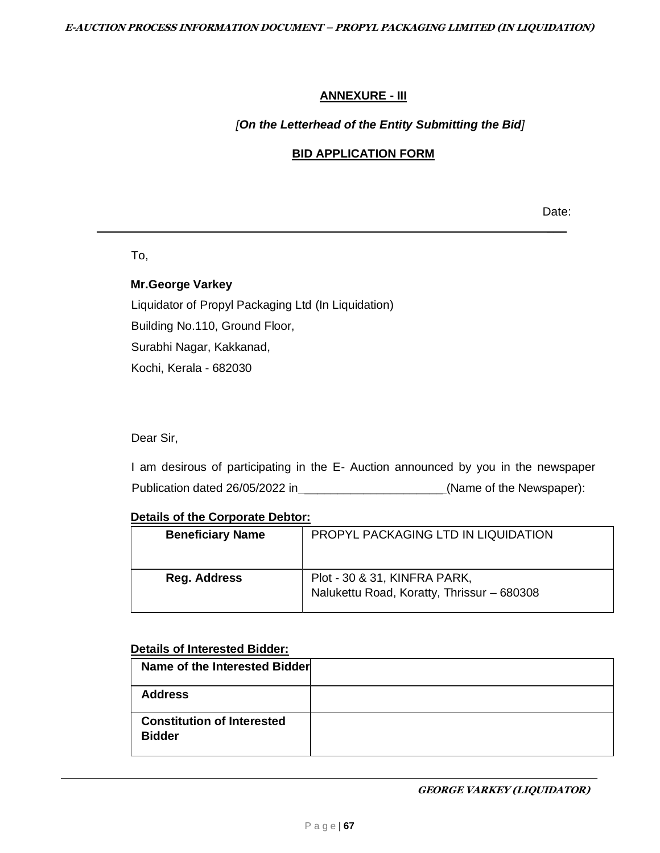## **ANNEXURE - III**

## *[On the Letterhead of the Entity Submitting the Bid]*

# **BID APPLICATION FORM**

Date:  $\overline{\phantom{a}}$ 

To,

## **Mr.George Varkey**

Liquidator of Propyl Packaging Ltd (In Liquidation) Building No.110, Ground Floor, Surabhi Nagar, Kakkanad, Kochi, Kerala - 682030

Dear Sir,

I am desirous of participating in the E- Auction announced by you in the newspaper Publication dated 26/05/2022 in \_\_\_\_\_\_\_\_\_\_\_\_\_\_\_\_\_\_\_\_\_\_\_\_\_(Name of the Newspaper):

### **Details of the Corporate Debtor:**

| <b>Beneficiary Name</b> | PROPYL PACKAGING LTD IN LIQUIDATION                                        |
|-------------------------|----------------------------------------------------------------------------|
| Reg. Address            | Plot - 30 & 31, KINFRA PARK,<br>Nalukettu Road, Koratty, Thrissur - 680308 |

### **Details of Interested Bidder:**

| Name of the Interested Bidder                      |  |
|----------------------------------------------------|--|
| <b>Address</b>                                     |  |
| <b>Constitution of Interested</b><br><b>Bidder</b> |  |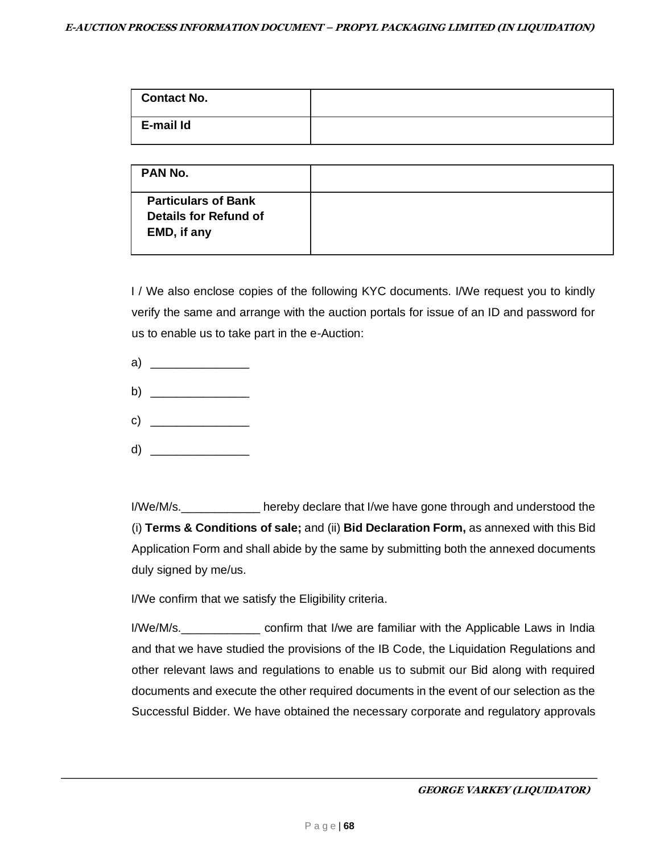| <b>Contact No.</b> |  |
|--------------------|--|
| E-mail Id          |  |

| PAN No.                                                                   |  |
|---------------------------------------------------------------------------|--|
| <b>Particulars of Bank</b><br><b>Details for Refund of</b><br>EMD, if any |  |

I / We also enclose copies of the following KYC documents. I/We request you to kindly verify the same and arrange with the auction portals for issue of an ID and password for us to enable us to take part in the e-Auction:

- a)  $\qquad \qquad$
- b)  $\qquad \qquad$
- c)  $\qquad \qquad$
- d) \_\_\_\_\_\_\_\_\_\_\_\_\_\_\_

I/We/M/s.\_\_\_\_\_\_\_\_\_\_\_\_ hereby declare that I/we have gone through and understood the (i) **Terms & Conditions of sale;** and (ii) **Bid Declaration Form,** as annexed with this Bid Application Form and shall abide by the same by submitting both the annexed documents duly signed by me/us.

I/We confirm that we satisfy the Eligibility criteria.

I/We/M/s.\_\_\_\_\_\_\_\_\_\_\_\_ confirm that I/we are familiar with the Applicable Laws in India and that we have studied the provisions of the IB Code, the Liquidation Regulations and other relevant laws and regulations to enable us to submit our Bid along with required documents and execute the other required documents in the event of our selection as the Successful Bidder. We have obtained the necessary corporate and regulatory approvals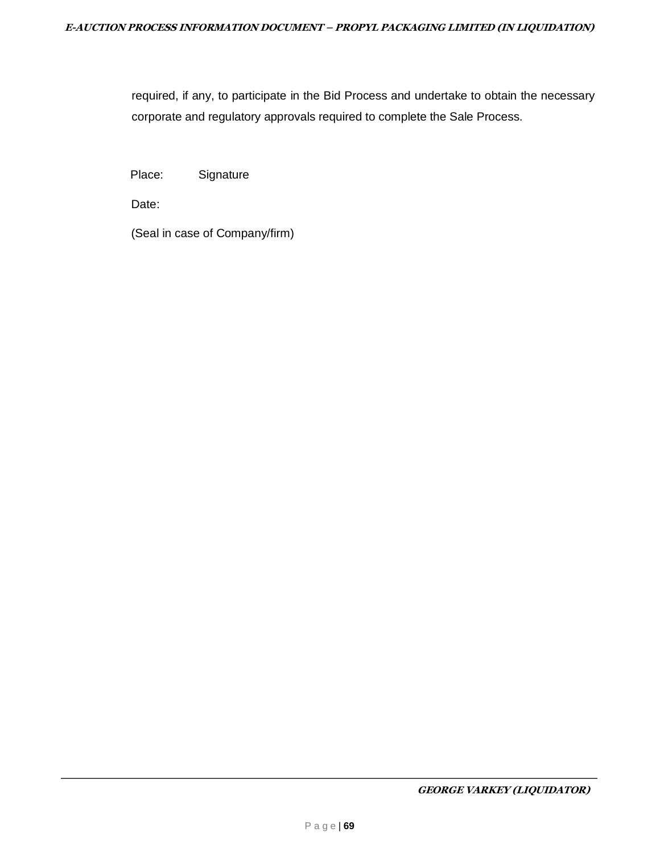required, if any, to participate in the Bid Process and undertake to obtain the necessary corporate and regulatory approvals required to complete the Sale Process.

Place: Signature

Date:

(Seal in case of Company/firm)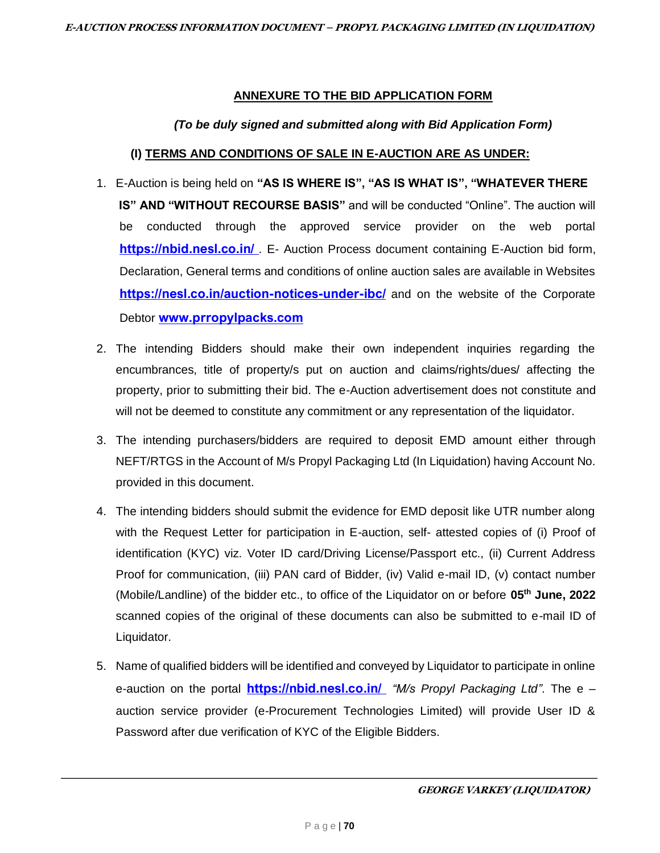#### **ANNEXURE TO THE BID APPLICATION FORM**

### *(To be duly signed and submitted along with Bid Application Form)*

#### **(I) TERMS AND CONDITIONS OF SALE IN E-AUCTION ARE AS UNDER:**

- 1. E-Auction is being held on **"AS IS WHERE IS", "AS IS WHAT IS", "WHATEVER THERE IS" AND "WITHOUT RECOURSE BASIS"** and will be conducted "Online". The auction will be conducted through the approved service provider on the web porta[l](https://ncltauction.auctiontiger.net/) https://nbid[.](https://ncltauction.auctiontiger.net/)nesl.co.in/ . E- Auction Process document containing E-Auction bid form, Declaration, General terms and conditions of online auction sales are available in Websites https://nesl.co.in/auction-notices-under-ibc/ and on the website of the Corporate Debtor [www.prropylpacks.com](http://www.prropylpacks.com/)
- 2. The intending Bidders should make their own independent inquiries regarding the encumbrances, title of property/s put on auction and claims/rights/dues/ affecting the property, prior to submitting their bid. The e-Auction advertisement does not constitute and will not be deemed to constitute any commitment or any representation of the liquidator.
- 3. The intending purchasers/bidders are required to deposit EMD amount either through NEFT/RTGS in the Account of M/s Propyl Packaging Ltd (In Liquidation) having Account No. provided in this document.
- 4. The intending bidders should submit the evidence for EMD deposit like UTR number along with the Request Letter for participation in E-auction, self- attested copies of (i) Proof of identification (KYC) viz. Voter ID card/Driving License/Passport etc., (ii) Current Address Proof for communication, (iii) PAN card of Bidder, (iv) Valid e-mail ID, (v) contact number (Mobile/Landline) of the bidder etc., to office of the Liquidator on or before **05 th June, 2022** scanned copies of the original of these documents can also be submitted to e-mail ID of Liquidator.
- 5. Name of qualified bidders will be identified and conveyed by Liquidator to participate in online e-auction on the portal https://nbid.nesl.co.in/ *["](https://ncltauction.auctiontiger.net/)M/s Propyl Packaging Ltd"*. The e – auction service provider (e-Procurement Technologies Limited) will provide User ID & Password after due verification of KYC of the Eligible Bidders.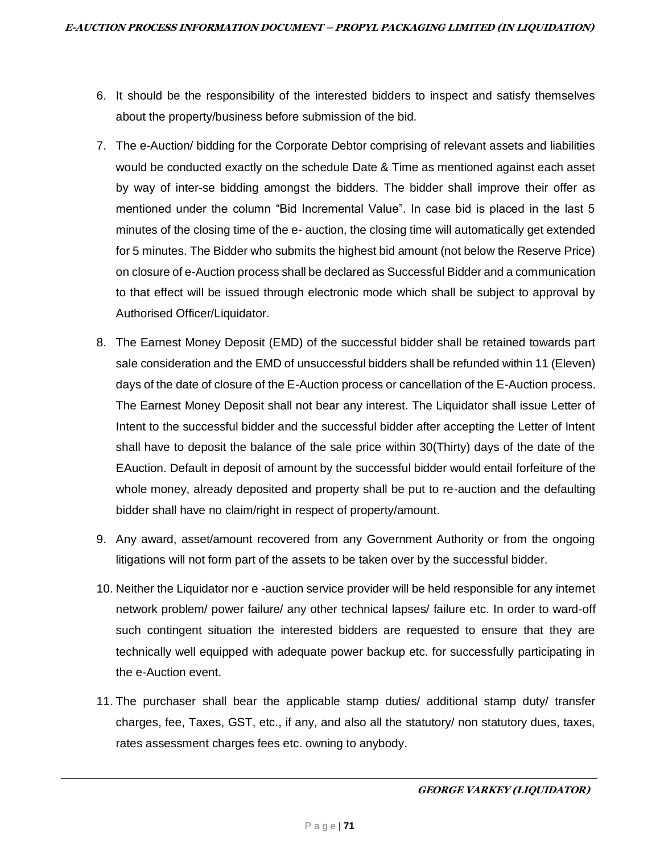- 6. It should be the responsibility of the interested bidders to inspect and satisfy themselves about the property/business before submission of the bid.
- 7. The e-Auction/ bidding for the Corporate Debtor comprising of relevant assets and liabilities would be conducted exactly on the schedule Date & Time as mentioned against each asset by way of inter-se bidding amongst the bidders. The bidder shall improve their offer as mentioned under the column "Bid Incremental Value". In case bid is placed in the last 5 minutes of the closing time of the e- auction, the closing time will automatically get extended for 5 minutes. The Bidder who submits the highest bid amount (not below the Reserve Price) on closure of e-Auction process shall be declared as Successful Bidder and a communication to that effect will be issued through electronic mode which shall be subject to approval by Authorised Officer/Liquidator.
- 8. The Earnest Money Deposit (EMD) of the successful bidder shall be retained towards part sale consideration and the EMD of unsuccessful bidders shall be refunded within 11 (Eleven) days of the date of closure of the E-Auction process or cancellation of the E-Auction process. The Earnest Money Deposit shall not bear any interest. The Liquidator shall issue Letter of Intent to the successful bidder and the successful bidder after accepting the Letter of Intent shall have to deposit the balance of the sale price within 30(Thirty) days of the date of the EAuction. Default in deposit of amount by the successful bidder would entail forfeiture of the whole money, already deposited and property shall be put to re-auction and the defaulting bidder shall have no claim/right in respect of property/amount.
- 9. Any award, asset/amount recovered from any Government Authority or from the ongoing litigations will not form part of the assets to be taken over by the successful bidder.
- 10. Neither the Liquidator nor e -auction service provider will be held responsible for any internet network problem/ power failure/ any other technical lapses/ failure etc. In order to ward-off such contingent situation the interested bidders are requested to ensure that they are technically well equipped with adequate power backup etc. for successfully participating in the e-Auction event.
- 11. The purchaser shall bear the applicable stamp duties/ additional stamp duty/ transfer charges, fee, Taxes, GST, etc., if any, and also all the statutory/ non statutory dues, taxes, rates assessment charges fees etc. owning to anybody.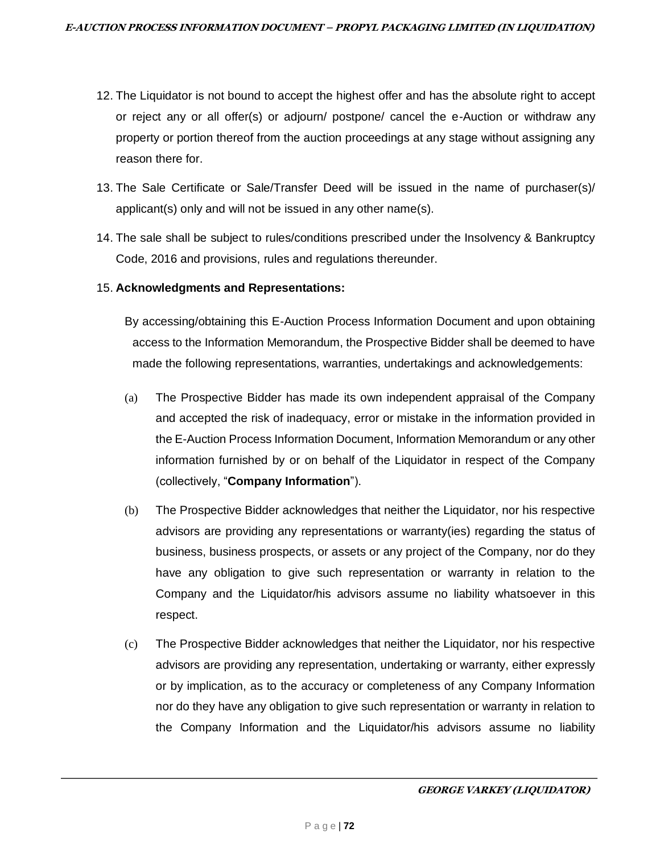- 12. The Liquidator is not bound to accept the highest offer and has the absolute right to accept or reject any or all offer(s) or adjourn/ postpone/ cancel the e-Auction or withdraw any property or portion thereof from the auction proceedings at any stage without assigning any reason there for.
- 13. The Sale Certificate or Sale/Transfer Deed will be issued in the name of purchaser(s)/ applicant(s) only and will not be issued in any other name(s).
- 14. The sale shall be subject to rules/conditions prescribed under the Insolvency & Bankruptcy Code, 2016 and provisions, rules and regulations thereunder.

#### 15. **Acknowledgments and Representations:**

By accessing/obtaining this E-Auction Process Information Document and upon obtaining access to the Information Memorandum, the Prospective Bidder shall be deemed to have made the following representations, warranties, undertakings and acknowledgements:

- (a) The Prospective Bidder has made its own independent appraisal of the Company and accepted the risk of inadequacy, error or mistake in the information provided in the E-Auction Process Information Document, Information Memorandum or any other information furnished by or on behalf of the Liquidator in respect of the Company (collectively, "**Company Information**").
- (b) The Prospective Bidder acknowledges that neither the Liquidator, nor his respective advisors are providing any representations or warranty(ies) regarding the status of business, business prospects, or assets or any project of the Company, nor do they have any obligation to give such representation or warranty in relation to the Company and the Liquidator/his advisors assume no liability whatsoever in this respect.
- (c) The Prospective Bidder acknowledges that neither the Liquidator, nor his respective advisors are providing any representation, undertaking or warranty, either expressly or by implication, as to the accuracy or completeness of any Company Information nor do they have any obligation to give such representation or warranty in relation to the Company Information and the Liquidator/his advisors assume no liability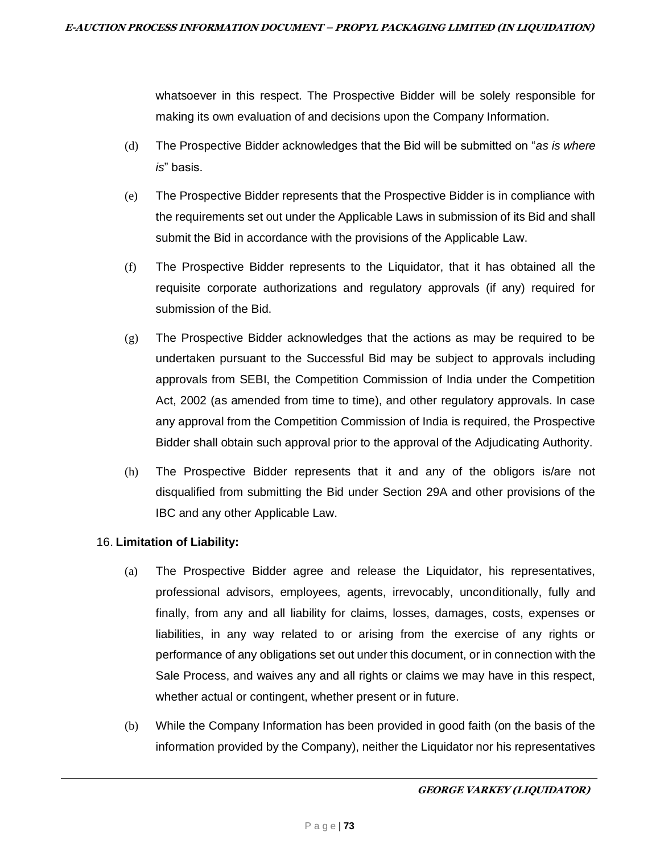whatsoever in this respect. The Prospective Bidder will be solely responsible for making its own evaluation of and decisions upon the Company Information.

- (d) The Prospective Bidder acknowledges that the Bid will be submitted on "*as is where is*" basis.
- (e) The Prospective Bidder represents that the Prospective Bidder is in compliance with the requirements set out under the Applicable Laws in submission of its Bid and shall submit the Bid in accordance with the provisions of the Applicable Law.
- (f) The Prospective Bidder represents to the Liquidator, that it has obtained all the requisite corporate authorizations and regulatory approvals (if any) required for submission of the Bid.
- (g) The Prospective Bidder acknowledges that the actions as may be required to be undertaken pursuant to the Successful Bid may be subject to approvals including approvals from SEBI, the Competition Commission of India under the Competition Act, 2002 (as amended from time to time), and other regulatory approvals. In case any approval from the Competition Commission of India is required, the Prospective Bidder shall obtain such approval prior to the approval of the Adjudicating Authority.
- (h) The Prospective Bidder represents that it and any of the obligors is/are not disqualified from submitting the Bid under Section 29A and other provisions of the IBC and any other Applicable Law.

### 16. **Limitation of Liability:**

- (a) The Prospective Bidder agree and release the Liquidator, his representatives, professional advisors, employees, agents, irrevocably, unconditionally, fully and finally, from any and all liability for claims, losses, damages, costs, expenses or liabilities, in any way related to or arising from the exercise of any rights or performance of any obligations set out under this document, or in connection with the Sale Process, and waives any and all rights or claims we may have in this respect, whether actual or contingent, whether present or in future.
- (b) While the Company Information has been provided in good faith (on the basis of the information provided by the Company), neither the Liquidator nor his representatives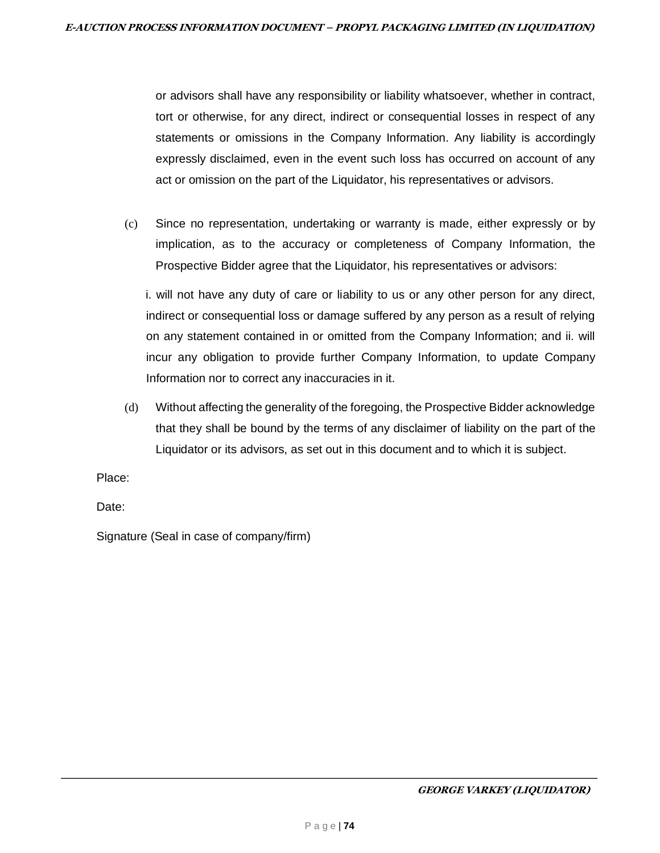or advisors shall have any responsibility or liability whatsoever, whether in contract, tort or otherwise, for any direct, indirect or consequential losses in respect of any statements or omissions in the Company Information. Any liability is accordingly expressly disclaimed, even in the event such loss has occurred on account of any act or omission on the part of the Liquidator, his representatives or advisors.

(c) Since no representation, undertaking or warranty is made, either expressly or by implication, as to the accuracy or completeness of Company Information, the Prospective Bidder agree that the Liquidator, his representatives or advisors:

i. will not have any duty of care or liability to us or any other person for any direct, indirect or consequential loss or damage suffered by any person as a result of relying on any statement contained in or omitted from the Company Information; and ii. will incur any obligation to provide further Company Information, to update Company Information nor to correct any inaccuracies in it.

(d) Without affecting the generality of the foregoing, the Prospective Bidder acknowledge that they shall be bound by the terms of any disclaimer of liability on the part of the Liquidator or its advisors, as set out in this document and to which it is subject.

Place:

Date:

Signature (Seal in case of company/firm)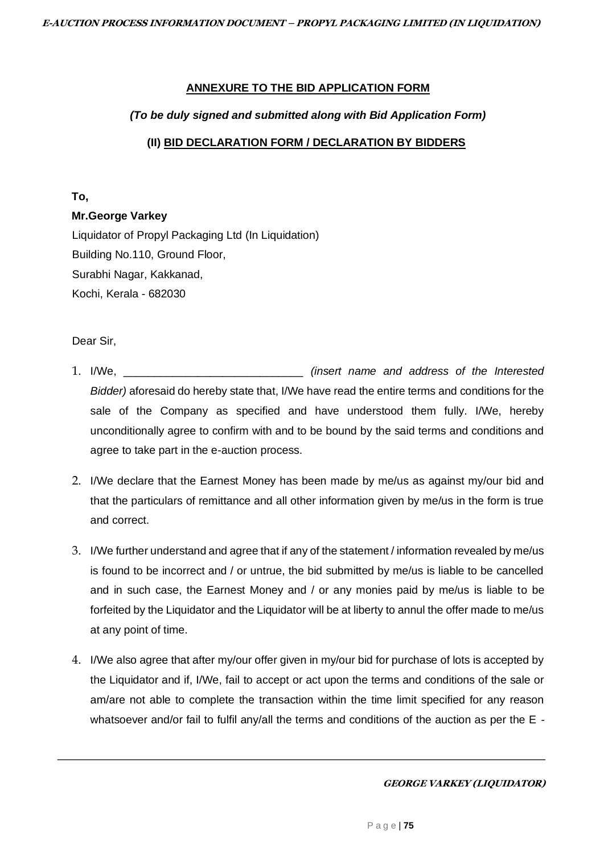#### **ANNEXURE TO THE BID APPLICATION FORM**

#### *(To be duly signed and submitted along with Bid Application Form)*

### **(II) BID DECLARATION FORM / DECLARATION BY BIDDERS**

#### **To,**

#### **Mr.George Varkey**

Liquidator of Propyl Packaging Ltd (In Liquidation) Building No.110, Ground Floor, Surabhi Nagar, Kakkanad, Kochi, Kerala - 682030

#### Dear Sir,

- 1. I/We, \_\_\_\_\_\_\_\_\_\_\_\_\_\_\_\_\_\_\_\_\_\_\_\_\_\_\_\_\_ *(insert name and address of the Interested Bidder)* aforesaid do hereby state that, I/We have read the entire terms and conditions for the sale of the Company as specified and have understood them fully. I/We, hereby unconditionally agree to confirm with and to be bound by the said terms and conditions and agree to take part in the e-auction process.
- 2. I/We declare that the Earnest Money has been made by me/us as against my/our bid and that the particulars of remittance and all other information given by me/us in the form is true and correct.
- 3. I/We further understand and agree that if any of the statement / information revealed by me/us is found to be incorrect and / or untrue, the bid submitted by me/us is liable to be cancelled and in such case, the Earnest Money and / or any monies paid by me/us is liable to be forfeited by the Liquidator and the Liquidator will be at liberty to annul the offer made to me/us at any point of time.
- 4. I/We also agree that after my/our offer given in my/our bid for purchase of lots is accepted by the Liquidator and if, I/We, fail to accept or act upon the terms and conditions of the sale or am/are not able to complete the transaction within the time limit specified for any reason whatsoever and/or fail to fulfil any/all the terms and conditions of the auction as per the E -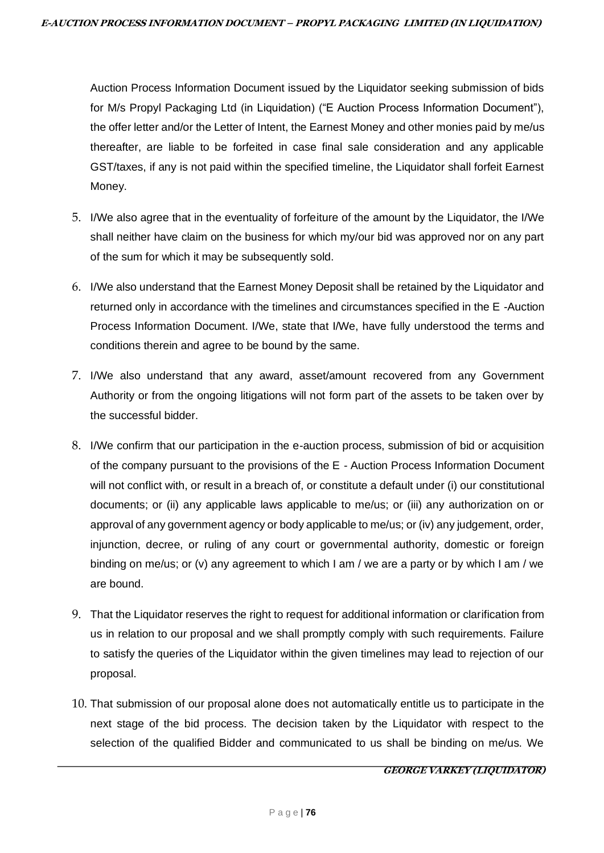Auction Process Information Document issued by the Liquidator seeking submission of bids for M/s Propyl Packaging Ltd (in Liquidation) ("E Auction Process Information Document"), the offer letter and/or the Letter of Intent, the Earnest Money and other monies paid by me/us thereafter, are liable to be forfeited in case final sale consideration and any applicable GST/taxes, if any is not paid within the specified timeline, the Liquidator shall forfeit Earnest Money.

- 5. I/We also agree that in the eventuality of forfeiture of the amount by the Liquidator, the I/We shall neither have claim on the business for which my/our bid was approved nor on any part of the sum for which it may be subsequently sold.
- 6. I/We also understand that the Earnest Money Deposit shall be retained by the Liquidator and returned only in accordance with the timelines and circumstances specified in the E -Auction Process Information Document. I/We, state that I/We, have fully understood the terms and conditions therein and agree to be bound by the same.
- 7. I/We also understand that any award, asset/amount recovered from any Government Authority or from the ongoing litigations will not form part of the assets to be taken over by the successful bidder.
- 8. I/We confirm that our participation in the e-auction process, submission of bid or acquisition of the company pursuant to the provisions of the E - Auction Process Information Document will not conflict with, or result in a breach of, or constitute a default under (i) our constitutional documents; or (ii) any applicable laws applicable to me/us; or (iii) any authorization on or approval of any government agency or body applicable to me/us; or (iv) any judgement, order, injunction, decree, or ruling of any court or governmental authority, domestic or foreign binding on me/us; or (v) any agreement to which I am / we are a party or by which I am / we are bound.
- 9. That the Liquidator reserves the right to request for additional information or clarification from us in relation to our proposal and we shall promptly comply with such requirements. Failure to satisfy the queries of the Liquidator within the given timelines may lead to rejection of our proposal.
- 10. That submission of our proposal alone does not automatically entitle us to participate in the next stage of the bid process. The decision taken by the Liquidator with respect to the selection of the qualified Bidder and communicated to us shall be binding on me/us. We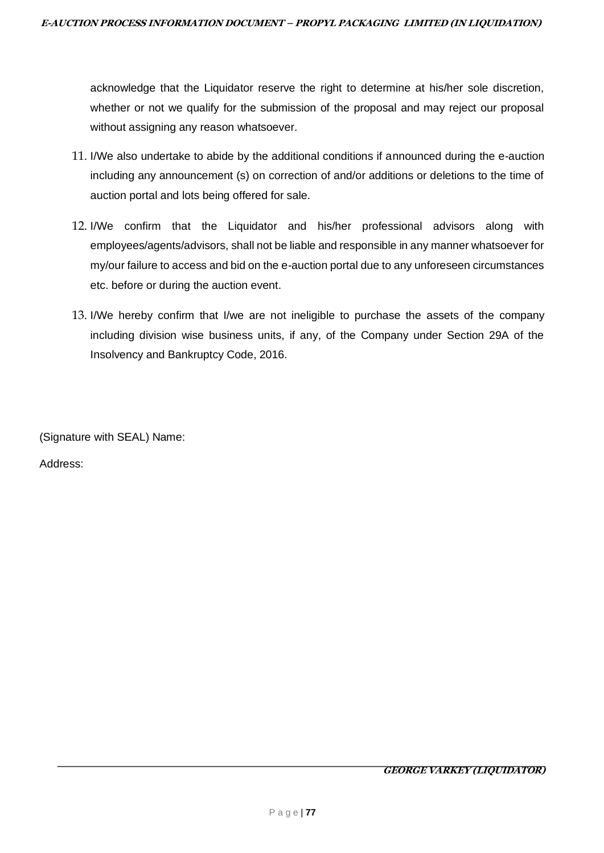acknowledge that the Liquidator reserve the right to determine at his/her sole discretion, whether or not we qualify for the submission of the proposal and may reject our proposal without assigning any reason whatsoever.

- 11. I/We also undertake to abide by the additional conditions if announced during the e-auction including any announcement (s) on correction of and/or additions or deletions to the time of auction portal and lots being offered for sale.
- 12. I/We confirm that the Liquidator and his/her professional advisors along with employees/agents/advisors, shall not be liable and responsible in any manner whatsoever for my/our failure to access and bid on the e-auction portal due to any unforeseen circumstances etc. before or during the auction event.
- 13. I/We hereby confirm that I/we are not ineligible to purchase the assets of the company including division wise business units, if any, of the Company under Section 29A of the Insolvency and Bankruptcy Code, 2016.

(Signature with SEAL) Name:

Address: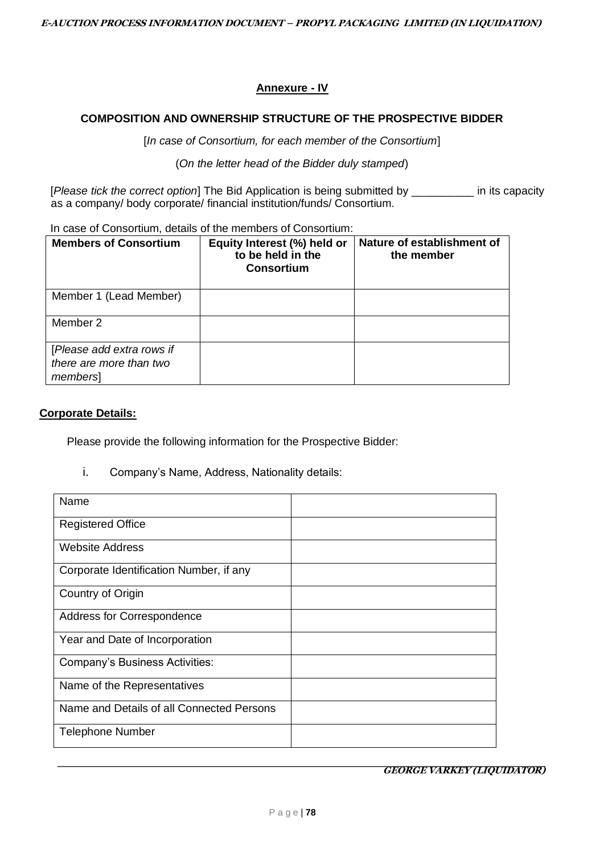# **Annexure - IV**

### **COMPOSITION AND OWNERSHIP STRUCTURE OF THE PROSPECTIVE BIDDER**

[*In case of Consortium, for each member of the Consortium*]

(*On the letter head of the Bidder duly stamped*)

[*Please tick the correct option*] The Bid Application is being submitted by \_\_\_\_\_\_\_\_\_\_ in its capacity as a company/ body corporate/ financial institution/funds/ Consortium.

In case of Consortium, details of the members of Consortium:

| <b>Members of Consortium</b>                                    | Equity Interest (%) held or<br>to be held in the<br><b>Consortium</b> | Nature of establishment of<br>the member |
|-----------------------------------------------------------------|-----------------------------------------------------------------------|------------------------------------------|
| Member 1 (Lead Member)                                          |                                                                       |                                          |
| Member 2                                                        |                                                                       |                                          |
| [Please add extra rows if<br>there are more than two<br>members |                                                                       |                                          |

#### **Corporate Details:**

Please provide the following information for the Prospective Bidder:

i. Company's Name, Address, Nationality details:

| Name                                      |  |
|-------------------------------------------|--|
| <b>Registered Office</b>                  |  |
| <b>Website Address</b>                    |  |
| Corporate Identification Number, if any   |  |
| Country of Origin                         |  |
| Address for Correspondence                |  |
| Year and Date of Incorporation            |  |
| <b>Company's Business Activities:</b>     |  |
| Name of the Representatives               |  |
| Name and Details of all Connected Persons |  |
| <b>Telephone Number</b>                   |  |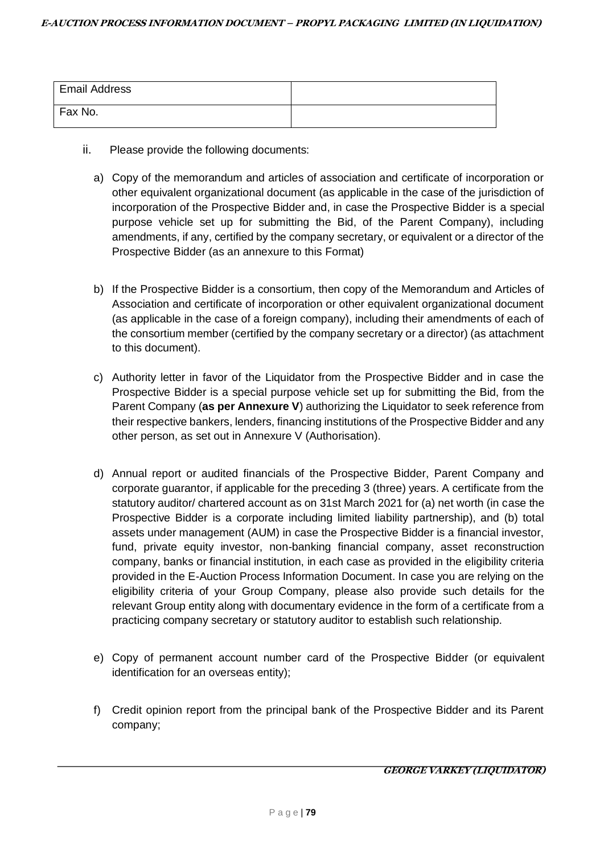| <b>Email Address</b> |  |
|----------------------|--|
| Fax No.              |  |

- ii. Please provide the following documents:
	- a) Copy of the memorandum and articles of association and certificate of incorporation or other equivalent organizational document (as applicable in the case of the jurisdiction of incorporation of the Prospective Bidder and, in case the Prospective Bidder is a special purpose vehicle set up for submitting the Bid, of the Parent Company), including amendments, if any, certified by the company secretary, or equivalent or a director of the Prospective Bidder (as an annexure to this Format)
	- b) If the Prospective Bidder is a consortium, then copy of the Memorandum and Articles of Association and certificate of incorporation or other equivalent organizational document (as applicable in the case of a foreign company), including their amendments of each of the consortium member (certified by the company secretary or a director) (as attachment to this document).
	- c) Authority letter in favor of the Liquidator from the Prospective Bidder and in case the Prospective Bidder is a special purpose vehicle set up for submitting the Bid, from the Parent Company (**as per Annexure V**) authorizing the Liquidator to seek reference from their respective bankers, lenders, financing institutions of the Prospective Bidder and any other person, as set out in Annexure V (Authorisation).
	- d) Annual report or audited financials of the Prospective Bidder, Parent Company and corporate guarantor, if applicable for the preceding 3 (three) years. A certificate from the statutory auditor/ chartered account as on 31st March 2021 for (a) net worth (in case the Prospective Bidder is a corporate including limited liability partnership), and (b) total assets under management (AUM) in case the Prospective Bidder is a financial investor, fund, private equity investor, non-banking financial company, asset reconstruction company, banks or financial institution, in each case as provided in the eligibility criteria provided in the E-Auction Process Information Document. In case you are relying on the eligibility criteria of your Group Company, please also provide such details for the relevant Group entity along with documentary evidence in the form of a certificate from a practicing company secretary or statutory auditor to establish such relationship.
	- e) Copy of permanent account number card of the Prospective Bidder (or equivalent identification for an overseas entity);
	- f) Credit opinion report from the principal bank of the Prospective Bidder and its Parent company;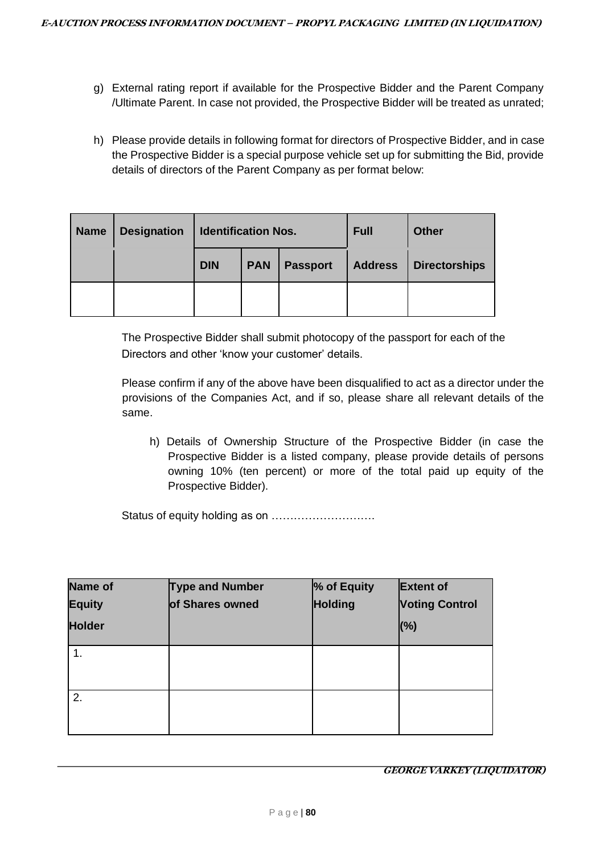- g) External rating report if available for the Prospective Bidder and the Parent Company /Ultimate Parent. In case not provided, the Prospective Bidder will be treated as unrated;
- h) Please provide details in following format for directors of Prospective Bidder, and in case the Prospective Bidder is a special purpose vehicle set up for submitting the Bid, provide details of directors of the Parent Company as per format below:

| <b>Name</b> | <b>Designation</b> | <b>Identification Nos.</b> |  |                 | <b>Full</b>    | <b>Other</b>         |  |
|-------------|--------------------|----------------------------|--|-----------------|----------------|----------------------|--|
|             |                    | <b>DIN</b><br><b>PAN</b>   |  | <b>Passport</b> | <b>Address</b> | <b>Directorships</b> |  |
|             |                    |                            |  |                 |                |                      |  |

The Prospective Bidder shall submit photocopy of the passport for each of the Directors and other 'know your customer' details.

Please confirm if any of the above have been disqualified to act as a director under the provisions of the Companies Act, and if so, please share all relevant details of the same.

h) Details of Ownership Structure of the Prospective Bidder (in case the Prospective Bidder is a listed company, please provide details of persons owning 10% (ten percent) or more of the total paid up equity of the Prospective Bidder).

Status of equity holding as on ……………………….

| <b>Name of</b> | <b>Type and Number</b> | % of Equity    | <b>Extent of</b>      |
|----------------|------------------------|----------------|-----------------------|
| <b>Equity</b>  | of Shares owned        | <b>Holding</b> | <b>Voting Control</b> |
| <b>Holder</b>  |                        |                | (%)                   |
| $\mathbf 1$    |                        |                |                       |
| 2.             |                        |                |                       |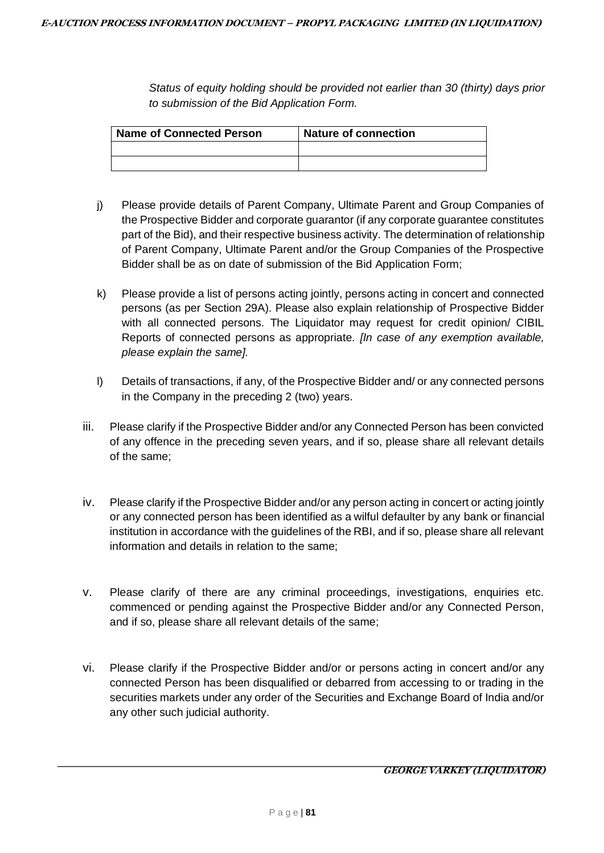*Status of equity holding should be provided not earlier than 30 (thirty) days prior to submission of the Bid Application Form.* 

| <b>Name of Connected Person</b> | <b>Nature of connection</b> |
|---------------------------------|-----------------------------|
|                                 |                             |
|                                 |                             |

- j) Please provide details of Parent Company, Ultimate Parent and Group Companies of the Prospective Bidder and corporate guarantor (if any corporate guarantee constitutes part of the Bid), and their respective business activity. The determination of relationship of Parent Company, Ultimate Parent and/or the Group Companies of the Prospective Bidder shall be as on date of submission of the Bid Application Form;
- k) Please provide a list of persons acting jointly, persons acting in concert and connected persons (as per Section 29A). Please also explain relationship of Prospective Bidder with all connected persons. The Liquidator may request for credit opinion/ CIBIL Reports of connected persons as appropriate. *[In case of any exemption available, please explain the same].*
- l) Details of transactions, if any, of the Prospective Bidder and/ or any connected persons in the Company in the preceding 2 (two) years.
- iii. Please clarify if the Prospective Bidder and/or any Connected Person has been convicted of any offence in the preceding seven years, and if so, please share all relevant details of the same;
- iv. Please clarify if the Prospective Bidder and/or any person acting in concert or acting jointly or any connected person has been identified as a wilful defaulter by any bank or financial institution in accordance with the guidelines of the RBI, and if so, please share all relevant information and details in relation to the same;
- v. Please clarify of there are any criminal proceedings, investigations, enquiries etc. commenced or pending against the Prospective Bidder and/or any Connected Person, and if so, please share all relevant details of the same;
- vi. Please clarify if the Prospective Bidder and/or or persons acting in concert and/or any connected Person has been disqualified or debarred from accessing to or trading in the securities markets under any order of the Securities and Exchange Board of India and/or any other such judicial authority.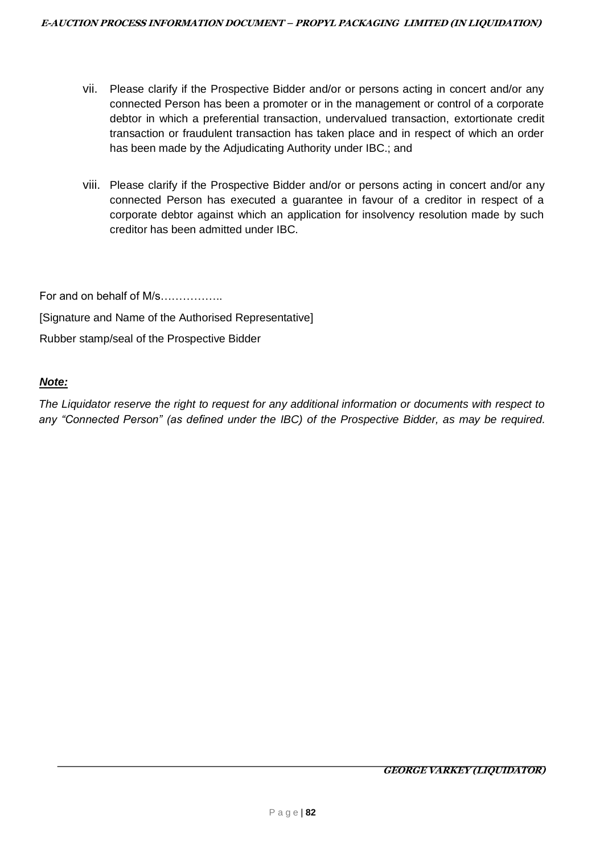- vii. Please clarify if the Prospective Bidder and/or or persons acting in concert and/or any connected Person has been a promoter or in the management or control of a corporate debtor in which a preferential transaction, undervalued transaction, extortionate credit transaction or fraudulent transaction has taken place and in respect of which an order has been made by the Adjudicating Authority under IBC.; and
- viii. Please clarify if the Prospective Bidder and/or or persons acting in concert and/or any connected Person has executed a guarantee in favour of a creditor in respect of a corporate debtor against which an application for insolvency resolution made by such creditor has been admitted under IBC.

For and on behalf of M/s…………….. [Signature and Name of the Authorised Representative]

Rubber stamp/seal of the Prospective Bidder

# *Note:*

*The Liquidator reserve the right to request for any additional information or documents with respect to any "Connected Person" (as defined under the IBC) of the Prospective Bidder, as may be required.*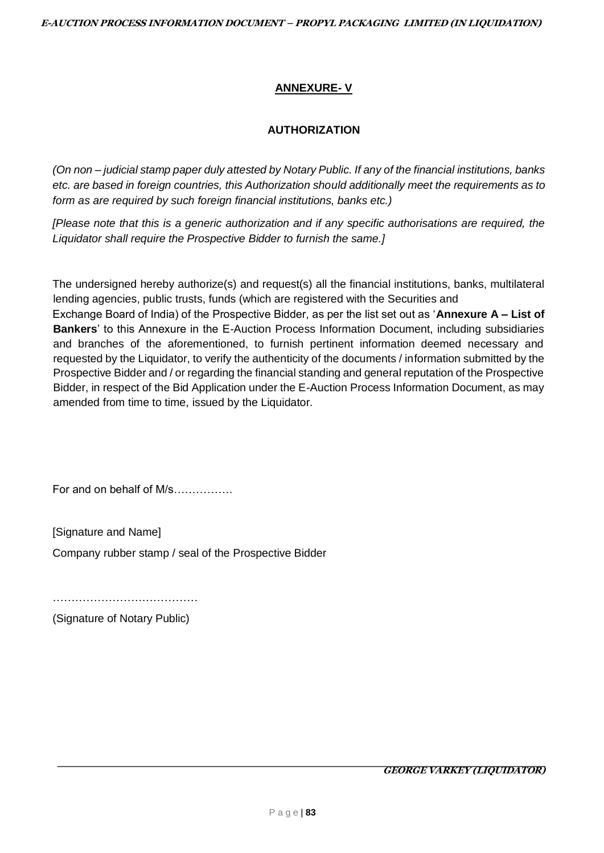# **ANNEXURE- V**

# **AUTHORIZATION**

*(On non – judicial stamp paper duly attested by Notary Public. If any of the financial institutions, banks etc. are based in foreign countries, this Authorization should additionally meet the requirements as to form as are required by such foreign financial institutions, banks etc.)* 

*[Please note that this is a generic authorization and if any specific authorisations are required, the Liquidator shall require the Prospective Bidder to furnish the same.]* 

The undersigned hereby authorize(s) and request(s) all the financial institutions, banks, multilateral lending agencies, public trusts, funds (which are registered with the Securities and

Exchange Board of India) of the Prospective Bidder, as per the list set out as '**Annexure A – List of Bankers**' to this Annexure in the E-Auction Process Information Document, including subsidiaries and branches of the aforementioned, to furnish pertinent information deemed necessary and requested by the Liquidator, to verify the authenticity of the documents / information submitted by the Prospective Bidder and / or regarding the financial standing and general reputation of the Prospective Bidder, in respect of the Bid Application under the E-Auction Process Information Document, as may amended from time to time, issued by the Liquidator.

For and on behalf of M/s…………….

[Signature and Name]

Company rubber stamp / seal of the Prospective Bidder

……………………………………………

(Signature of Notary Public)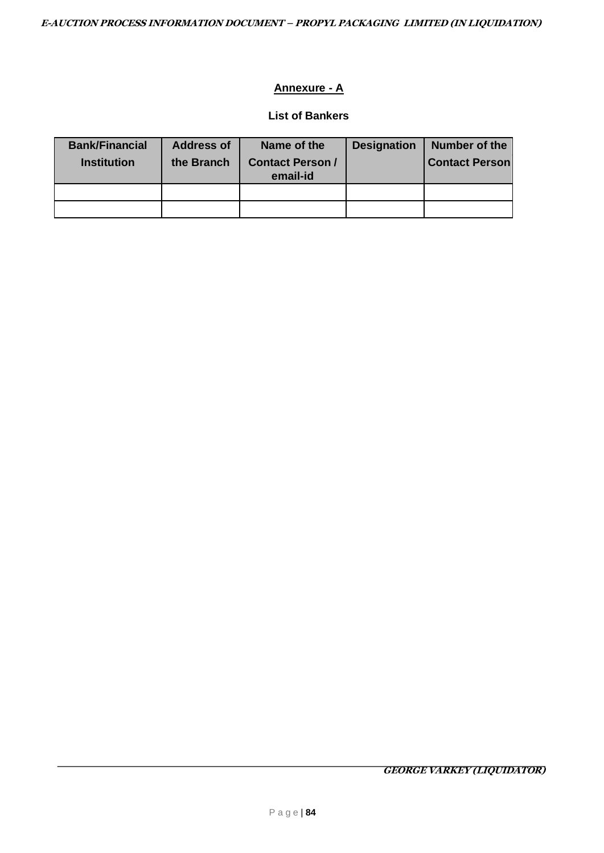# **Annexure - A**

#### **List of Bankers**

| <b>Bank/Financial</b> | <b>Address of</b> | Name of the                         | <b>Designation</b> | Number of the         |
|-----------------------|-------------------|-------------------------------------|--------------------|-----------------------|
| <b>Institution</b>    | the Branch        | <b>Contact Person /</b><br>email-id |                    | <b>Contact Person</b> |
|                       |                   |                                     |                    |                       |
|                       |                   |                                     |                    |                       |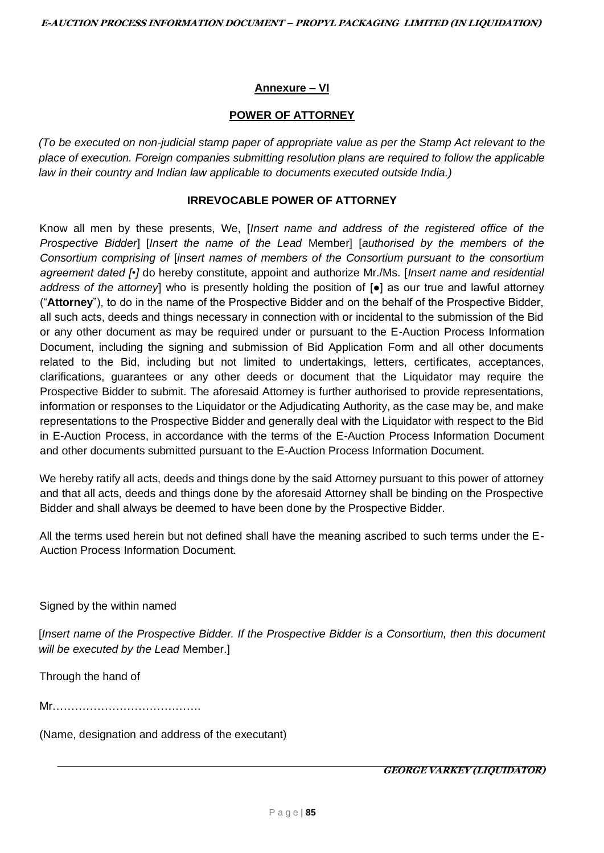# **Annexure – VI**

### **POWER OF ATTORNEY**

*(To be executed on non-judicial stamp paper of appropriate value as per the Stamp Act relevant to the place of execution. Foreign companies submitting resolution plans are required to follow the applicable law in their country and Indian law applicable to documents executed outside India.)* 

#### **IRREVOCABLE POWER OF ATTORNEY**

Know all men by these presents, We, [*Insert name and address of the registered office of the Prospective Bidder*] [*Insert the name of the Lead* Member] [*authorised by the members of the Consortium comprising of* [*insert names of members of the Consortium pursuant to the consortium agreement dated [•]* do hereby constitute, appoint and authorize Mr./Ms. [*Insert name and residential address of the attorney*] who is presently holding the position of [●] as our true and lawful attorney ("**Attorney**"), to do in the name of the Prospective Bidder and on the behalf of the Prospective Bidder, all such acts, deeds and things necessary in connection with or incidental to the submission of the Bid or any other document as may be required under or pursuant to the E-Auction Process Information Document, including the signing and submission of Bid Application Form and all other documents related to the Bid, including but not limited to undertakings, letters, certificates, acceptances, clarifications, guarantees or any other deeds or document that the Liquidator may require the Prospective Bidder to submit. The aforesaid Attorney is further authorised to provide representations, information or responses to the Liquidator or the Adjudicating Authority, as the case may be, and make representations to the Prospective Bidder and generally deal with the Liquidator with respect to the Bid in E-Auction Process, in accordance with the terms of the E-Auction Process Information Document and other documents submitted pursuant to the E-Auction Process Information Document.

We hereby ratify all acts, deeds and things done by the said Attorney pursuant to this power of attorney and that all acts, deeds and things done by the aforesaid Attorney shall be binding on the Prospective Bidder and shall always be deemed to have been done by the Prospective Bidder.

All the terms used herein but not defined shall have the meaning ascribed to such terms under the E-Auction Process Information Document.

Signed by the within named

[*Insert name of the Prospective Bidder. If the Prospective Bidder is a Consortium, then this document will be executed by the Lead* Member.]

Through the hand of

Mr………………………………….

(Name, designation and address of the executant)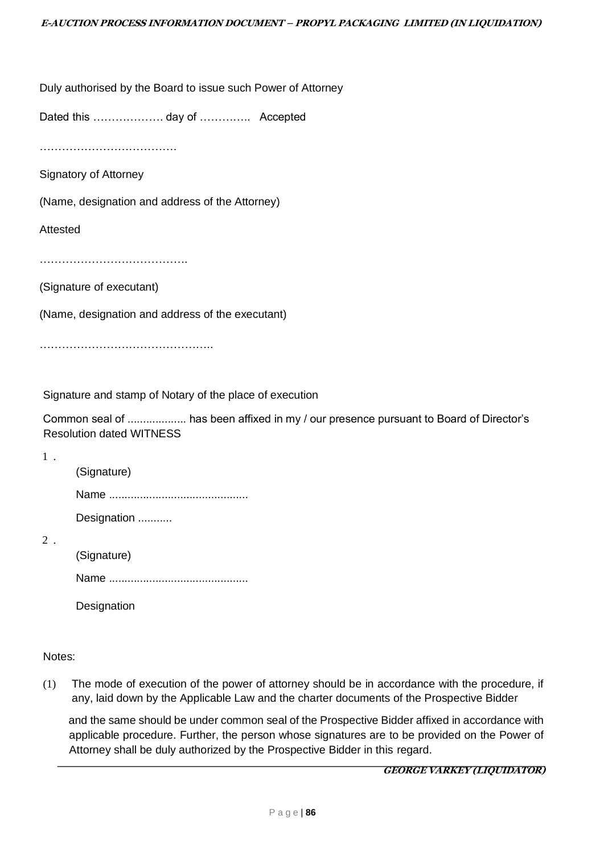Duly authorised by the Board to issue such Power of Attorney

Dated this ………………. day of ………….. Accepted

…………………………………………

Signatory of Attorney

(Name, designation and address of the Attorney)

Attested

………………………………………………

(Signature of executant)

(Name, designation and address of the executant)

………………………………………………

Signature and stamp of Notary of the place of execution

Common seal of ................... has been affixed in my / our presence pursuant to Board of Director's Resolution dated WITNESS

1 .

(Signature) Name ............................................. Designation ...........

2 .

(Signature)

Name .............................................

**Designation** 

#### Notes:

(1) The mode of execution of the power of attorney should be in accordance with the procedure, if any, laid down by the Applicable Law and the charter documents of the Prospective Bidder

and the same should be under common seal of the Prospective Bidder affixed in accordance with applicable procedure. Further, the person whose signatures are to be provided on the Power of Attorney shall be duly authorized by the Prospective Bidder in this regard.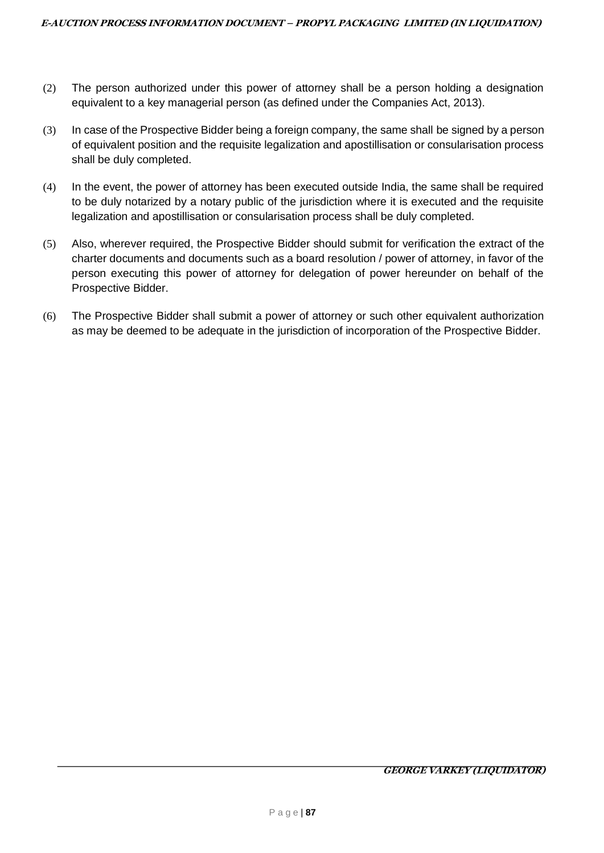- (2) The person authorized under this power of attorney shall be a person holding a designation equivalent to a key managerial person (as defined under the Companies Act, 2013).
- (3) In case of the Prospective Bidder being a foreign company, the same shall be signed by a person of equivalent position and the requisite legalization and apostillisation or consularisation process shall be duly completed.
- (4) In the event, the power of attorney has been executed outside India, the same shall be required to be duly notarized by a notary public of the jurisdiction where it is executed and the requisite legalization and apostillisation or consularisation process shall be duly completed.
- (5) Also, wherever required, the Prospective Bidder should submit for verification the extract of the charter documents and documents such as a board resolution / power of attorney, in favor of the person executing this power of attorney for delegation of power hereunder on behalf of the Prospective Bidder.
- (6) The Prospective Bidder shall submit a power of attorney or such other equivalent authorization as may be deemed to be adequate in the jurisdiction of incorporation of the Prospective Bidder.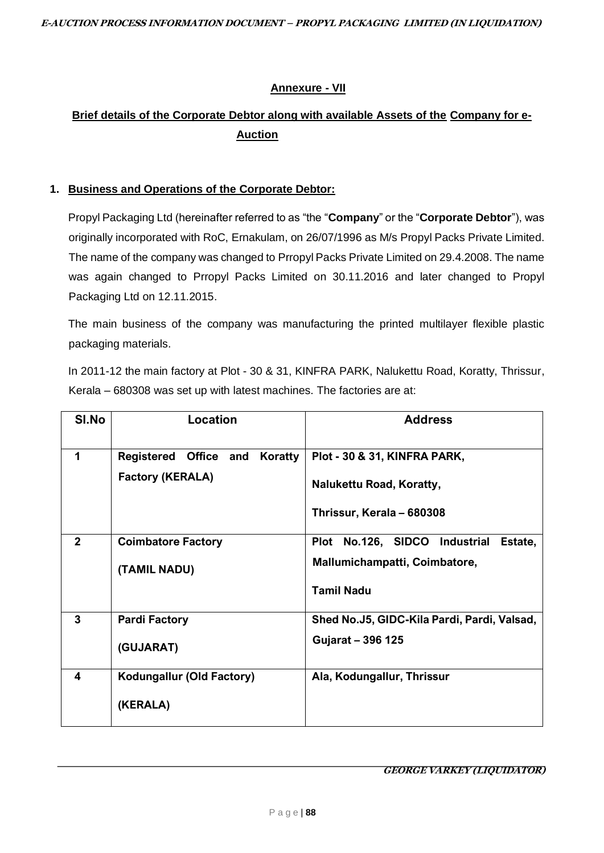# **Annexure - VII**

# **Brief details of the Corporate Debtor along with available Assets of the Company for e-Auction**

# **1. Business and Operations of the Corporate Debtor:**

Propyl Packaging Ltd (hereinafter referred to as "the "**Company**" or the "**Corporate Debtor**"), was originally incorporated with RoC, Ernakulam, on 26/07/1996 as M/s Propyl Packs Private Limited. The name of the company was changed to Prropyl Packs Private Limited on 29.4.2008. The name was again changed to Prropyl Packs Limited on 30.11.2016 and later changed to Propyl Packaging Ltd on 12.11.2015.

The main business of the company was manufacturing the printed multilayer flexible plastic packaging materials.

In 2011-12 the main factory at Plot - 30 & 31, KINFRA PARK, Nalukettu Road, Koratty, Thrissur, Kerala – 680308 was set up with latest machines. The factories are at:

| SI.No          | <b>Location</b>                  | <b>Address</b>                              |
|----------------|----------------------------------|---------------------------------------------|
|                |                                  |                                             |
| 1              | Registered Office and<br>Koratty | Plot - 30 & 31, KINFRA PARK,                |
|                | <b>Factory (KERALA)</b>          | Nalukettu Road, Koratty,                    |
|                |                                  | Thrissur, Kerala - 680308                   |
| $\overline{2}$ | <b>Coimbatore Factory</b>        | No.126, SIDCO Industrial<br>Plot<br>Estate, |
|                | (TAMIL NADU)                     | Mallumichampatti, Coimbatore,               |
|                |                                  | <b>Tamil Nadu</b>                           |
| 3              | <b>Pardi Factory</b>             | Shed No.J5, GIDC-Kila Pardi, Pardi, Valsad, |
|                | (GUJARAT)                        | Gujarat - 396 125                           |
| 4              | Kodungallur (Old Factory)        | Ala, Kodungallur, Thrissur                  |
|                | (KERALA)                         |                                             |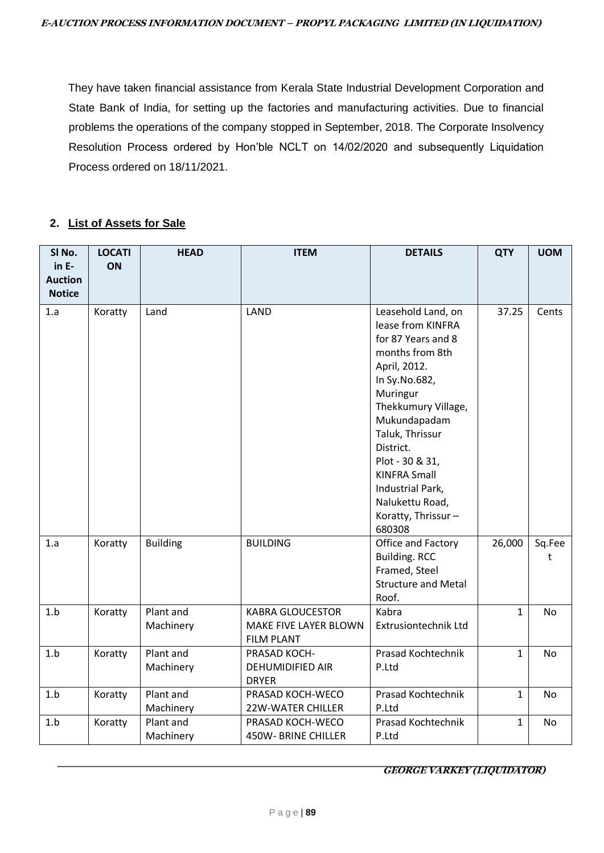They have taken financial assistance from Kerala State Industrial Development Corporation and State Bank of India, for setting up the factories and manufacturing activities. Due to financial problems the operations of the company stopped in September, 2018. The Corporate Insolvency Resolution Process ordered by Hon'ble NCLT on 14/02/2020 and subsequently Liquidation Process ordered on 18/11/2021.

#### **2. List of Assets for Sale**

| SI No.<br>$in E-$<br><b>Auction</b> | <b>LOCATI</b><br>ON | <b>HEAD</b>            | <b>ITEM</b>                                                           | <b>DETAILS</b>                                                                                                                                                                                                                                                                                                        | <b>QTY</b>  | <b>UOM</b>  |
|-------------------------------------|---------------------|------------------------|-----------------------------------------------------------------------|-----------------------------------------------------------------------------------------------------------------------------------------------------------------------------------------------------------------------------------------------------------------------------------------------------------------------|-------------|-------------|
| <b>Notice</b>                       |                     |                        |                                                                       |                                                                                                                                                                                                                                                                                                                       |             |             |
| 1.a                                 | Koratty             | Land                   | LAND                                                                  | Leasehold Land, on<br>lease from KINFRA<br>for 87 Years and 8<br>months from 8th<br>April, 2012.<br>In Sy.No.682,<br>Muringur<br>Thekkumury Village,<br>Mukundapadam<br>Taluk, Thrissur<br>District.<br>Plot - 30 & 31,<br><b>KINFRA Small</b><br>Industrial Park,<br>Nalukettu Road,<br>Koratty, Thrissur-<br>680308 | 37.25       | Cents       |
| 1.a                                 | Koratty             | <b>Building</b>        | <b>BUILDING</b>                                                       | Office and Factory<br><b>Building. RCC</b><br>Framed, Steel<br><b>Structure and Metal</b><br>Roof.                                                                                                                                                                                                                    | 26,000      | Sq.Fee<br>t |
| 1.b                                 | Koratty             | Plant and<br>Machinery | <b>KABRA GLOUCESTOR</b><br>MAKE FIVE LAYER BLOWN<br><b>FILM PLANT</b> | Kabra<br>Extrusiontechnik Ltd                                                                                                                                                                                                                                                                                         | $\mathbf 1$ | No          |
| 1.b                                 | Koratty             | Plant and<br>Machinery | PRASAD KOCH-<br><b>DEHUMIDIFIED AIR</b><br><b>DRYER</b>               | Prasad Kochtechnik<br>P.Ltd                                                                                                                                                                                                                                                                                           | 1           | No          |
| 1.b                                 | Koratty             | Plant and<br>Machinery | PRASAD KOCH-WECO<br><b>22W-WATER CHILLER</b>                          | Prasad Kochtechnik<br>P.Ltd                                                                                                                                                                                                                                                                                           | 1           | No          |
| 1.b                                 | Koratty             | Plant and<br>Machinery | PRASAD KOCH-WECO<br><b>450W-BRINE CHILLER</b>                         | Prasad Kochtechnik<br>P.Ltd                                                                                                                                                                                                                                                                                           | 1           | No          |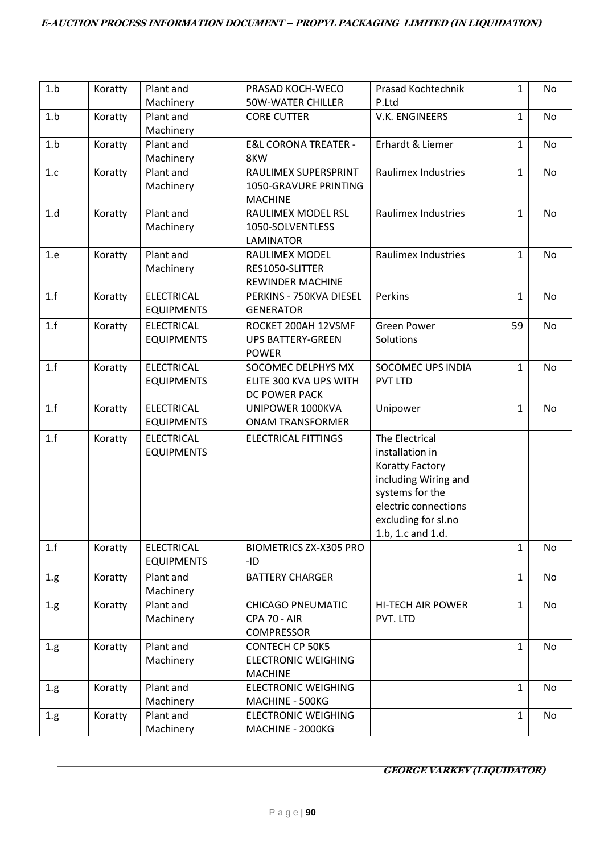| 1.b  | Koratty | Plant and         | PRASAD KOCH-WECO                | <b>Prasad Kochtechnik</b>  | $\mathbf{1}$ | No |
|------|---------|-------------------|---------------------------------|----------------------------|--------------|----|
|      |         | Machinery         | <b>50W-WATER CHILLER</b>        | P.Ltd                      |              |    |
| 1.b  | Koratty | Plant and         | <b>CORE CUTTER</b>              | V.K. ENGINEERS             | 1            | No |
|      |         | Machinery         |                                 |                            |              |    |
| 1.b  | Koratty | Plant and         | <b>E&amp;L CORONA TREATER -</b> | Erhardt & Liemer           | $\mathbf{1}$ | No |
|      |         | Machinery         | 8KW                             |                            |              |    |
| 1.c  | Koratty | Plant and         | RAULIMEX SUPERSPRINT            | Raulimex Industries        | 1            | No |
|      |         | Machinery         | 1050-GRAVURE PRINTING           |                            |              |    |
|      |         |                   | <b>MACHINE</b>                  |                            |              |    |
| 1.d  | Koratty | Plant and         | RAULIMEX MODEL RSL              | <b>Raulimex Industries</b> | 1            | No |
|      |         | Machinery         | 1050-SOLVENTLESS                |                            |              |    |
|      |         |                   | <b>LAMINATOR</b>                |                            |              |    |
| 1.e  | Koratty | Plant and         | RAULIMEX MODEL                  | <b>Raulimex Industries</b> | 1            | No |
|      |         | Machinery         | RES1050-SLITTER                 |                            |              |    |
|      |         |                   | <b>REWINDER MACHINE</b>         |                            |              |    |
| 1.f  | Koratty | <b>ELECTRICAL</b> | PERKINS - 750KVA DIESEL         | Perkins                    | $\mathbf{1}$ | No |
|      |         | <b>EQUIPMENTS</b> | <b>GENERATOR</b>                |                            |              |    |
| 1.f  | Koratty | <b>ELECTRICAL</b> | ROCKET 200AH 12VSMF             | <b>Green Power</b>         | 59           | No |
|      |         | <b>EQUIPMENTS</b> | <b>UPS BATTERY-GREEN</b>        | Solutions                  |              |    |
|      |         |                   | <b>POWER</b>                    |                            |              |    |
| 1.f  | Koratty | <b>ELECTRICAL</b> | SOCOMEC DELPHYS MX              | <b>SOCOMEC UPS INDIA</b>   | 1            | No |
|      |         | <b>EQUIPMENTS</b> | ELITE 300 KVA UPS WITH          | <b>PVT LTD</b>             |              |    |
|      |         |                   | DC POWER PACK                   |                            |              |    |
| 1.f  | Koratty | <b>ELECTRICAL</b> | UNIPOWER 1000KVA                | Unipower                   | 1            | No |
|      |         | <b>EQUIPMENTS</b> | <b>ONAM TRANSFORMER</b>         |                            |              |    |
| 1.f  | Koratty | <b>ELECTRICAL</b> | <b>ELECTRICAL FITTINGS</b>      | The Electrical             |              |    |
|      |         | <b>EQUIPMENTS</b> |                                 | installation in            |              |    |
|      |         |                   |                                 | <b>Koratty Factory</b>     |              |    |
|      |         |                   |                                 | including Wiring and       |              |    |
|      |         |                   |                                 | systems for the            |              |    |
|      |         |                   |                                 | electric connections       |              |    |
|      |         |                   |                                 | excluding for sl.no        |              |    |
|      |         |                   |                                 | 1.b, 1.c and 1.d.          |              |    |
| 1.f  | Koratty | <b>ELECTRICAL</b> | <b>BIOMETRICS ZX-X305 PRO</b>   |                            | 1            | No |
|      |         | <b>EQUIPMENTS</b> | -ID                             |                            |              |    |
| 1.g. | Koratty | Plant and         | <b>BATTERY CHARGER</b>          |                            | $\mathbf{1}$ | No |
|      |         | Machinery         |                                 |                            |              |    |
| 1.g. | Koratty | Plant and         | <b>CHICAGO PNEUMATIC</b>        | <b>HI-TECH AIR POWER</b>   | $\mathbf 1$  | No |
|      |         | Machinery         | <b>CPA 70 - AIR</b>             | PVT. LTD                   |              |    |
|      |         |                   | <b>COMPRESSOR</b>               |                            |              |    |
| 1.g. | Koratty | Plant and         | <b>CONTECH CP 50K5</b>          |                            | 1            | No |
|      |         | Machinery         | <b>ELECTRONIC WEIGHING</b>      |                            |              |    |
|      |         |                   | <b>MACHINE</b>                  |                            |              |    |
| 1.g. | Koratty | Plant and         | <b>ELECTRONIC WEIGHING</b>      |                            | 1            | No |
|      |         | Machinery         | MACHINE - 500KG                 |                            |              |    |
| 1.g. | Koratty | Plant and         | <b>ELECTRONIC WEIGHING</b>      |                            | $\mathbf{1}$ | No |
|      |         | Machinery         | MACHINE - 2000KG                |                            |              |    |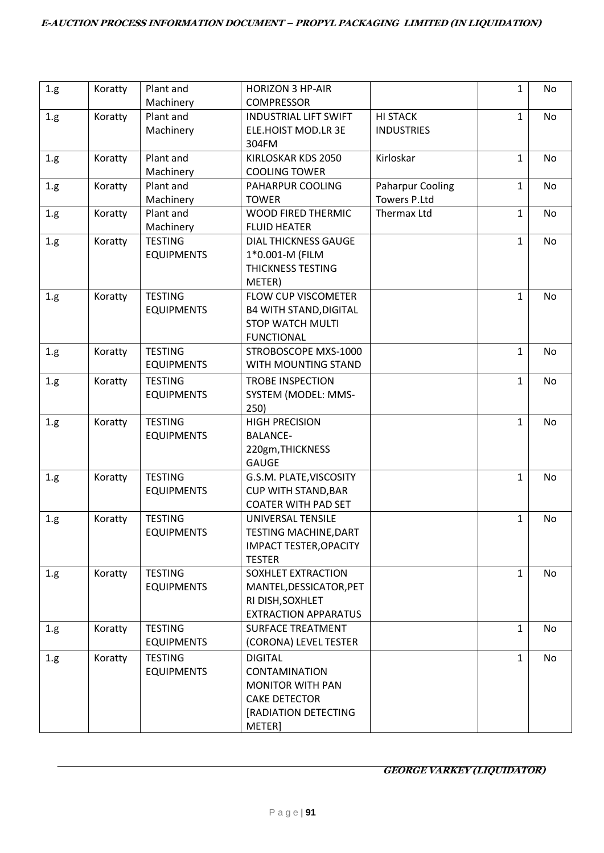| 1.g. | Koratty | Plant and                           | <b>HORIZON 3 HP-AIR</b>                                  |                         | $\mathbf{1}$ | No |
|------|---------|-------------------------------------|----------------------------------------------------------|-------------------------|--------------|----|
|      |         | Machinery                           | <b>COMPRESSOR</b>                                        |                         |              |    |
| 1.g. | Koratty | Plant and                           | <b>INDUSTRIAL LIFT SWIFT</b>                             | <b>HI STACK</b>         | $\mathbf{1}$ | No |
|      |         | Machinery                           | ELE.HOIST MOD.LR 3E                                      | <b>INDUSTRIES</b>       |              |    |
|      |         |                                     | 304FM                                                    |                         |              |    |
| 1.g. | Koratty | Plant and                           | KIRLOSKAR KDS 2050                                       | Kirloskar               | $\mathbf{1}$ | No |
|      |         | Machinery                           | <b>COOLING TOWER</b>                                     |                         |              |    |
| 1.g. | Koratty | Plant and                           | PAHARPUR COOLING                                         | <b>Paharpur Cooling</b> | $\mathbf{1}$ | No |
|      |         | Machinery                           | <b>TOWER</b>                                             | <b>Towers P.Ltd</b>     |              |    |
| 1.g. | Koratty | Plant and                           | <b>WOOD FIRED THERMIC</b>                                | Thermax Ltd             | $\mathbf{1}$ | No |
|      |         | Machinery                           | <b>FLUID HEATER</b>                                      |                         |              |    |
| 1.g. | Koratty | <b>TESTING</b>                      | <b>DIAL THICKNESS GAUGE</b>                              |                         | $\mathbf{1}$ | No |
|      |         | <b>EQUIPMENTS</b>                   | 1*0.001-M (FILM                                          |                         |              |    |
|      |         |                                     | <b>THICKNESS TESTING</b>                                 |                         |              |    |
|      |         |                                     | METER)                                                   |                         |              |    |
| 1.g. | Koratty | <b>TESTING</b>                      | <b>FLOW CUP VISCOMETER</b>                               |                         | $\mathbf{1}$ | No |
|      |         | <b>EQUIPMENTS</b>                   | <b>B4 WITH STAND, DIGITAL</b><br><b>STOP WATCH MULTI</b> |                         |              |    |
|      |         |                                     | <b>FUNCTIONAL</b>                                        |                         |              |    |
|      | Koratty | <b>TESTING</b>                      | STROBOSCOPE MXS-1000                                     |                         | $\mathbf{1}$ | No |
| 1.g. |         | <b>EQUIPMENTS</b>                   | WITH MOUNTING STAND                                      |                         |              |    |
|      |         |                                     |                                                          |                         |              |    |
| 1.g. | Koratty | <b>TESTING</b><br><b>EQUIPMENTS</b> | <b>TROBE INSPECTION</b><br>SYSTEM (MODEL: MMS-           |                         | $\mathbf{1}$ | No |
|      |         |                                     | 250)                                                     |                         |              |    |
| 1.g. | Koratty | <b>TESTING</b>                      | <b>HIGH PRECISION</b>                                    |                         | $\mathbf{1}$ | No |
|      |         | <b>EQUIPMENTS</b>                   | <b>BALANCE-</b>                                          |                         |              |    |
|      |         |                                     | 220gm, THICKNESS                                         |                         |              |    |
|      |         |                                     | <b>GAUGE</b>                                             |                         |              |    |
| 1.g. | Koratty | <b>TESTING</b>                      | G.S.M. PLATE, VISCOSITY                                  |                         | $\mathbf{1}$ | No |
|      |         | <b>EQUIPMENTS</b>                   | <b>CUP WITH STAND, BAR</b>                               |                         |              |    |
|      |         |                                     | <b>COATER WITH PAD SET</b>                               |                         |              |    |
| 1.g. | Koratty | <b>TESTING</b>                      | UNIVERSAL TENSILE                                        |                         | $\mathbf{1}$ | No |
|      |         | <b>EQUIPMENTS</b>                   | TESTING MACHINE, DART                                    |                         |              |    |
|      |         |                                     | <b>IMPACT TESTER, OPACITY</b>                            |                         |              |    |
|      |         |                                     | <b>TESTER</b>                                            |                         |              |    |
| 1.g. | Koratty | <b>TESTING</b>                      | SOXHLET EXTRACTION                                       |                         | $\mathbf{1}$ | No |
|      |         | <b>EQUIPMENTS</b>                   | MANTEL, DESSICATOR, PET                                  |                         |              |    |
|      |         |                                     | RI DISH, SOXHLET                                         |                         |              |    |
|      |         |                                     | <b>EXTRACTION APPARATUS</b>                              |                         |              |    |
| 1.g. | Koratty | <b>TESTING</b>                      | <b>SURFACE TREATMENT</b>                                 |                         | $\mathbf{1}$ | No |
|      |         | <b>EQUIPMENTS</b>                   | (CORONA) LEVEL TESTER                                    |                         |              |    |
| 1.g. | Koratty | <b>TESTING</b>                      | <b>DIGITAL</b>                                           |                         | $\mathbf{1}$ | No |
|      |         | <b>EQUIPMENTS</b>                   | <b>CONTAMINATION</b>                                     |                         |              |    |
|      |         |                                     | <b>MONITOR WITH PAN</b>                                  |                         |              |    |
|      |         |                                     | <b>CAKE DETECTOR</b>                                     |                         |              |    |
|      |         |                                     | [RADIATION DETECTING                                     |                         |              |    |
|      |         |                                     | METER]                                                   |                         |              |    |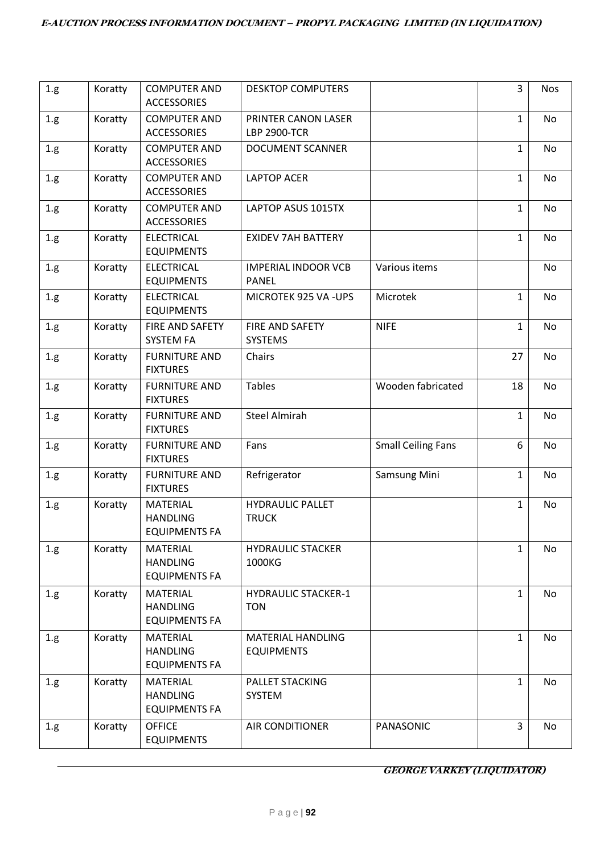| $1.g\,$ | Koratty | <b>COMPUTER AND</b><br><b>ACCESSORIES</b>                  | <b>DESKTOP COMPUTERS</b>                      |                           | 3            | <b>Nos</b> |
|---------|---------|------------------------------------------------------------|-----------------------------------------------|---------------------------|--------------|------------|
| 1.g.    | Koratty | <b>COMPUTER AND</b><br><b>ACCESSORIES</b>                  | PRINTER CANON LASER<br><b>LBP 2900-TCR</b>    |                           | $\mathbf{1}$ | No         |
| 1.g.    | Koratty | <b>COMPUTER AND</b><br><b>ACCESSORIES</b>                  | <b>DOCUMENT SCANNER</b>                       |                           | $\mathbf{1}$ | No         |
| 1.g.    | Koratty | <b>COMPUTER AND</b><br><b>ACCESSORIES</b>                  | <b>LAPTOP ACER</b>                            |                           | $\mathbf{1}$ | No         |
| 1.g.    | Koratty | <b>COMPUTER AND</b><br><b>ACCESSORIES</b>                  | LAPTOP ASUS 1015TX                            |                           | $\mathbf{1}$ | No         |
| 1.g.    | Koratty | <b>ELECTRICAL</b><br><b>EQUIPMENTS</b>                     | <b>EXIDEV 7AH BATTERY</b>                     |                           | $\mathbf{1}$ | No         |
| 1.g.    | Koratty | <b>ELECTRICAL</b><br><b>EQUIPMENTS</b>                     | <b>IMPERIAL INDOOR VCB</b><br><b>PANEL</b>    | Various items             |              | No         |
| 1.g.    | Koratty | <b>ELECTRICAL</b><br><b>EQUIPMENTS</b>                     | MICROTEK 925 VA -UPS                          | Microtek                  | $\mathbf{1}$ | No         |
| 1.g.    | Koratty | FIRE AND SAFETY<br><b>SYSTEM FA</b>                        | FIRE AND SAFETY<br><b>SYSTEMS</b>             | <b>NIFE</b>               | $\mathbf{1}$ | No         |
| 1.g.    | Koratty | <b>FURNITURE AND</b><br><b>FIXTURES</b>                    | Chairs                                        |                           | 27           | No         |
| 1.g.    | Koratty | <b>FURNITURE AND</b><br><b>FIXTURES</b>                    | <b>Tables</b>                                 | Wooden fabricated         | 18           | No         |
| 1.g.    | Koratty | <b>FURNITURE AND</b><br><b>FIXTURES</b>                    | <b>Steel Almirah</b>                          |                           | 1            | No         |
| $1.g\,$ | Koratty | <b>FURNITURE AND</b><br><b>FIXTURES</b>                    | Fans                                          | <b>Small Ceiling Fans</b> | 6            | No         |
| 1.g.    | Koratty | <b>FURNITURE AND</b><br><b>FIXTURES</b>                    | Refrigerator                                  | Samsung Mini              | $\mathbf{1}$ | No         |
| $1.g\,$ | Koratty | <b>MATERIAL</b><br><b>HANDLING</b><br><b>EQUIPMENTS FA</b> | <b>HYDRAULIC PALLET</b><br><b>TRUCK</b>       |                           | $\mathbf{1}$ | No         |
| 1.g.    | Koratty | MATERIAL<br><b>HANDLING</b><br><b>EQUIPMENTS FA</b>        | <b>HYDRAULIC STACKER</b><br>1000KG            |                           | 1            | No         |
| 1.g.    | Koratty | <b>MATERIAL</b><br><b>HANDLING</b><br><b>EQUIPMENTS FA</b> | <b>HYDRAULIC STACKER-1</b><br><b>TON</b>      |                           | $\mathbf{1}$ | No         |
| 1.g.    | Koratty | <b>MATERIAL</b><br><b>HANDLING</b><br><b>EQUIPMENTS FA</b> | <b>MATERIAL HANDLING</b><br><b>EQUIPMENTS</b> |                           | $\mathbf{1}$ | No         |
| 1.g.    | Koratty | <b>MATERIAL</b><br><b>HANDLING</b><br><b>EQUIPMENTS FA</b> | PALLET STACKING<br>SYSTEM                     |                           | $\mathbf{1}$ | No         |
| 1.g.    | Koratty | <b>OFFICE</b><br><b>EQUIPMENTS</b>                         | <b>AIR CONDITIONER</b>                        | PANASONIC                 | 3            | No         |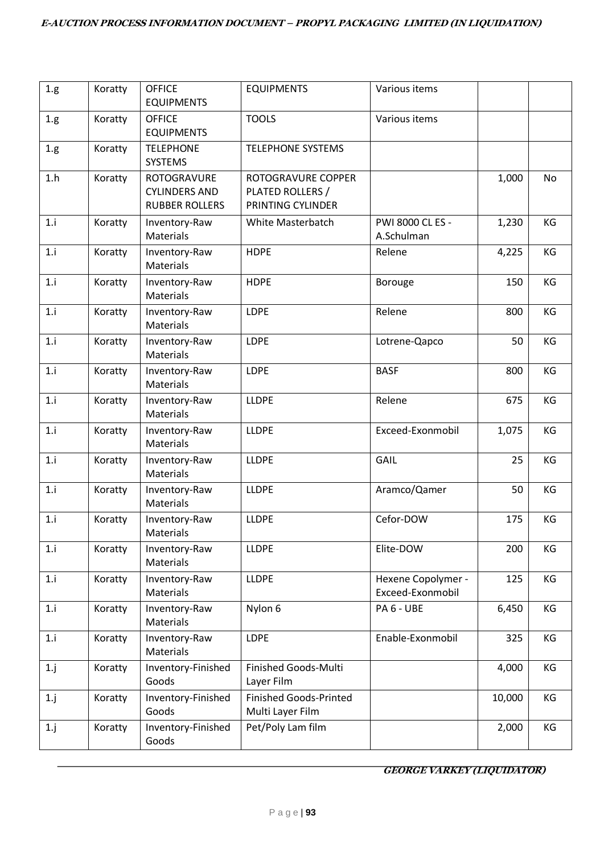| $1.g\,$ | Koratty | <b>OFFICE</b><br><b>EQUIPMENTS</b>                           | <b>EQUIPMENTS</b>                                           | Various items                          |        |    |
|---------|---------|--------------------------------------------------------------|-------------------------------------------------------------|----------------------------------------|--------|----|
| 1.g.    | Koratty | <b>OFFICE</b><br><b>EQUIPMENTS</b>                           | <b>TOOLS</b>                                                | Various items                          |        |    |
| 1.g.    | Koratty | <b>TELEPHONE</b><br>SYSTEMS                                  | <b>TELEPHONE SYSTEMS</b>                                    |                                        |        |    |
| 1.h     | Koratty | ROTOGRAVURE<br><b>CYLINDERS AND</b><br><b>RUBBER ROLLERS</b> | ROTOGRAVURE COPPER<br>PLATED ROLLERS /<br>PRINTING CYLINDER |                                        | 1,000  | No |
| 1.i     | Koratty | Inventory-Raw<br>Materials                                   | White Masterbatch                                           | PWI 8000 CL ES -<br>A.Schulman         | 1,230  | KG |
| 1.i     | Koratty | Inventory-Raw<br>Materials                                   | <b>HDPE</b>                                                 | Relene                                 | 4,225  | KG |
| 1.i     | Koratty | Inventory-Raw<br>Materials                                   | <b>HDPE</b>                                                 | <b>Borouge</b>                         | 150    | KG |
| 1.i     | Koratty | Inventory-Raw<br>Materials                                   | LDPE                                                        | Relene                                 | 800    | KG |
| 1.i     | Koratty | Inventory-Raw<br>Materials                                   | LDPE                                                        | Lotrene-Qapco                          | 50     | KG |
| 1.i     | Koratty | Inventory-Raw<br>Materials                                   | LDPE                                                        | <b>BASF</b>                            | 800    | KG |
| 1.i     | Koratty | Inventory-Raw<br>Materials                                   | <b>LLDPE</b>                                                | Relene                                 | 675    | KG |
| 1.i     | Koratty | Inventory-Raw<br>Materials                                   | <b>LLDPE</b>                                                | Exceed-Exonmobil                       | 1,075  | KG |
| 1.i     | Koratty | Inventory-Raw<br>Materials                                   | <b>LLDPE</b>                                                | GAIL                                   | 25     | KG |
| 1.i     | Koratty | Inventory-Raw<br>Materials                                   | <b>LLDPE</b>                                                | Aramco/Qamer                           | 50     | KG |
| 1.i     | Koratty | Inventory-Raw<br>Materials                                   | <b>LLDPE</b>                                                | Cefor-DOW                              | 175    | KG |
| 1.i     | Koratty | Inventory-Raw<br>Materials                                   | <b>LLDPE</b>                                                | Elite-DOW                              | 200    | KG |
| 1.i     | Koratty | Inventory-Raw<br>Materials                                   | <b>LLDPE</b>                                                | Hexene Copolymer -<br>Exceed-Exonmobil | 125    | KG |
| 1.i     | Koratty | Inventory-Raw<br>Materials                                   | Nylon 6                                                     | PA 6 - UBE                             | 6,450  | КG |
| 1.i     | Koratty | Inventory-Raw<br>Materials                                   | LDPE                                                        | Enable-Exonmobil                       | 325    | KG |
| $1$ .j  | Koratty | Inventory-Finished<br>Goods                                  | Finished Goods-Multi<br>Layer Film                          |                                        | 4,000  | KG |
| $1-j$   | Koratty | Inventory-Finished<br>Goods                                  | <b>Finished Goods-Printed</b><br>Multi Layer Film           |                                        | 10,000 | KG |
| $1$ .j  | Koratty | Inventory-Finished<br>Goods                                  | Pet/Poly Lam film                                           |                                        | 2,000  | KG |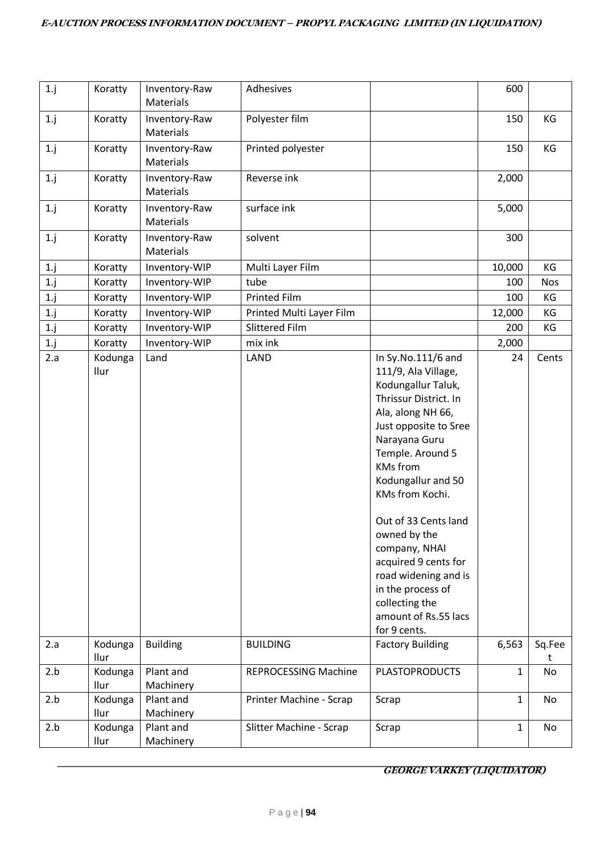| $1.$ j | Koratty         | Inventory-Raw<br><b>Materials</b> | Adhesives                   |                                                                                                                                                                                                                                                                                                                                                                                                                                   | 600          |             |
|--------|-----------------|-----------------------------------|-----------------------------|-----------------------------------------------------------------------------------------------------------------------------------------------------------------------------------------------------------------------------------------------------------------------------------------------------------------------------------------------------------------------------------------------------------------------------------|--------------|-------------|
| 1. j   | Koratty         | Inventory-Raw<br><b>Materials</b> | Polyester film              |                                                                                                                                                                                                                                                                                                                                                                                                                                   | 150          | KG          |
| $1$ .j | Koratty         | Inventory-Raw<br><b>Materials</b> | Printed polyester           |                                                                                                                                                                                                                                                                                                                                                                                                                                   | 150          | KG          |
| $1.$ j | Koratty         | Inventory-Raw<br><b>Materials</b> | Reverse ink                 |                                                                                                                                                                                                                                                                                                                                                                                                                                   | 2,000        |             |
| $1.$ j | Koratty         | Inventory-Raw<br><b>Materials</b> | surface ink                 |                                                                                                                                                                                                                                                                                                                                                                                                                                   | 5,000        |             |
| $1.$ j | Koratty         | Inventory-Raw<br>Materials        | solvent                     |                                                                                                                                                                                                                                                                                                                                                                                                                                   | 300          |             |
| 1.j    | Koratty         | Inventory-WIP                     | Multi Layer Film            |                                                                                                                                                                                                                                                                                                                                                                                                                                   | 10,000       | KG          |
| 1.j    | Koratty         | Inventory-WIP                     | tube                        |                                                                                                                                                                                                                                                                                                                                                                                                                                   | 100          | Nos         |
| 1.1    | Koratty         | Inventory-WIP                     | <b>Printed Film</b>         |                                                                                                                                                                                                                                                                                                                                                                                                                                   | 100          | KG          |
| 1. j   | Koratty         | Inventory-WIP                     | Printed Multi Layer Film    |                                                                                                                                                                                                                                                                                                                                                                                                                                   | 12,000       | KG          |
| 1.1    | Koratty         | Inventory-WIP                     | Slittered Film              |                                                                                                                                                                                                                                                                                                                                                                                                                                   | 200          | KG          |
| 1. j   | Koratty         | Inventory-WIP                     | mix ink                     |                                                                                                                                                                                                                                                                                                                                                                                                                                   | 2,000        |             |
| 2.a    | Kodunga<br>Ilur | Land                              | LAND                        | In Sy. No. 111/6 and<br>111/9, Ala Village,<br>Kodungallur Taluk,<br>Thrissur District. In<br>Ala, along NH 66,<br>Just opposite to Sree<br>Narayana Guru<br>Temple. Around 5<br><b>KMs</b> from<br>Kodungallur and 50<br>KMs from Kochi.<br>Out of 33 Cents land<br>owned by the<br>company, NHAI<br>acquired 9 cents for<br>road widening and is<br>in the process of<br>collecting the<br>amount of Rs.55 lacs<br>for 9 cents. | 24           | Cents       |
| 2.a    | Kodunga<br>llur | <b>Building</b>                   | <b>BUILDING</b>             | <b>Factory Building</b>                                                                                                                                                                                                                                                                                                                                                                                                           | 6,563        | Sq.Fee<br>t |
| 2.b    | Kodunga<br>Ilur | Plant and<br>Machinery            | <b>REPROCESSING Machine</b> | <b>PLASTOPRODUCTS</b>                                                                                                                                                                                                                                                                                                                                                                                                             | $\mathbf{1}$ | No          |
| 2.b    | Kodunga<br>Ilur | Plant and<br>Machinery            | Printer Machine - Scrap     | Scrap                                                                                                                                                                                                                                                                                                                                                                                                                             | 1            | No          |
| 2.b    | Kodunga<br>llur | Plant and<br>Machinery            | Slitter Machine - Scrap     | Scrap                                                                                                                                                                                                                                                                                                                                                                                                                             | $\mathbf{1}$ | No          |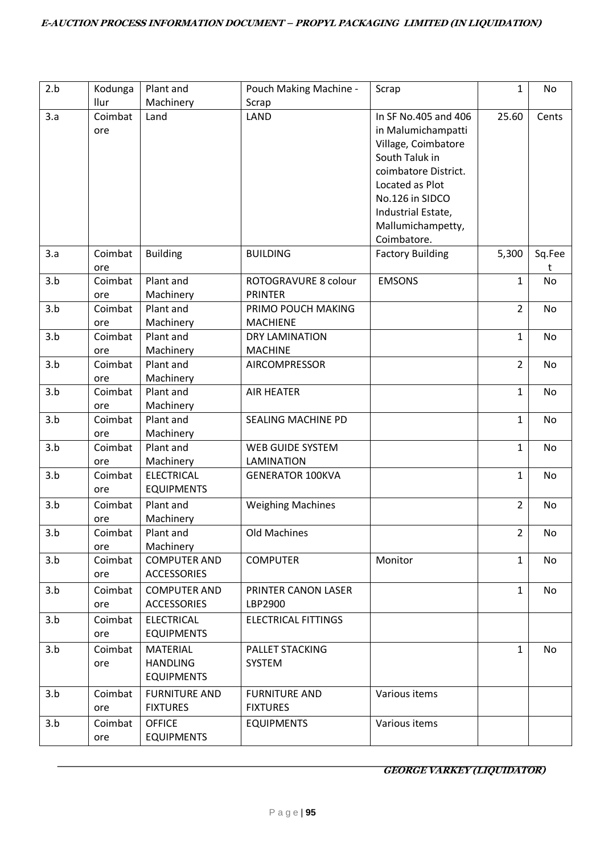| 2.b | Kodunga | Plant and            | Pouch Making Machine -     | Scrap                   | $\mathbf{1}$   | No     |
|-----|---------|----------------------|----------------------------|-------------------------|----------------|--------|
|     | Ilur    | Machinery            | Scrap                      |                         |                |        |
| 3.a | Coimbat | Land                 | LAND                       | In SF No.405 and 406    | 25.60          | Cents  |
|     | ore     |                      |                            | in Malumichampatti      |                |        |
|     |         |                      |                            | Village, Coimbatore     |                |        |
|     |         |                      |                            | South Taluk in          |                |        |
|     |         |                      |                            | coimbatore District.    |                |        |
|     |         |                      |                            | Located as Plot         |                |        |
|     |         |                      |                            | No.126 in SIDCO         |                |        |
|     |         |                      |                            | Industrial Estate,      |                |        |
|     |         |                      |                            | Mallumichampetty,       |                |        |
|     |         |                      |                            | Coimbatore.             |                |        |
| 3.a | Coimbat | <b>Building</b>      | <b>BUILDING</b>            | <b>Factory Building</b> | 5,300          | Sq.Fee |
|     | ore     |                      |                            |                         |                | t      |
| 3.b | Coimbat | Plant and            | ROTOGRAVURE 8 colour       | <b>EMSONS</b>           | $\mathbf{1}$   | No     |
|     | ore     | Machinery            | <b>PRINTER</b>             |                         |                |        |
| 3.b | Coimbat | Plant and            | PRIMO POUCH MAKING         |                         | 2              | No     |
|     | ore     | Machinery            | <b>MACHIENE</b>            |                         |                |        |
| 3.b | Coimbat | Plant and            | <b>DRY LAMINATION</b>      |                         | 1              | No     |
|     | ore     | Machinery            | <b>MACHINE</b>             |                         |                |        |
| 3.b | Coimbat | Plant and            | AIRCOMPRESSOR              |                         | $\overline{2}$ | No     |
|     | ore     | Machinery            |                            |                         |                |        |
| 3.b | Coimbat | Plant and            | <b>AIR HEATER</b>          |                         | 1              | No     |
|     | ore     | Machinery            |                            |                         |                |        |
| 3.b | Coimbat | Plant and            | <b>SEALING MACHINE PD</b>  |                         | 1              | No     |
|     | ore     | Machinery            |                            |                         |                |        |
| 3.b | Coimbat | Plant and            | <b>WEB GUIDE SYSTEM</b>    |                         | $\mathbf{1}$   | No     |
|     | ore     | Machinery            | <b>LAMINATION</b>          |                         |                |        |
| 3.b | Coimbat | <b>ELECTRICAL</b>    | <b>GENERATOR 100KVA</b>    |                         | 1              | No     |
|     | ore     | <b>EQUIPMENTS</b>    |                            |                         |                |        |
| 3.b | Coimbat | Plant and            | <b>Weighing Machines</b>   |                         | $\overline{2}$ | No     |
|     | ore     | Machinery            |                            |                         |                |        |
| 3.b | Coimbat | Plant and            | Old Machines               |                         | $\overline{2}$ | No     |
|     | ore     | Machinery            |                            |                         |                |        |
| 3.b | Coimbat | <b>COMPUTER AND</b>  | <b>COMPUTER</b>            | Monitor                 | $\mathbf{1}$   | No     |
|     | ore     | <b>ACCESSORIES</b>   |                            |                         |                |        |
| 3.b | Coimbat | <b>COMPUTER AND</b>  | PRINTER CANON LASER        |                         | 1              | No     |
|     | ore     | <b>ACCESSORIES</b>   | LBP2900                    |                         |                |        |
| 3.b | Coimbat | <b>ELECTRICAL</b>    | <b>ELECTRICAL FITTINGS</b> |                         |                |        |
|     | ore     | <b>EQUIPMENTS</b>    |                            |                         |                |        |
| 3.b | Coimbat | <b>MATERIAL</b>      | PALLET STACKING            |                         | $\mathbf{1}$   | No     |
|     | ore     | <b>HANDLING</b>      | SYSTEM                     |                         |                |        |
|     |         | <b>EQUIPMENTS</b>    |                            |                         |                |        |
| 3.b | Coimbat | <b>FURNITURE AND</b> | <b>FURNITURE AND</b>       | Various items           |                |        |
|     | ore     | <b>FIXTURES</b>      | <b>FIXTURES</b>            |                         |                |        |
| 3.b | Coimbat | <b>OFFICE</b>        | <b>EQUIPMENTS</b>          | Various items           |                |        |
|     |         | <b>EQUIPMENTS</b>    |                            |                         |                |        |
|     | ore     |                      |                            |                         |                |        |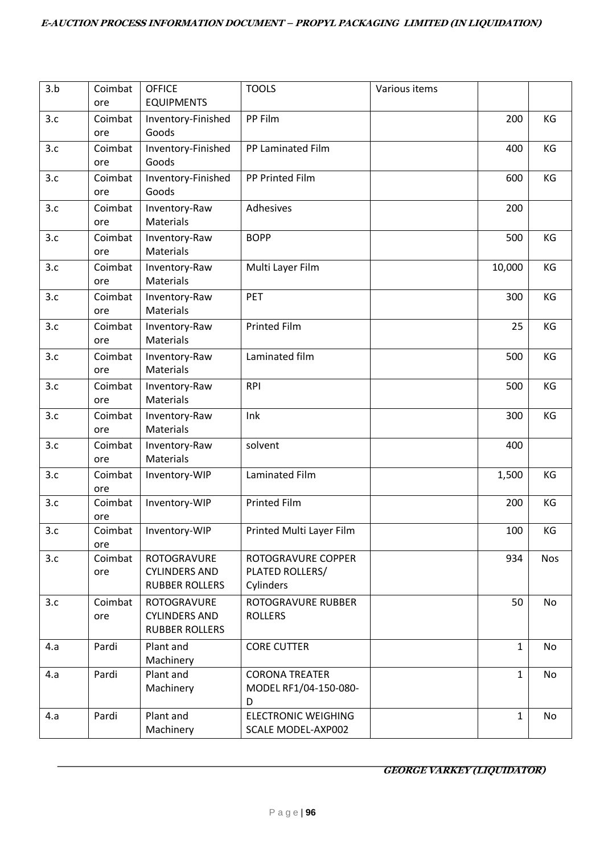| 3.b | Coimbat<br>ore | <b>OFFICE</b><br><b>EQUIPMENTS</b>                                  | <b>TOOLS</b>                                        | Various items |              |            |
|-----|----------------|---------------------------------------------------------------------|-----------------------------------------------------|---------------|--------------|------------|
| 3.c | Coimbat<br>ore | Inventory-Finished<br>Goods                                         | PP Film                                             |               | 200          | KG         |
| 3.c | Coimbat<br>ore | Inventory-Finished<br>Goods                                         | PP Laminated Film                                   |               | 400          | KG         |
| 3.c | Coimbat<br>ore | Inventory-Finished<br>Goods                                         | PP Printed Film                                     |               | 600          | KG         |
| 3.c | Coimbat<br>ore | Inventory-Raw<br>Materials                                          | Adhesives                                           |               | 200          |            |
| 3.c | Coimbat<br>ore | Inventory-Raw<br>Materials                                          | <b>BOPP</b>                                         |               | 500          | KG         |
| 3.c | Coimbat<br>ore | Inventory-Raw<br><b>Materials</b>                                   | Multi Layer Film                                    |               | 10,000       | KG         |
| 3.c | Coimbat<br>ore | Inventory-Raw<br>Materials                                          | PET                                                 |               | 300          | KG         |
| 3.c | Coimbat<br>ore | Inventory-Raw<br>Materials                                          | <b>Printed Film</b>                                 |               | 25           | KG         |
| 3.c | Coimbat<br>ore | Inventory-Raw<br>Materials                                          | Laminated film                                      |               | 500          | KG         |
| 3.c | Coimbat<br>ore | Inventory-Raw<br>Materials                                          | <b>RPI</b>                                          |               | 500          | KG         |
| 3.c | Coimbat<br>ore | Inventory-Raw<br>Materials                                          | Ink                                                 |               | 300          | KG         |
| 3.c | Coimbat<br>ore | Inventory-Raw<br>Materials                                          | solvent                                             |               | 400          |            |
| 3.c | Coimbat<br>ore | Inventory-WIP                                                       | Laminated Film                                      |               | 1,500        | KG         |
| 3.c | Coimbat<br>ore | Inventory-WIP                                                       | <b>Printed Film</b>                                 |               | 200          | KG         |
| 3.c | Coimbat<br>ore | Inventory-WIP                                                       | Printed Multi Layer Film                            |               | 100          | ΚG         |
| 3.c | Coimbat<br>ore | ROTOGRAVURE<br><b>CYLINDERS AND</b><br><b>RUBBER ROLLERS</b>        | ROTOGRAVURE COPPER<br>PLATED ROLLERS/<br>Cylinders  |               | 934          | <b>Nos</b> |
| 3.c | Coimbat<br>ore | <b>ROTOGRAVURE</b><br><b>CYLINDERS AND</b><br><b>RUBBER ROLLERS</b> | ROTOGRAVURE RUBBER<br><b>ROLLERS</b>                |               | 50           | No         |
| 4.a | Pardi          | Plant and<br>Machinery                                              | <b>CORE CUTTER</b>                                  |               | 1            | No         |
| 4.a | Pardi          | Plant and<br>Machinery                                              | <b>CORONA TREATER</b><br>MODEL RF1/04-150-080-<br>D |               | 1            | No         |
| 4.a | Pardi          | Plant and<br>Machinery                                              | <b>ELECTRONIC WEIGHING</b><br>SCALE MODEL-AXP002    |               | $\mathbf{1}$ | No         |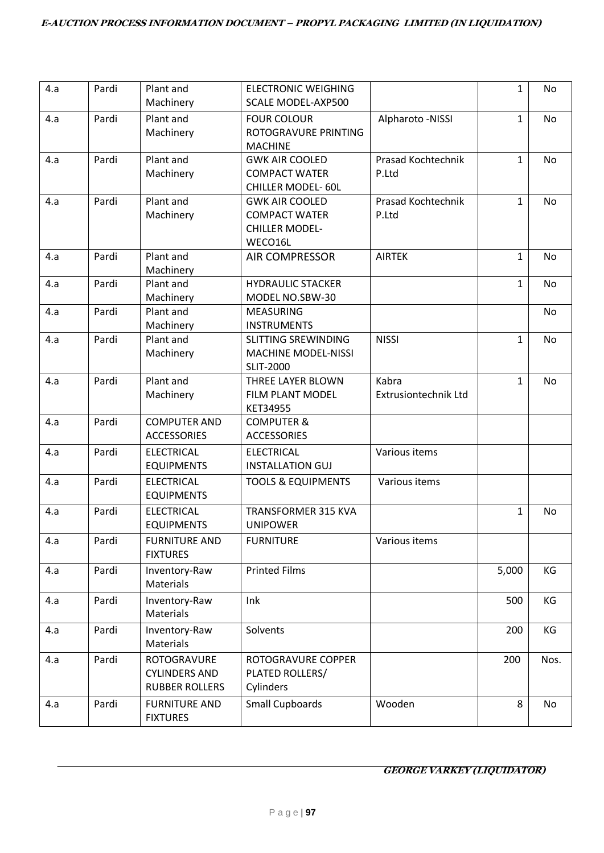| 4.a | Pardi | Plant and<br>Machinery                                       | <b>ELECTRONIC WEIGHING</b><br><b>SCALE MODEL-AXP500</b>                           |                               | $\mathbf{1}$ | No   |
|-----|-------|--------------------------------------------------------------|-----------------------------------------------------------------------------------|-------------------------------|--------------|------|
| 4.a | Pardi | Plant and<br>Machinery                                       | <b>FOUR COLOUR</b><br>ROTOGRAVURE PRINTING<br><b>MACHINE</b>                      | Alpharoto -NISSI              | $\mathbf{1}$ | No   |
| 4.a | Pardi | Plant and<br>Machinery                                       | <b>GWK AIR COOLED</b><br><b>COMPACT WATER</b><br><b>CHILLER MODEL- 60L</b>        | Prasad Kochtechnik<br>P.Ltd   | $\mathbf{1}$ | No   |
| 4.a | Pardi | Plant and<br>Machinery                                       | <b>GWK AIR COOLED</b><br><b>COMPACT WATER</b><br><b>CHILLER MODEL-</b><br>WECO16L | Prasad Kochtechnik<br>P.Ltd   | $\mathbf{1}$ | No   |
| 4.a | Pardi | Plant and<br>Machinery                                       | <b>AIR COMPRESSOR</b>                                                             | <b>AIRTEK</b>                 | 1            | No   |
| 4.a | Pardi | Plant and<br>Machinery                                       | <b>HYDRAULIC STACKER</b><br>MODEL NO.SBW-30                                       |                               | $\mathbf{1}$ | No   |
| 4.a | Pardi | Plant and<br>Machinery                                       | <b>MEASURING</b><br><b>INSTRUMENTS</b>                                            |                               |              | No   |
| 4.a | Pardi | Plant and<br>Machinery                                       | <b>SLITTING SREWINDING</b><br><b>MACHINE MODEL-NISSI</b><br><b>SLIT-2000</b>      | <b>NISSI</b>                  | $\mathbf{1}$ | No   |
| 4.a | Pardi | Plant and<br>Machinery                                       | THREE LAYER BLOWN<br>FILM PLANT MODEL<br>KET34955                                 | Kabra<br>Extrusiontechnik Ltd | $\mathbf{1}$ | No   |
| 4.a | Pardi | <b>COMPUTER AND</b><br><b>ACCESSORIES</b>                    | <b>COMPUTER &amp;</b><br><b>ACCESSORIES</b>                                       |                               |              |      |
| 4.a | Pardi | <b>ELECTRICAL</b><br><b>EQUIPMENTS</b>                       | <b>ELECTRICAL</b><br><b>INSTALLATION GUJ</b>                                      | Various items                 |              |      |
| 4.a | Pardi | <b>ELECTRICAL</b><br><b>EQUIPMENTS</b>                       | <b>TOOLS &amp; EQUIPMENTS</b>                                                     | Various items                 |              |      |
| 4.a | Pardi | <b>ELECTRICAL</b><br><b>EQUIPMENTS</b>                       | TRANSFORMER 315 KVA<br><b>UNIPOWER</b>                                            |                               | 1            | No   |
| 4.a | Pardi | <b>FURNITURE AND</b><br><b>FIXTURES</b>                      | <b>FURNITURE</b>                                                                  | Various items                 |              |      |
| 4.a | Pardi | Inventory-Raw<br>Materials                                   | <b>Printed Films</b>                                                              |                               | 5,000        | KG   |
| 4.a | Pardi | Inventory-Raw<br>Materials                                   | Ink                                                                               |                               | 500          | KG   |
| 4.a | Pardi | Inventory-Raw<br>Materials                                   | Solvents                                                                          |                               | 200          | KG   |
| 4.a | Pardi | ROTOGRAVURE<br><b>CYLINDERS AND</b><br><b>RUBBER ROLLERS</b> | ROTOGRAVURE COPPER<br>PLATED ROLLERS/<br>Cylinders                                |                               | 200          | Nos. |
| 4.a | Pardi | <b>FURNITURE AND</b><br><b>FIXTURES</b>                      | <b>Small Cupboards</b>                                                            | Wooden                        | 8            | No   |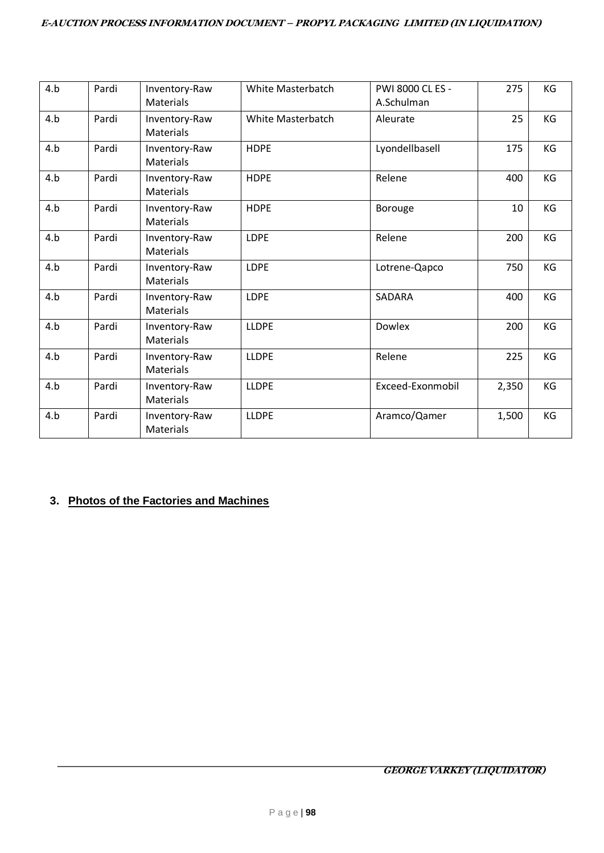| 4.b | Pardi | Inventory-Raw<br>Materials        | White Masterbatch | PWI 8000 CL ES -<br>A.Schulman | 275   | KG |
|-----|-------|-----------------------------------|-------------------|--------------------------------|-------|----|
| 4.b | Pardi | Inventory-Raw<br><b>Materials</b> | White Masterbatch | Aleurate                       | 25    | KG |
| 4.b | Pardi | Inventory-Raw<br>Materials        | <b>HDPE</b>       | Lyondellbasell                 | 175   | KG |
| 4.b | Pardi | Inventory-Raw<br>Materials        | <b>HDPE</b>       | Relene                         | 400   | KG |
| 4.b | Pardi | Inventory-Raw<br>Materials        | <b>HDPE</b>       | Borouge                        | 10    | KG |
| 4.b | Pardi | Inventory-Raw<br><b>Materials</b> | LDPE              | Relene                         | 200   | KG |
| 4.b | Pardi | Inventory-Raw<br><b>Materials</b> | LDPE              | Lotrene-Qapco                  | 750   | KG |
| 4.b | Pardi | Inventory-Raw<br><b>Materials</b> | <b>LDPE</b>       | SADARA                         | 400   | KG |
| 4.b | Pardi | Inventory-Raw<br>Materials        | <b>LLDPE</b>      | Dowlex                         | 200   | KG |
| 4.b | Pardi | Inventory-Raw<br><b>Materials</b> | <b>LLDPE</b>      | Relene                         | 225   | KG |
| 4.b | Pardi | Inventory-Raw<br><b>Materials</b> | <b>LLDPE</b>      | Exceed-Exonmobil               | 2,350 | KG |
| 4.b | Pardi | Inventory-Raw<br><b>Materials</b> | <b>LLDPE</b>      | Aramco/Qamer                   | 1,500 | KG |

# **3. Photos of the Factories and Machines**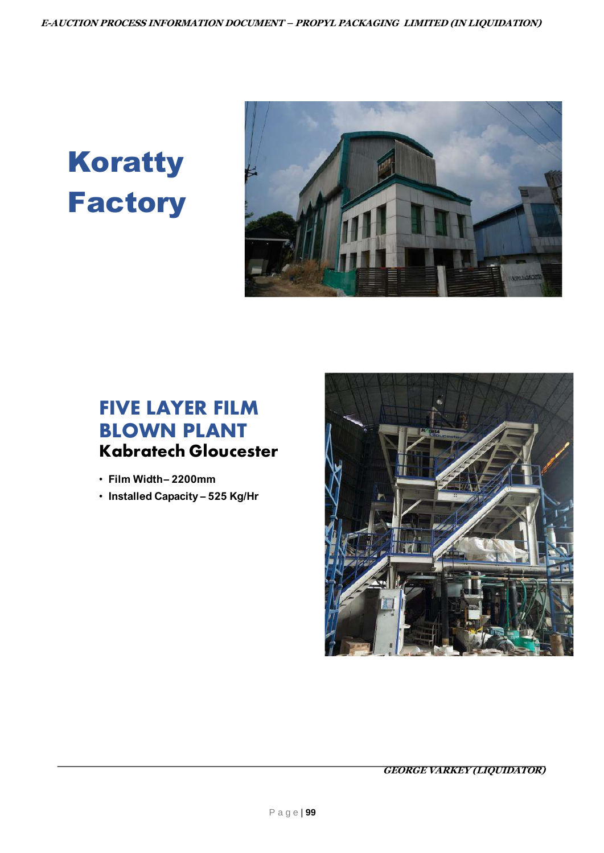# Koratty **Factory**



# **FIVE LAYER FILM BLOWN PLANT Kabratech Gloucester**

- $\bullet$
- $\bullet$

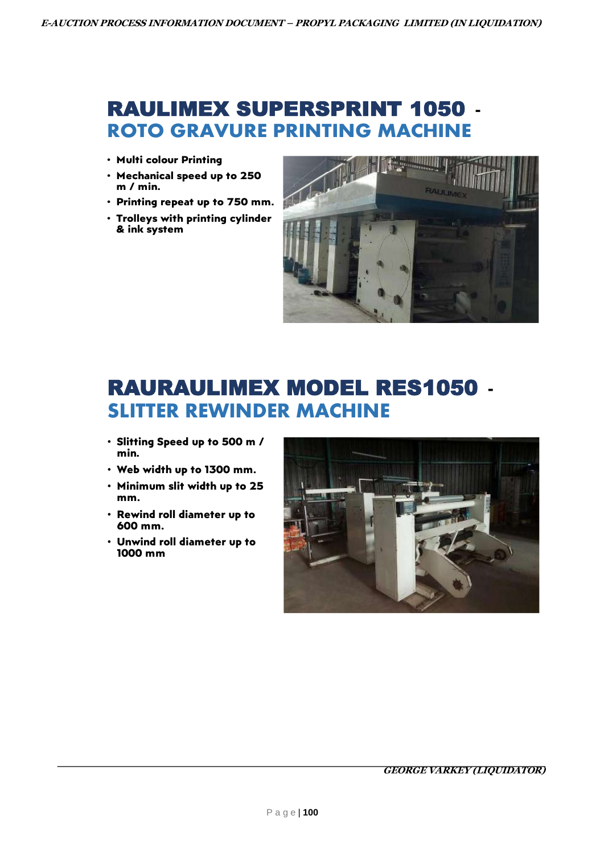# **RAULIMEX SUPERSPRINT 1050 -ROTO GRAVURE PRINTING MACHINE**

- **.**
- ٔ  $m / min$
- $\bullet$
- **.** & ink system



# **RAURAULIMEX MODEL RES1050 -SLITTER REWINDER MACHINE**

- $\bullet$ min.
- $\bullet$
- $\bullet$ mm.
- $\bullet$ 600 mm.
- $\bullet$ 1000 mm